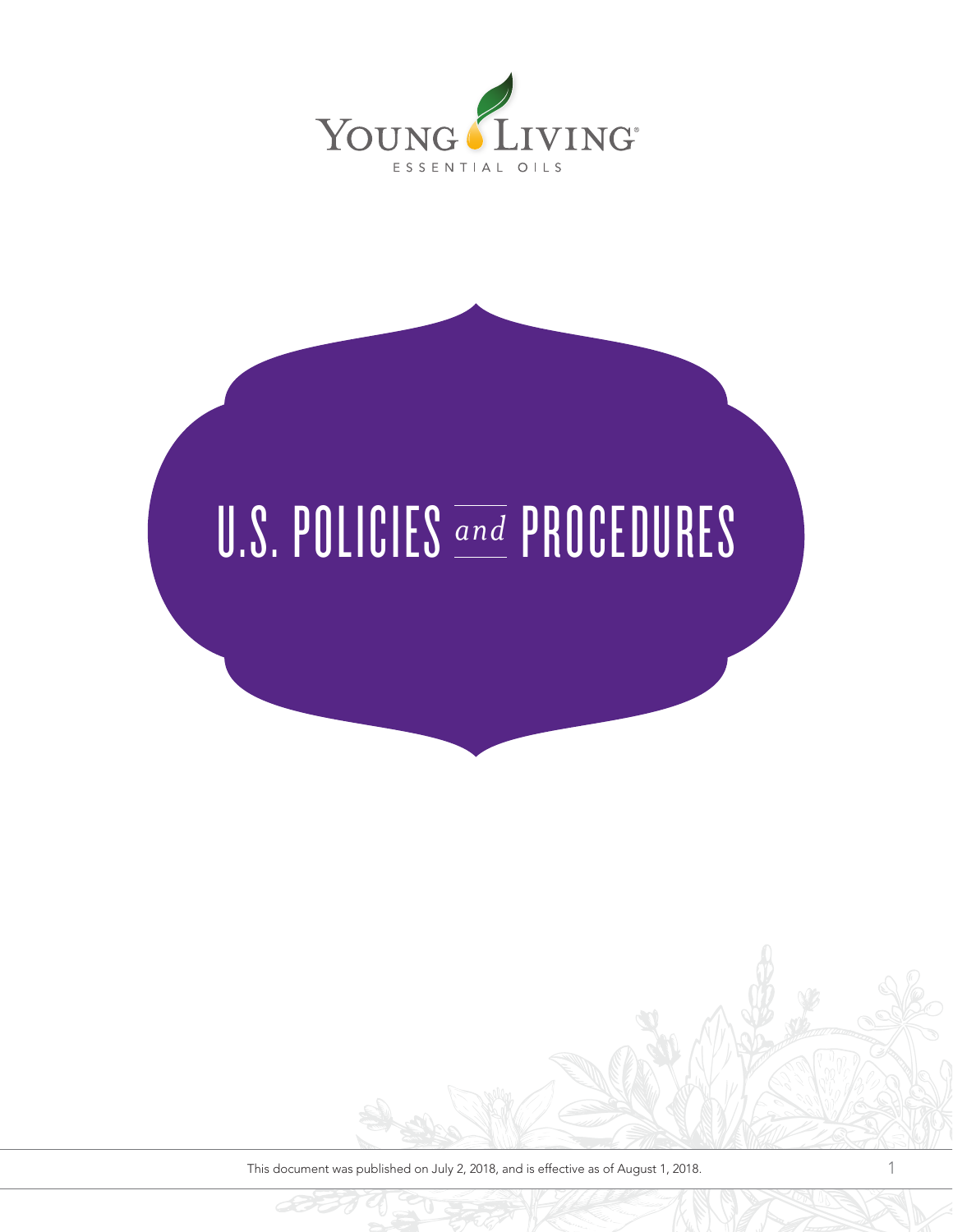

# U.S. POLICIES **and PROCEDURES**

This document was published on July 2, 2018, and is effective as of August 1, 2018.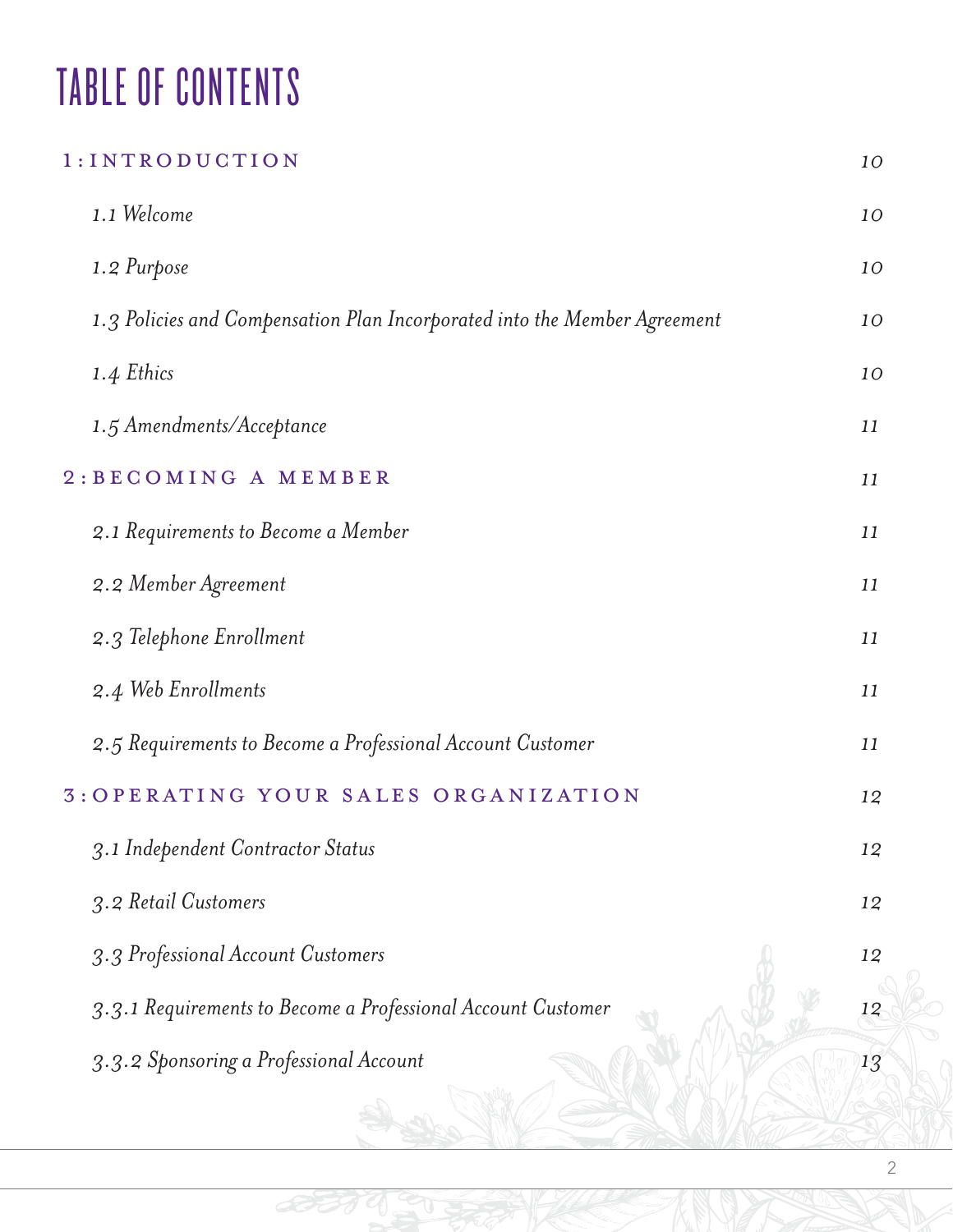# TABLE OF CONTENTS

# 1:INTRODUCTION *10 1.1 Welcome 10 1.2 Purpose 10 1.3 Policies and Compensation Plan Incorporated into the Member Agreement 10 1.4 Ethics 10 1.5 Amendments/Acceptance 11* 2:BECOMING A MEMBER *11 2.1 Requirements to Become a Member 11 2.2 Member Agreement 11 2.3 Telephone Enrollment 11 2.4 Web Enrollments 11 2.5 Requirements to Become a Professional Account Customer 11* 3:OPERATING YOUR SALES ORGANIZATION *12 3.1 Independent Contractor Status 12 3.2 Retail Customers 12 3.3 Professional Account Customers 12 3.3.1 Requirements to Become a Professional Account Customer 12 3.3.2 Sponsoring a Professional Account 13*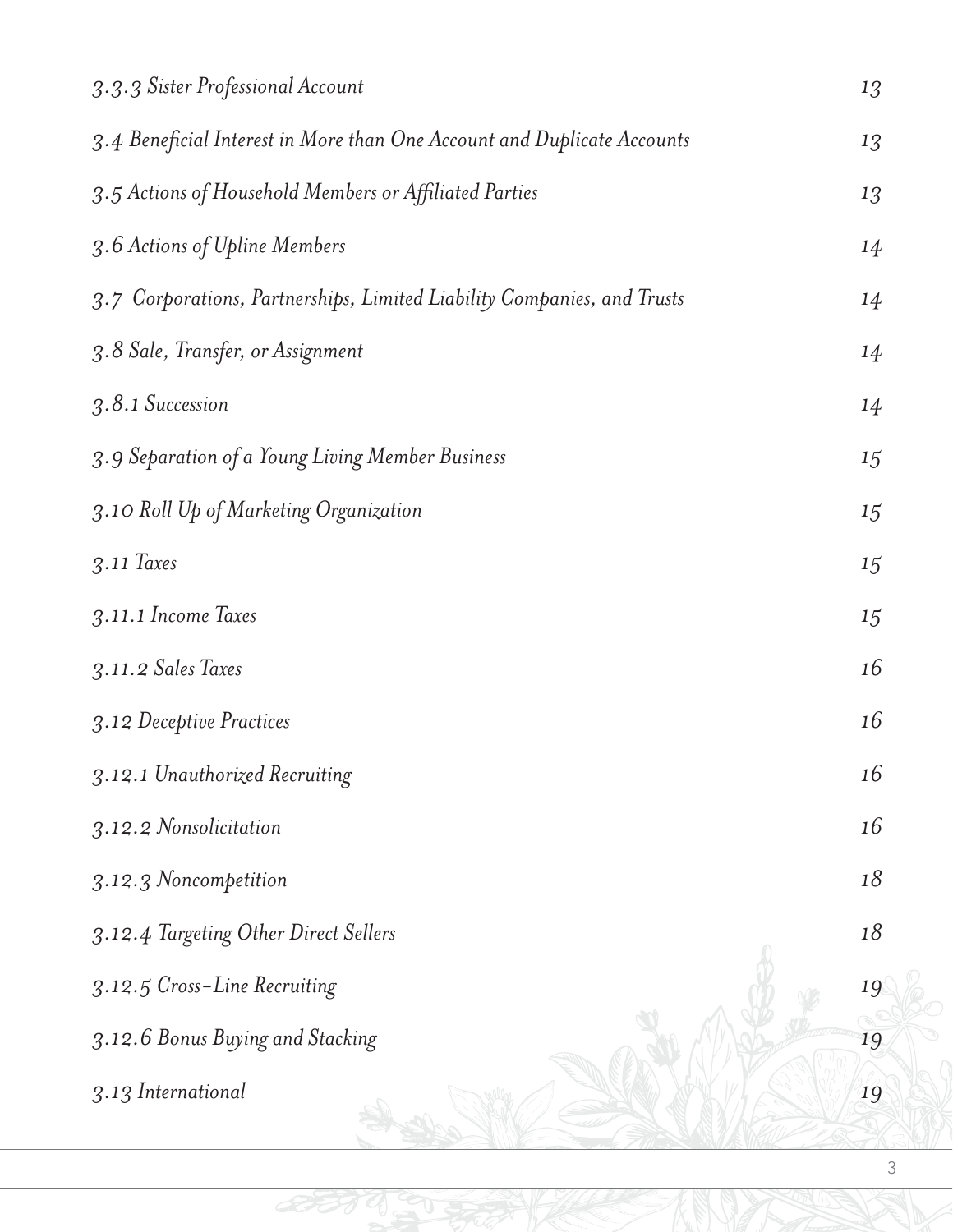| 3.3.3 Sister Professional Account                                       | 13 |
|-------------------------------------------------------------------------|----|
| 3.4 Beneficial Interest in More than One Account and Duplicate Accounts | 13 |
| 3.5 Actions of Household Members or Affiliated Parties                  | 13 |
| 3.6 Actions of Upline Members                                           | 14 |
| 3.7 Corporations, Partnerships, Limited Liability Companies, and Trusts | 14 |
| 3.8 Sale, Transfer, or Assignment                                       | 14 |
| 3.8.1 Succession                                                        | 14 |
| 3.9 Separation of a Young Living Member Business                        | 15 |
| 3.10 Roll Up of Marketing Organization                                  | 15 |
| $3.11$ Taxes                                                            | 15 |
| 3.11.1 Income Taxes                                                     | 15 |
| 3.11.2 Sales Taxes                                                      | 16 |
| 3.12 Deceptive Practices                                                | 16 |
| 3.12.1 Unauthorized Recruiting                                          | 16 |
| 3.12.2 Nonsolicitation                                                  | 16 |
| 3.12.3 Noncompetition                                                   | 18 |
| 3.12.4 Targeting Other Direct Sellers                                   | 18 |
| 3.12.5 Cross-Line Recruiting                                            | 19 |
| 3.12.6 Bonus Buying and Stacking                                        | 19 |
| 3.13 International                                                      | 19 |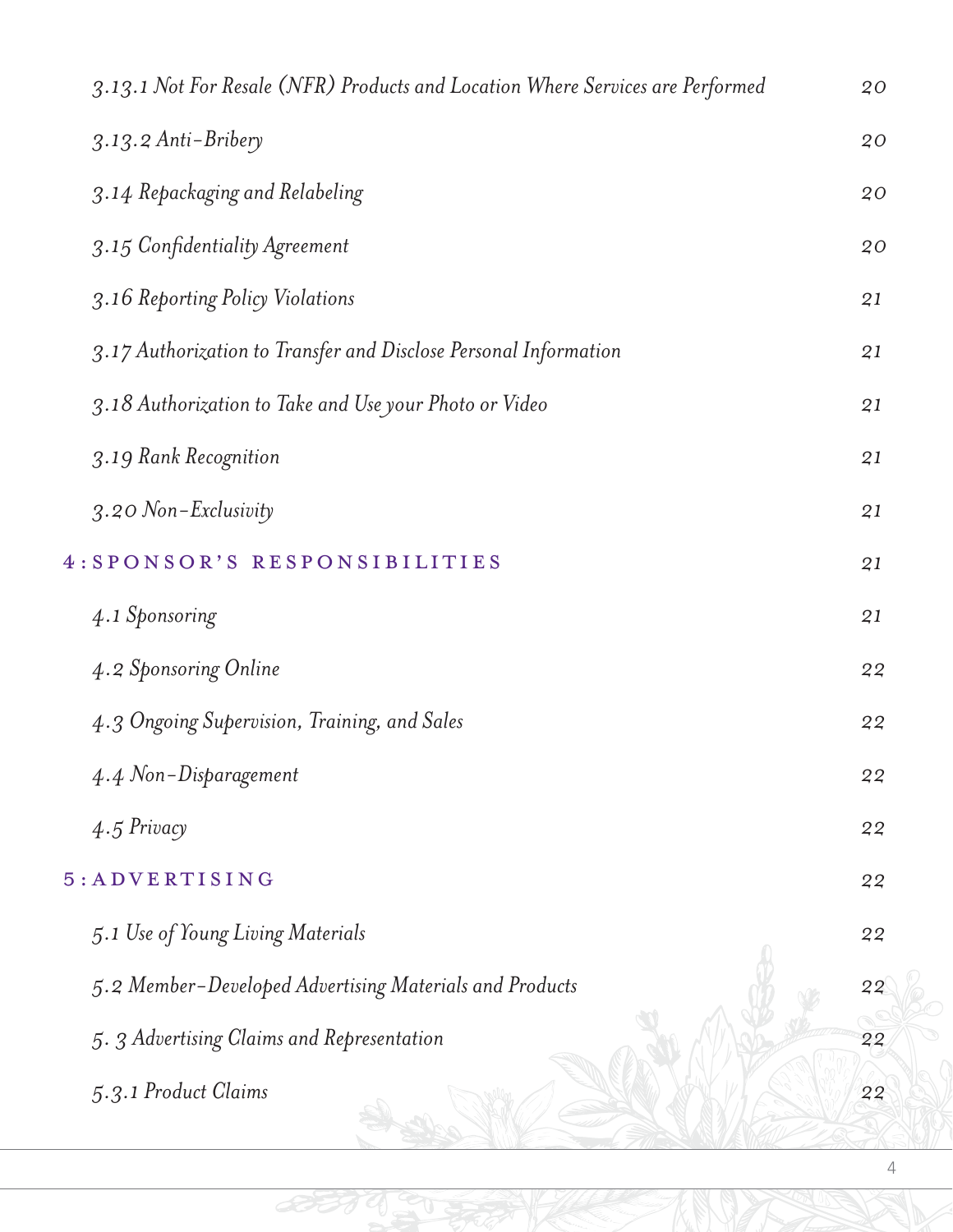| 3.13.1 Not For Resale (NFR) Products and Location Where Services are Performed | 20 |
|--------------------------------------------------------------------------------|----|
| 3.13.2 Anti-Bribery                                                            | 20 |
| 3.14 Repackaging and Relabeling                                                | 20 |
| 3.15 Confidentiality Agreement                                                 | 20 |
| 3.16 Reporting Policy Violations                                               | 21 |
| 3.17 Authorization to Transfer and Disclose Personal Information               | 21 |
| 3.18 Authorization to Take and Use your Photo or Video                         | 21 |
| 3.19 Rank Recognition                                                          | 21 |
| 3.20 Non-Exclusivity                                                           | 21 |
| 4: SPONSOR'S RESPONSIBILITIES                                                  | 21 |
| 4.1 Sponsoring                                                                 | 21 |
| 4.2 Sponsoring Online                                                          | 22 |
| 4.3 Ongoing Supervision, Training, and Sales                                   | 22 |
| 4.4 Non-Disparagement                                                          | 22 |
| $4.5$ Privacy                                                                  | 22 |
| $5: A D V E R T I S I N G$                                                     | 22 |
| 5.1 Use of Young Living Materials                                              | 22 |
| 5.2 Member-Developed Advertising Materials and Products                        | 22 |
| 5. 3 Advertising Claims and Representation                                     | 22 |
| 5.3.1 Product Claims                                                           | 22 |

BUTTO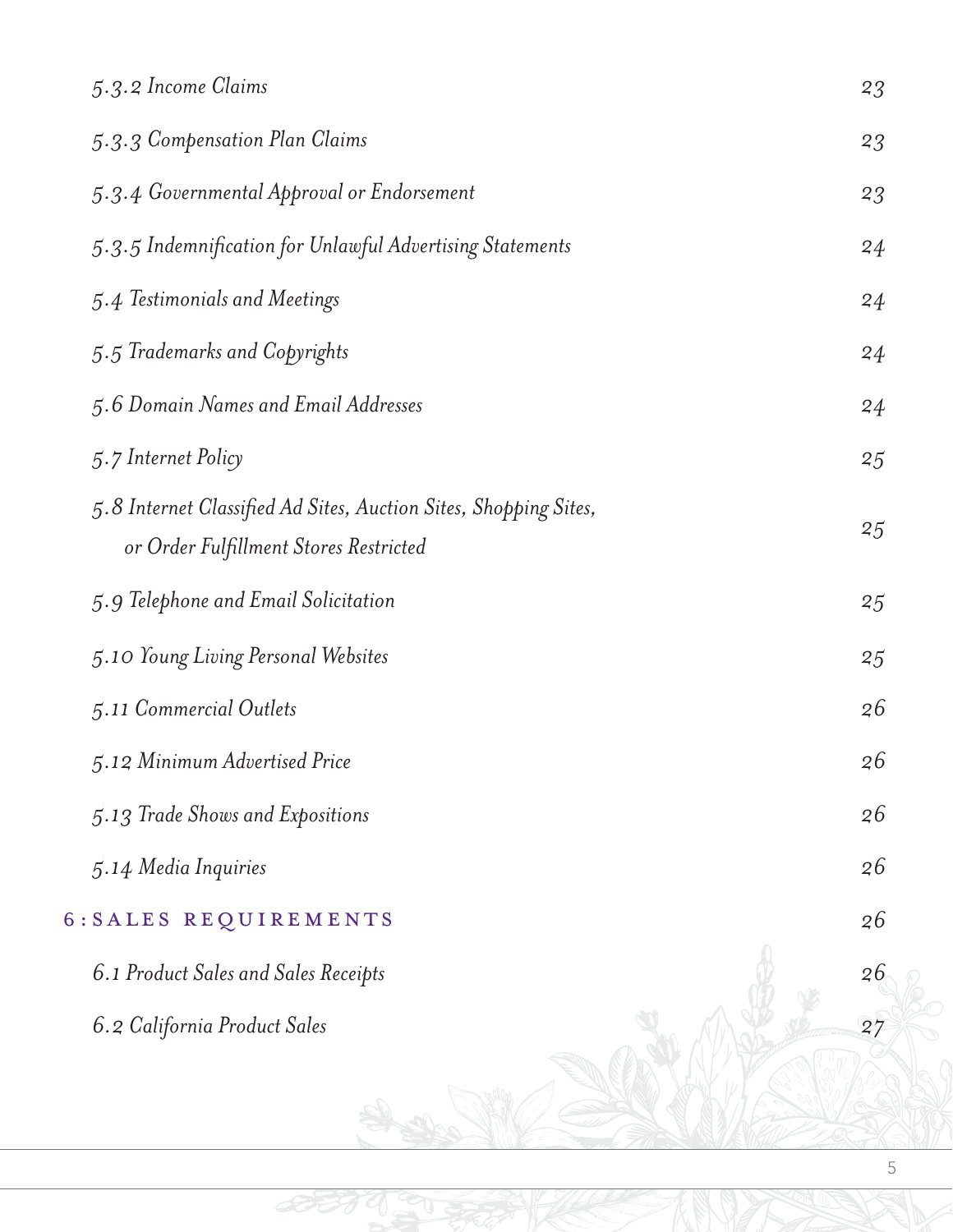| 5.3.2 Income Claims                                                                                        | 23 |
|------------------------------------------------------------------------------------------------------------|----|
| 5.3.3 Compensation Plan Claims                                                                             | 23 |
| 5.3.4 Governmental Approval or Endorsement                                                                 | 23 |
| 5.3.5 Indemnification for Unlawful Advertising Statements                                                  | 24 |
| 5.4 Testimonials and Meetings                                                                              | 24 |
| 5.5 Trademarks and Copyrights                                                                              | 24 |
| 5.6 Domain Names and Email Addresses                                                                       | 24 |
| 5.7 Internet Policy                                                                                        | 25 |
| 5.8 Internet Classified Ad Sites, Auction Sites, Shopping Sites,<br>or Order Fulfillment Stores Restricted | 25 |
| 5.9 Telephone and Email Solicitation                                                                       | 25 |
| 5.10 Young Living Personal Websites                                                                        | 25 |
| 5.11 Commercial Outlets                                                                                    | 26 |
| 5.12 Minimum Advertised Price                                                                              | 26 |
| 5.13 Trade Shows and Expositions                                                                           | 26 |
| 5.14 Media Inquiries                                                                                       | 26 |
| 6: SALES REQUIREMENTS                                                                                      | 26 |
| 6.1 Product Sales and Sales Receipts                                                                       | 26 |
| 6.2 California Product Sales                                                                               | 27 |
|                                                                                                            |    |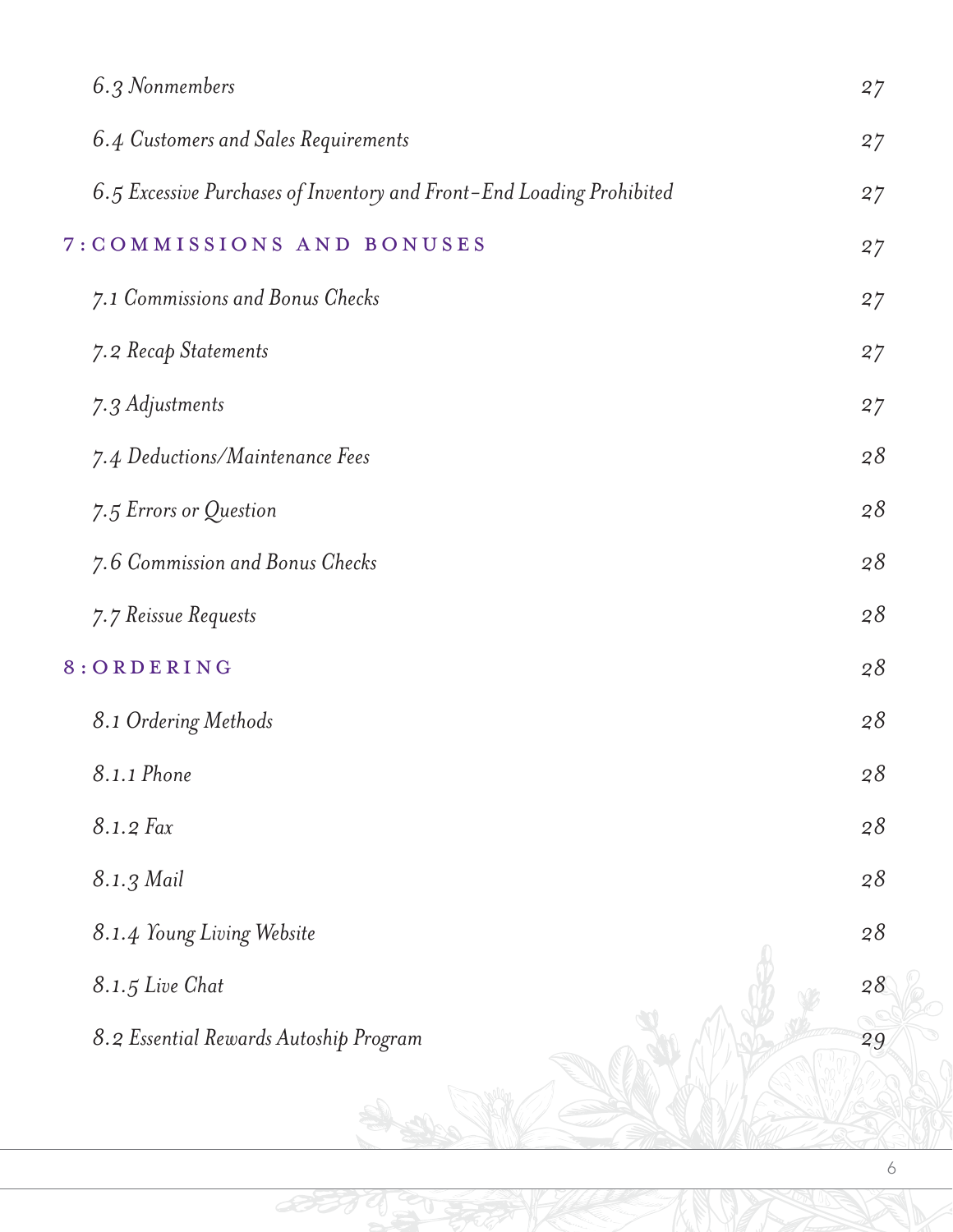| 6.3 Nonmembers                                                        | 27     |
|-----------------------------------------------------------------------|--------|
| 6.4 Customers and Sales Requirements                                  | 27     |
| 6.5 Excessive Purchases of Inventory and Front-End Loading Prohibited | 27     |
| 7: COMMISSIONS AND BONUSES                                            | 27     |
| 7.1 Commissions and Bonus Checks                                      | 27     |
| 7.2 Recap Statements                                                  | 27     |
| 7.3 Adjustments                                                       | 27     |
| 7.4 Deductions/Maintenance Fees                                       | 28     |
| 7.5 Errors or Question                                                | 28     |
| 7.6 Commission and Bonus Checks                                       | 28     |
| 7.7 Reissue Requests                                                  | 28     |
| 8: ORDERING                                                           | 28     |
| 8.1 Ordering Methods                                                  | 28     |
| 8.1.1 Phone                                                           | 28     |
| 8.1.2 Fax                                                             | $2\,8$ |
| 8.1.3 Mail                                                            | 28     |
| 8.1.4 Young Living Website                                            | 28     |
| 8.1.5 Live Chat                                                       | 28     |
| 8.2 Essential Rewards Autoship Program                                | 29     |
|                                                                       |        |

BUTTO CU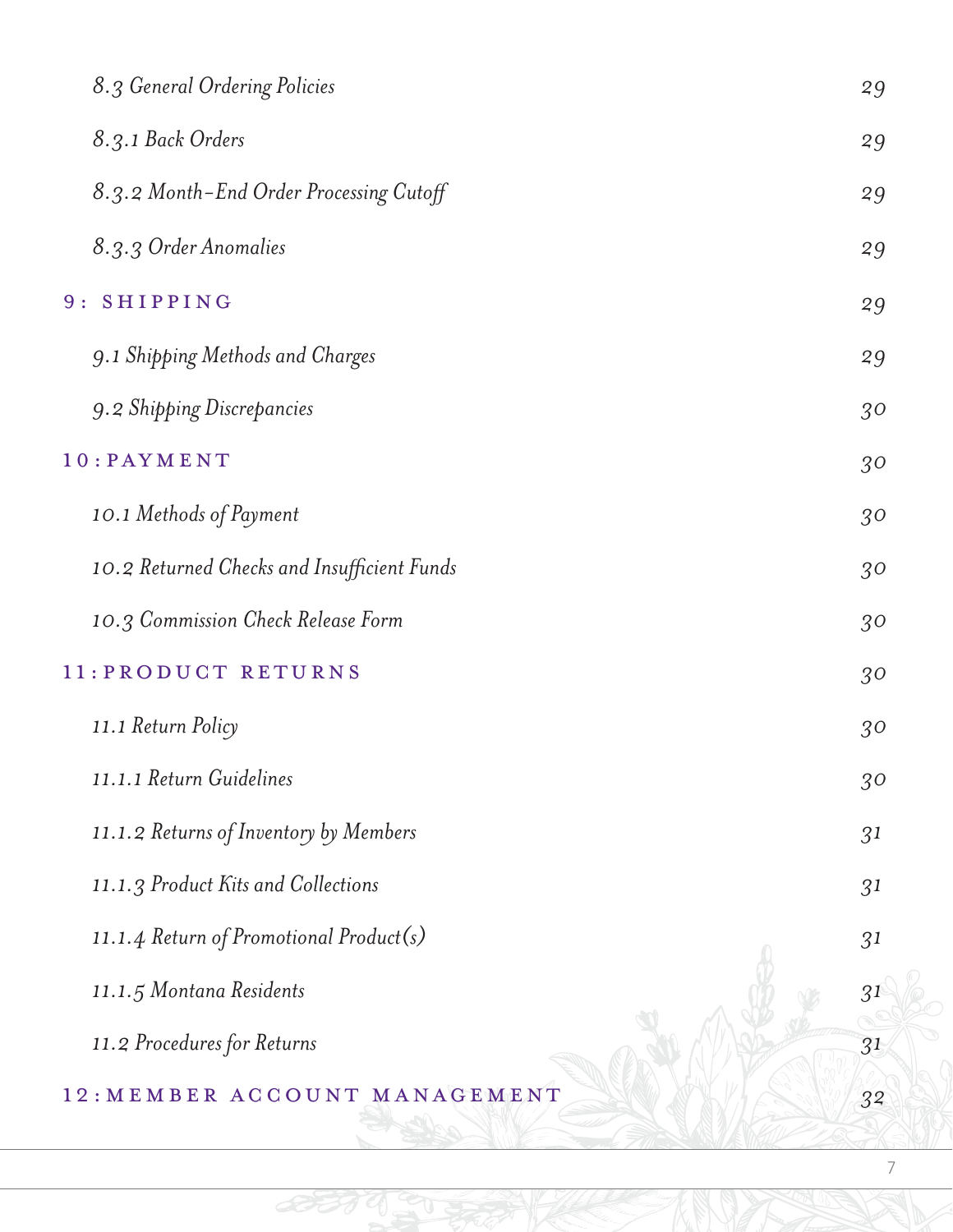| 8.3 General Ordering Policies               | 29 |
|---------------------------------------------|----|
| 8.3.1 Back Orders                           | 29 |
| 8.3.2 Month-End Order Processing Cutoff     | 29 |
| 8.3.3 Order Anomalies                       | 29 |
| 9: SHIPPING                                 | 29 |
| 9.1 Shipping Methods and Charges            | 29 |
| 9.2 Shipping Discrepancies                  | 30 |
| $10$ : $PAYMENT$                            | 30 |
| 10.1 Methods of Payment                     | 30 |
| 10.2 Returned Checks and Insufficient Funds | 30 |
| 10.3 Commission Check Release Form          | 30 |
| 11: PRODUCT RETURNS                         | 30 |
| 11.1 Return Policy                          | 30 |
| 11.1.1 Return Guidelines                    | 30 |
| 11.1.2 Returns of Inventory by Members      | 31 |
| 11.1.3 Product Kits and Collections         | 31 |
| 11.1.4 Return of Promotional Product(s)     | 31 |
| 11.1.5 Montana Residents                    | 31 |
| 11.2 Procedures for Returns                 | 31 |
| 12: MEMBER ACCOUNT MANAGEMENT               | 32 |

430

**BI**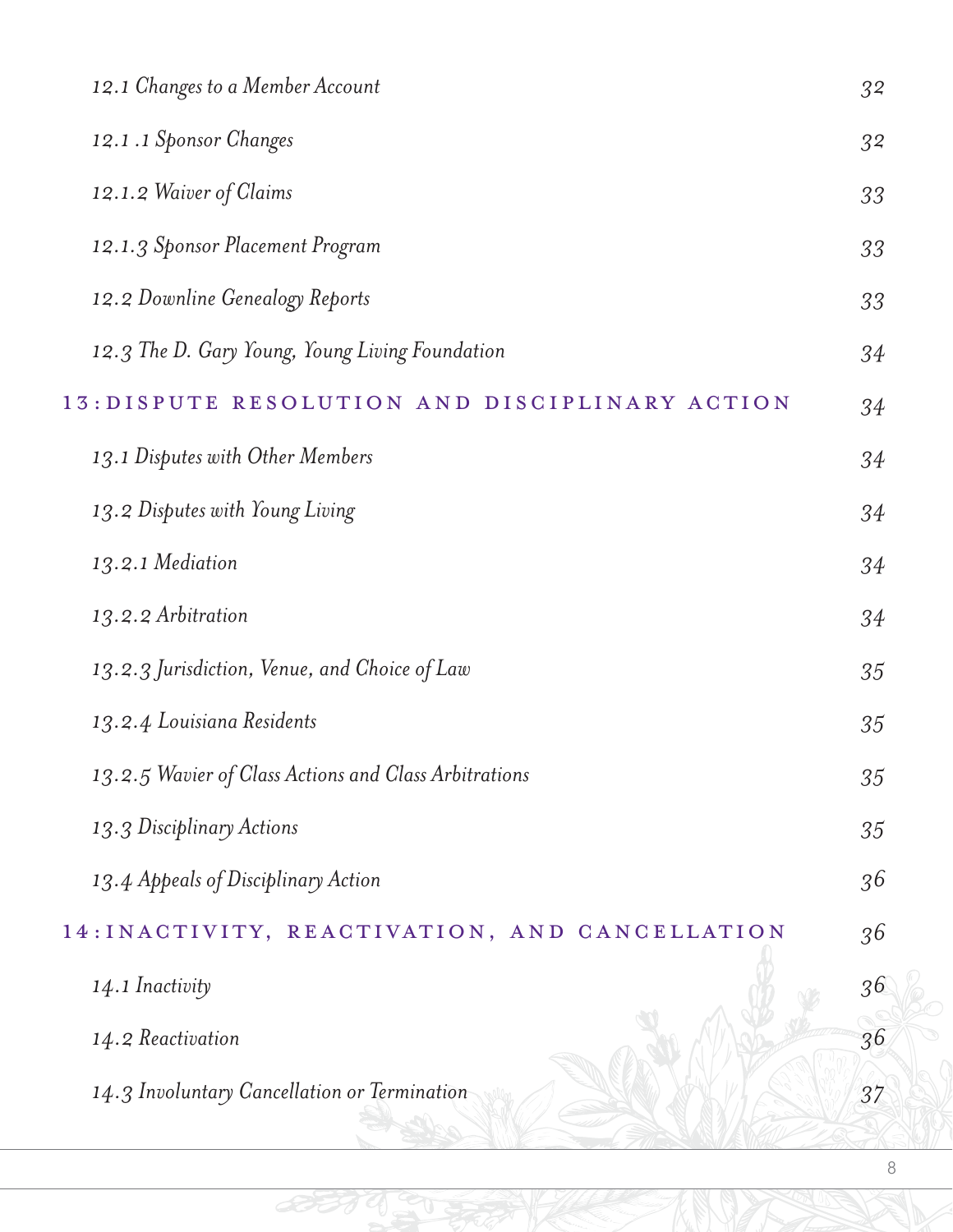| 12.1 Changes to a Member Account                      | 32 |
|-------------------------------------------------------|----|
| 12.1.1 Sponsor Changes                                | 32 |
| 12.1.2 Waiver of Claims                               | 33 |
| 12.1.3 Sponsor Placement Program                      | 33 |
| 12.2 Downline Genealogy Reports                       | 33 |
| 12.3 The D. Gary Young, Young Living Foundation       | 34 |
| 13: DISPUTE RESOLUTION AND DISCIPLINARY ACTION        | 34 |
| 13.1 Disputes with Other Members                      | 34 |
| 13.2 Disputes with Young Living                       | 34 |
| 13.2.1 Mediation                                      | 34 |
| 13.2.2 Arbitration                                    | 34 |
| 13.2.3 Jurisdiction, Venue, and Choice of Law         | 35 |
| 13.2.4 Louisiana Residents                            | 35 |
| 13.2.5 Wavier of Class Actions and Class Arbitrations | 35 |
| 13.3 Disciplinary Actions                             | 35 |
| 13.4 Appeals of Disciplinary Action                   | 36 |
| 14: INACTIVITY, REACTIVATION, AND CANCELLATION        | 36 |
| 14.1 Inactivity                                       | 36 |
| 14.2 Reactivation                                     | 36 |
| 14.3 Involuntary Cancellation or Termination          | 37 |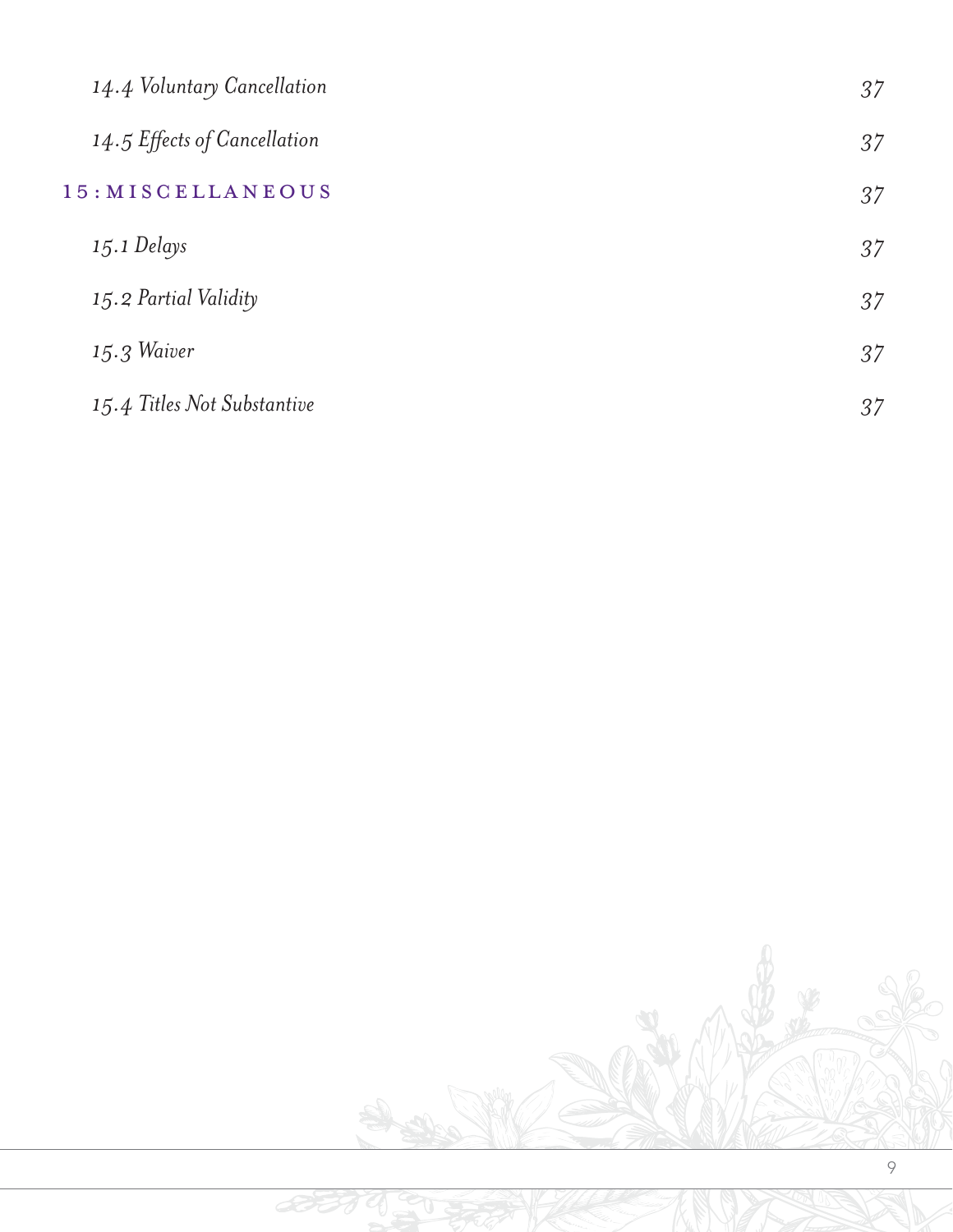| 14.4 Voluntary Cancellation  | 37 |
|------------------------------|----|
| 14.5 Effects of Cancellation | 37 |
| 15: MISCELLANEOUS            | 37 |
| $15.1$ Delays                | 37 |
| 15.2 Partial Validity        | 37 |
| $15.3$ Waiver                | 37 |
| 15.4 Titles Not Substantive  | 37 |

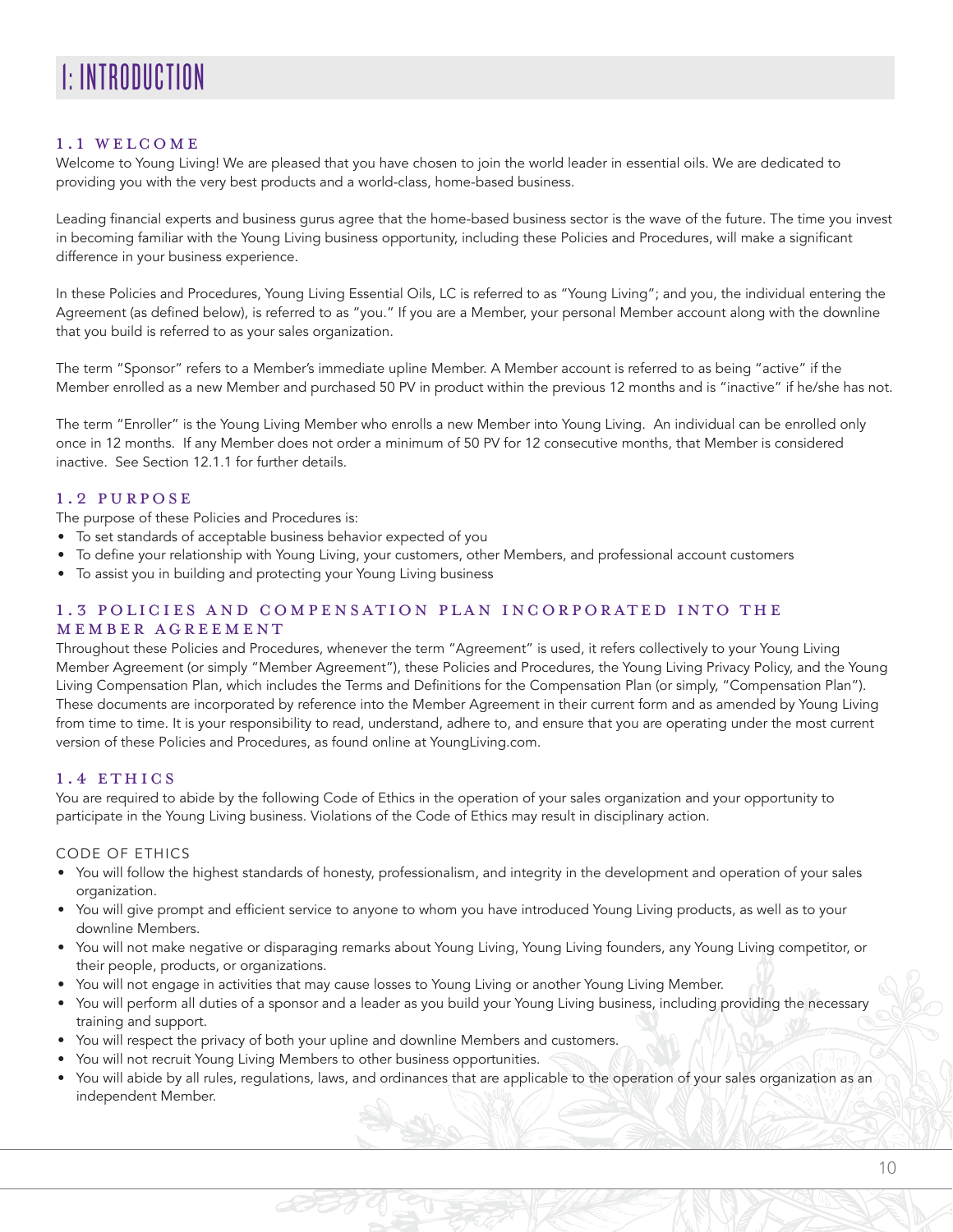# 1: INTRODUCTION

#### 1.1 WELCOME

Welcome to Young Living! We are pleased that you have chosen to join the world leader in essential oils. We are dedicated to providing you with the very best products and a world-class, home-based business.

Leading financial experts and business gurus agree that the home-based business sector is the wave of the future. The time you invest in becoming familiar with the Young Living business opportunity, including these Policies and Procedures, will make a significant difference in your business experience.

In these Policies and Procedures, Young Living Essential Oils, LC is referred to as "Young Living"; and you, the individual entering the Agreement (as defined below), is referred to as "you." If you are a Member, your personal Member account along with the downline that you build is referred to as your sales organization.

The term "Sponsor" refers to a Member's immediate upline Member. A Member account is referred to as being "active" if the Member enrolled as a new Member and purchased 50 PV in product within the previous 12 months and is "inactive" if he/she has not.

The term "Enroller" is the Young Living Member who enrolls a new Member into Young Living. An individual can be enrolled only once in 12 months. If any Member does not order a minimum of 50 PV for 12 consecutive months, that Member is considered inactive. See Section 12.1.1 for further details.

#### 1.2 PURPOSE

The purpose of these Policies and Procedures is:

- To set standards of acceptable business behavior expected of you
- To define your relationship with Young Living, your customers, other Members, and professional account customers
- To assist you in building and protecting your Young Living business

#### 1.3 POLICIES AND COMPENSATION PLAN INCORPORATED INTO THE MEMBER AGREEMENT

Throughout these Policies and Procedures, whenever the term "Agreement" is used, it refers collectively to your Young Living Member Agreement (or simply "Member Agreement"), these Policies and Procedures, the Young Living Privacy Policy, and the Young Living Compensation Plan, which includes the Terms and Definitions for the Compensation Plan (or simply, "Compensation Plan"). These documents are incorporated by reference into the Member Agreement in their current form and as amended by Young Living from time to time. It is your responsibility to read, understand, adhere to, and ensure that you are operating under the most current version of these Policies and Procedures, as found online at YoungLiving.com.

#### 1.4 ETHICS

You are required to abide by the following Code of Ethics in the operation of your sales organization and your opportunity to participate in the Young Living business. Violations of the Code of Ethics may result in disciplinary action.

#### CODE OF ETHICS

- You will follow the highest standards of honesty, professionalism, and integrity in the development and operation of your sales organization.
- You will give prompt and efficient service to anyone to whom you have introduced Young Living products, as well as to your downline Members.
- You will not make negative or disparaging remarks about Young Living, Young Living founders, any Young Living competitor, or their people, products, or organizations.
- You will not engage in activities that may cause losses to Young Living or another Young Living Member.
- You will perform all duties of a sponsor and a leader as you build your Young Living business, including providing the necessary training and support.
- You will respect the privacy of both your upline and downline Members and customers.
- You will not recruit Young Living Members to other business opportunities.
- You will abide by all rules, regulations, laws, and ordinances that are applicable to the operation of your sales organization as an independent Member.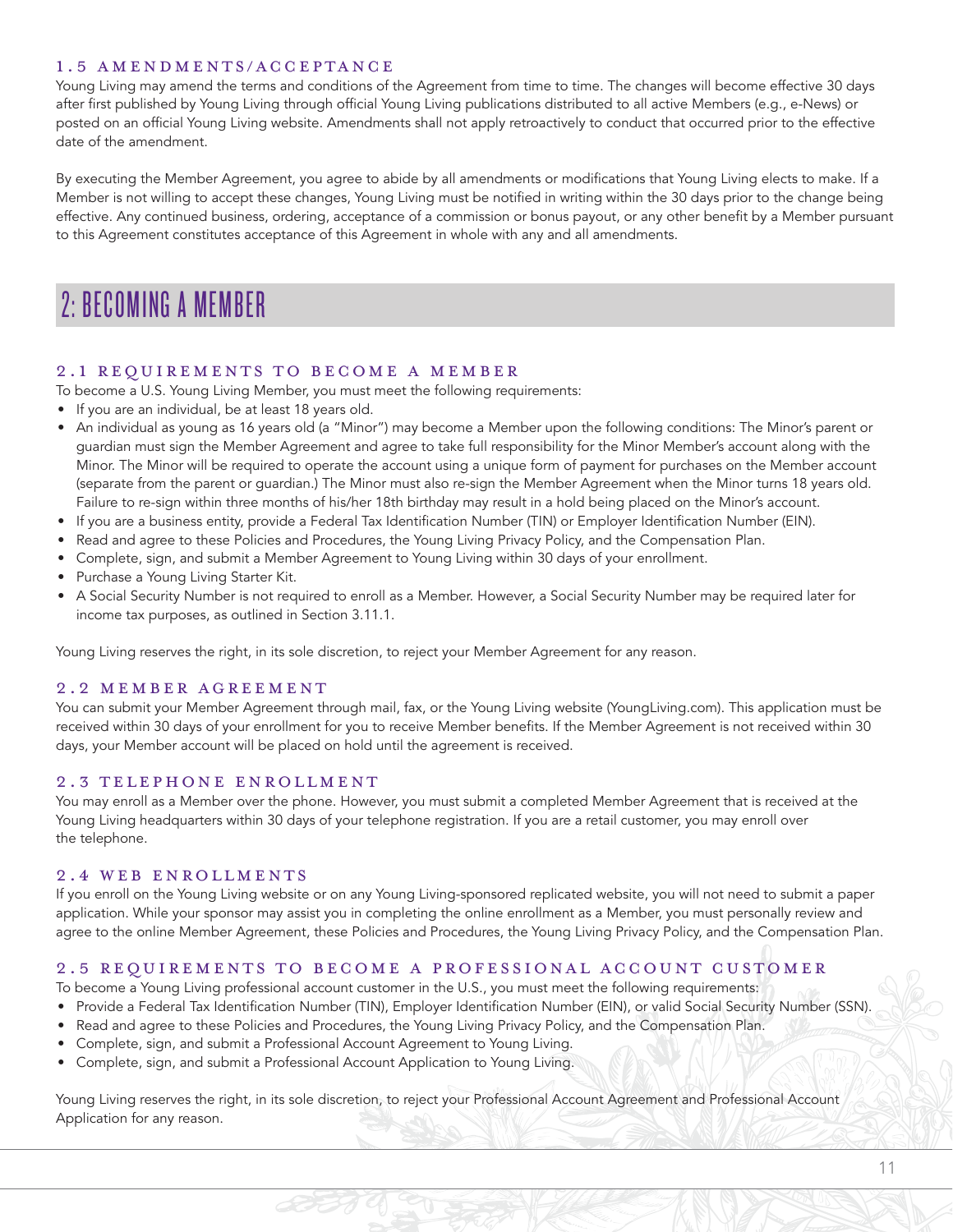#### 1.5 AMENDMENTS/ACCEPTANCE

Young Living may amend the terms and conditions of the Agreement from time to time. The changes will become effective 30 days after first published by Young Living through official Young Living publications distributed to all active Members (e.g., e-News) or posted on an official Young Living website. Amendments shall not apply retroactively to conduct that occurred prior to the effective date of the amendment.

By executing the Member Agreement, you agree to abide by all amendments or modifications that Young Living elects to make. If a Member is not willing to accept these changes, Young Living must be notified in writing within the 30 days prior to the change being effective. Any continued business, ordering, acceptance of a commission or bonus payout, or any other benefit by a Member pursuant to this Agreement constitutes acceptance of this Agreement in whole with any and all amendments.

## 2: BECOMING A MEMBER

#### 2.1 REQUIREMENTS TO BECOME A MEMBER

To become a U.S. Young Living Member, you must meet the following requirements:

- If you are an individual, be at least 18 years old.
- An individual as young as 16 years old (a "Minor") may become a Member upon the following conditions: The Minor's parent or guardian must sign the Member Agreement and agree to take full responsibility for the Minor Member's account along with the Minor. The Minor will be required to operate the account using a unique form of payment for purchases on the Member account (separate from the parent or guardian.) The Minor must also re-sign the Member Agreement when the Minor turns 18 years old. Failure to re-sign within three months of his/her 18th birthday may result in a hold being placed on the Minor's account.
- If you are a business entity, provide a Federal Tax Identification Number (TIN) or Employer Identification Number (EIN).
- Read and agree to these Policies and Procedures, the Young Living Privacy Policy, and the Compensation Plan.
- Complete, sign, and submit a Member Agreement to Young Living within 30 days of your enrollment.
- Purchase a Young Living Starter Kit.
- A Social Security Number is not required to enroll as a Member. However, a Social Security Number may be required later for income tax purposes, as outlined in Section 3.11.1.

Young Living reserves the right, in its sole discretion, to reject your Member Agreement for any reason.

#### 2.2 MEMBER AGREEMENT

You can submit your Member Agreement through mail, fax, or the Young Living website (YoungLiving.com). This application must be received within 30 days of your enrollment for you to receive Member benefits. If the Member Agreement is not received within 30 days, your Member account will be placed on hold until the agreement is received.

#### 2.3 TELEPHONE ENROLLMENT

You may enroll as a Member over the phone. However, you must submit a completed Member Agreement that is received at the Young Living headquarters within 30 days of your telephone registration. If you are a retail customer, you may enroll over the telephone.

#### 2.4 WEB ENROLLMENTS

If you enroll on the Young Living website or on any Young Living-sponsored replicated website, you will not need to submit a paper application. While your sponsor may assist you in completing the online enrollment as a Member, you must personally review and agree to the online Member Agreement, these Policies and Procedures, the Young Living Privacy Policy, and the Compensation Plan.

#### 2.5 REQUIREMENTS TO BECOME A PROFESSIONAL ACCOUNT CUSTOMER

To become a Young Living professional account customer in the U.S., you must meet the following requirements:

- Provide a Federal Tax Identification Number (TIN), Employer Identification Number (EIN), or valid Social Security Number (SSN).
- Read and agree to these Policies and Procedures, the Young Living Privacy Policy, and the Compensation Plan.
- Complete, sign, and submit a Professional Account Agreement to Young Living.
- Complete, sign, and submit a Professional Account Application to Young Living.

Young Living reserves the right, in its sole discretion, to reject your Professional Account Agreement and Professional Account Application for any reason.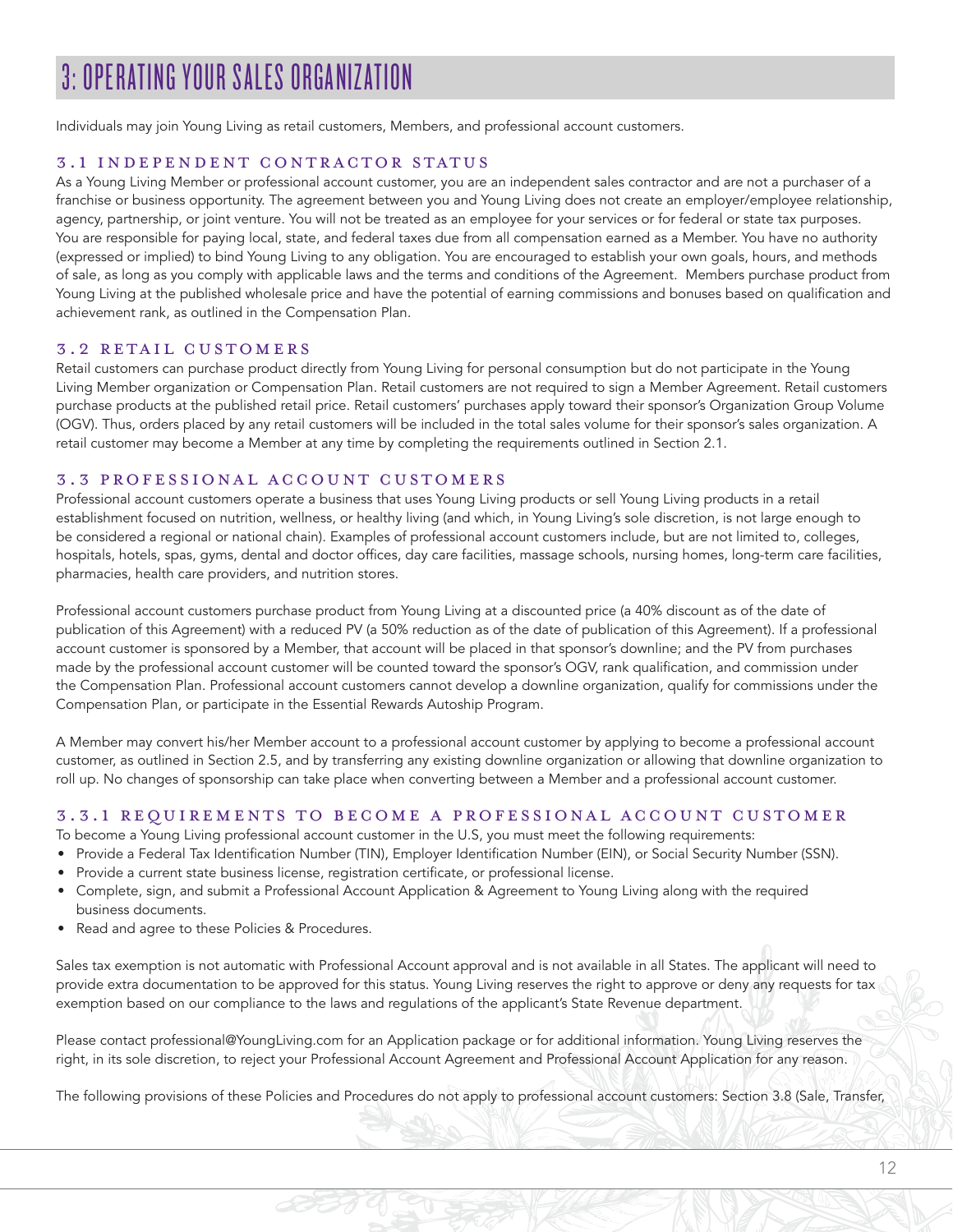# 3: OPERATING YOUR SALES ORGANIZATION

Individuals may join Young Living as retail customers, Members, and professional account customers.

#### 3.1 INDEPENDENT CONTRACTOR STATUS

As a Young Living Member or professional account customer, you are an independent sales contractor and are not a purchaser of a franchise or business opportunity. The agreement between you and Young Living does not create an employer/employee relationship, agency, partnership, or joint venture. You will not be treated as an employee for your services or for federal or state tax purposes. You are responsible for paying local, state, and federal taxes due from all compensation earned as a Member. You have no authority (expressed or implied) to bind Young Living to any obligation. You are encouraged to establish your own goals, hours, and methods of sale, as long as you comply with applicable laws and the terms and conditions of the Agreement. Members purchase product from Young Living at the published wholesale price and have the potential of earning commissions and bonuses based on qualification and achievement rank, as outlined in the Compensation Plan.

#### 3.2 RETAIL CUSTOMERS

Retail customers can purchase product directly from Young Living for personal consumption but do not participate in the Young Living Member organization or Compensation Plan. Retail customers are not required to sign a Member Agreement. Retail customers purchase products at the published retail price. Retail customers' purchases apply toward their sponsor's Organization Group Volume (OGV). Thus, orders placed by any retail customers will be included in the total sales volume for their sponsor's sales organization. A retail customer may become a Member at any time by completing the requirements outlined in Section 2.1.

#### 3.3 PROFESSIONAL ACCOUNT CUSTOMERS

Professional account customers operate a business that uses Young Living products or sell Young Living products in a retail establishment focused on nutrition, wellness, or healthy living (and which, in Young Living's sole discretion, is not large enough to be considered a regional or national chain). Examples of professional account customers include, but are not limited to, colleges, hospitals, hotels, spas, gyms, dental and doctor offices, day care facilities, massage schools, nursing homes, long-term care facilities, pharmacies, health care providers, and nutrition stores.

Professional account customers purchase product from Young Living at a discounted price (a 40% discount as of the date of publication of this Agreement) with a reduced PV (a 50% reduction as of the date of publication of this Agreement). If a professional account customer is sponsored by a Member, that account will be placed in that sponsor's downline; and the PV from purchases made by the professional account customer will be counted toward the sponsor's OGV, rank qualification, and commission under the Compensation Plan. Professional account customers cannot develop a downline organization, qualify for commissions under the Compensation Plan, or participate in the Essential Rewards Autoship Program.

A Member may convert his/her Member account to a professional account customer by applying to become a professional account customer, as outlined in Section 2.5, and by transferring any existing downline organization or allowing that downline organization to roll up. No changes of sponsorship can take place when converting between a Member and a professional account customer.

#### 3.3.1 REQUIREMENTS TO BECOME A PROFESSIONAL ACCOUNT CUSTOMER

To become a Young Living professional account customer in the U.S, you must meet the following requirements:

- Provide a Federal Tax Identification Number (TIN), Employer Identification Number (EIN), or Social Security Number (SSN).
- Provide a current state business license, registration certificate, or professional license.
- Complete, sign, and submit a Professional Account Application & Agreement to Young Living along with the required business documents.
- Read and agree to these Policies & Procedures.

Sales tax exemption is not automatic with Professional Account approval and is not available in all States. The applicant will need to provide extra documentation to be approved for this status. Young Living reserves the right to approve or deny any requests for tax exemption based on our compliance to the laws and regulations of the applicant's State Revenue department.

Please contact professional@YoungLiving.com for an Application package or for additional information. Young Living reserves the right, in its sole discretion, to reject your Professional Account Agreement and Professional Account Application for any reason.

The following provisions of these Policies and Procedures do not apply to professional account customers: Section 3.8 (Sale, Transfer,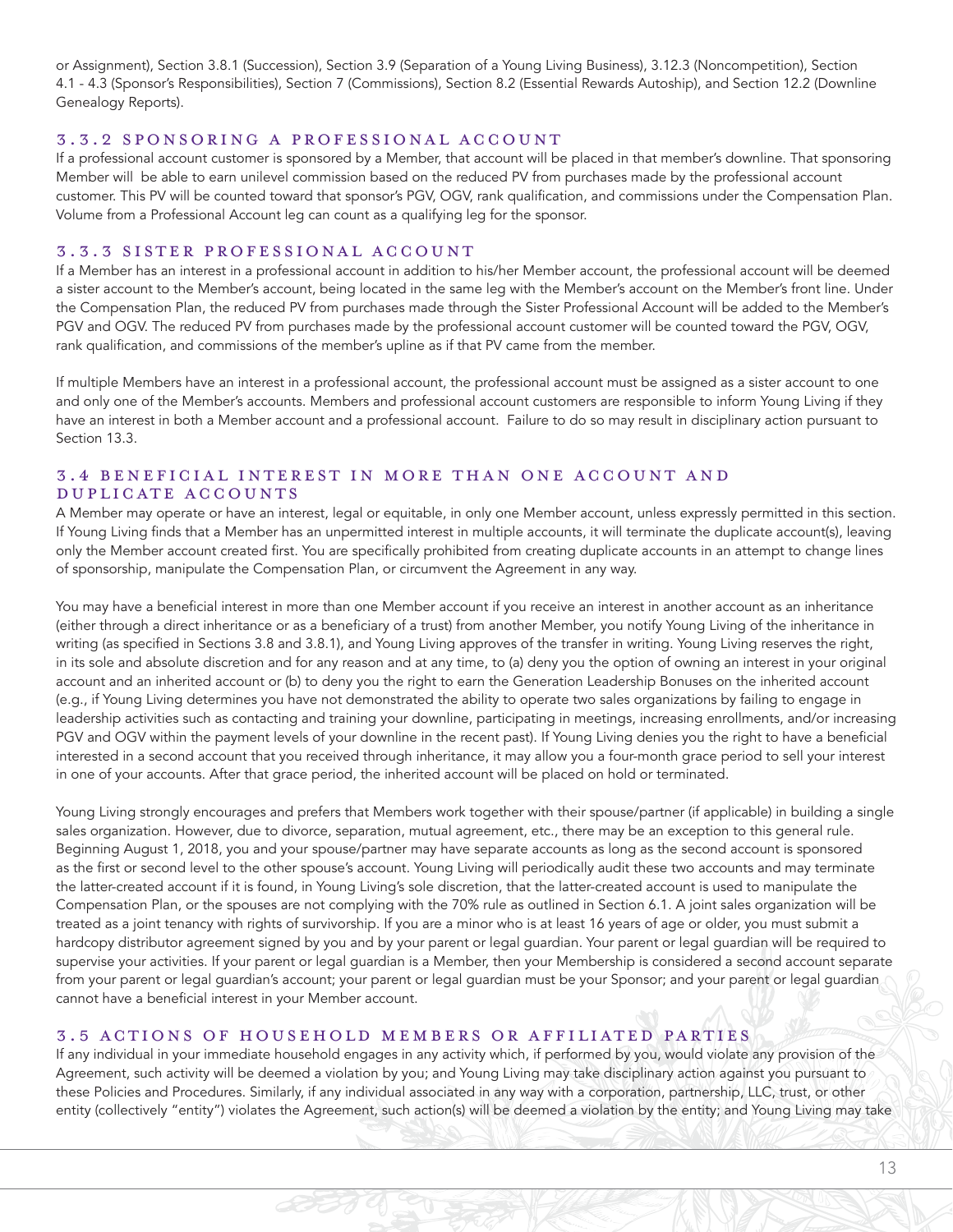or Assignment), Section 3.8.1 (Succession), Section 3.9 (Separation of a Young Living Business), 3.12.3 (Noncompetition), Section 4.1 - 4.3 (Sponsor's Responsibilities), Section 7 (Commissions), Section 8.2 (Essential Rewards Autoship), and Section 12.2 (Downline Genealogy Reports).

#### 3.3.2 SPONSORING A PROFESSIONAL ACCOUNT

If a professional account customer is sponsored by a Member, that account will be placed in that member's downline. That sponsoring Member will be able to earn unilevel commission based on the reduced PV from purchases made by the professional account customer. This PV will be counted toward that sponsor's PGV, OGV, rank qualification, and commissions under the Compensation Plan. Volume from a Professional Account leg can count as a qualifying leg for the sponsor.

#### 3.3.3 SISTER PROFESSIONAL ACCOUNT

If a Member has an interest in a professional account in addition to his/her Member account, the professional account will be deemed a sister account to the Member's account, being located in the same leg with the Member's account on the Member's front line. Under the Compensation Plan, the reduced PV from purchases made through the Sister Professional Account will be added to the Member's PGV and OGV. The reduced PV from purchases made by the professional account customer will be counted toward the PGV, OGV, rank qualification, and commissions of the member's upline as if that PV came from the member.

If multiple Members have an interest in a professional account, the professional account must be assigned as a sister account to one and only one of the Member's accounts. Members and professional account customers are responsible to inform Young Living if they have an interest in both a Member account and a professional account. Failure to do so may result in disciplinary action pursuant to Section 13.3.

# 3.4 BENEFICIAL INTEREST IN MORE THAN ONE ACCOUNT AND DUPLICATE ACCOUNTS

A Member may operate or have an interest, legal or equitable, in only one Member account, unless expressly permitted in this section. If Young Living finds that a Member has an unpermitted interest in multiple accounts, it will terminate the duplicate account(s), leaving only the Member account created first. You are specifically prohibited from creating duplicate accounts in an attempt to change lines of sponsorship, manipulate the Compensation Plan, or circumvent the Agreement in any way.

You may have a beneficial interest in more than one Member account if you receive an interest in another account as an inheritance (either through a direct inheritance or as a beneficiary of a trust) from another Member, you notify Young Living of the inheritance in writing (as specified in Sections 3.8 and 3.8.1), and Young Living approves of the transfer in writing. Young Living reserves the right, in its sole and absolute discretion and for any reason and at any time, to (a) deny you the option of owning an interest in your original account and an inherited account or (b) to deny you the right to earn the Generation Leadership Bonuses on the inherited account (e.g., if Young Living determines you have not demonstrated the ability to operate two sales organizations by failing to engage in leadership activities such as contacting and training your downline, participating in meetings, increasing enrollments, and/or increasing PGV and OGV within the payment levels of your downline in the recent past). If Young Living denies you the right to have a beneficial interested in a second account that you received through inheritance, it may allow you a four-month grace period to sell your interest in one of your accounts. After that grace period, the inherited account will be placed on hold or terminated.

Young Living strongly encourages and prefers that Members work together with their spouse/partner (if applicable) in building a single sales organization. However, due to divorce, separation, mutual agreement, etc., there may be an exception to this general rule. Beginning August 1, 2018, you and your spouse/partner may have separate accounts as long as the second account is sponsored as the first or second level to the other spouse's account. Young Living will periodically audit these two accounts and may terminate the latter-created account if it is found, in Young Living's sole discretion, that the latter-created account is used to manipulate the Compensation Plan, or the spouses are not complying with the 70% rule as outlined in Section 6.1. A joint sales organization will be treated as a joint tenancy with rights of survivorship. If you are a minor who is at least 16 years of age or older, you must submit a hardcopy distributor agreement signed by you and by your parent or legal guardian. Your parent or legal guardian will be required to supervise your activities. If your parent or legal guardian is a Member, then your Membership is considered a second account separate from your parent or legal guardian's account; your parent or legal guardian must be your Sponsor; and your parent or legal guardian cannot have a beneficial interest in your Member account.

#### 3.5 ACTIONS OF HOUSEHOLD MEMBERS OR AFFILIATED PARTIES

If any individual in your immediate household engages in any activity which, if performed by you, would violate any provision of the Agreement, such activity will be deemed a violation by you; and Young Living may take disciplinary action against you pursuant to these Policies and Procedures. Similarly, if any individual associated in any way with a corporation, partnership, LLC, trust, or other entity (collectively "entity") violates the Agreement, such action(s) will be deemed a violation by the entity; and Young Living may take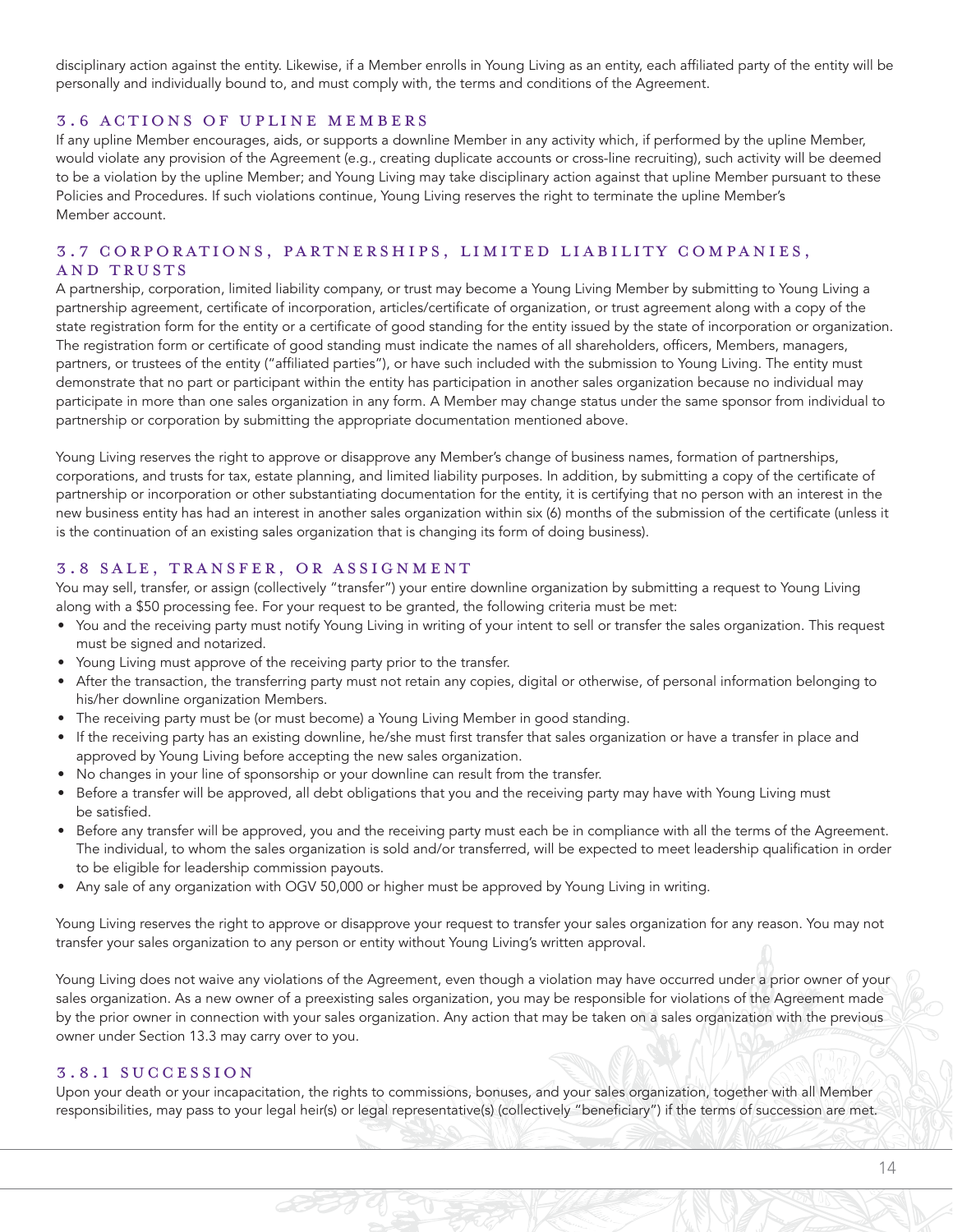disciplinary action against the entity. Likewise, if a Member enrolls in Young Living as an entity, each affiliated party of the entity will be personally and individually bound to, and must comply with, the terms and conditions of the Agreement.

#### 3.6 ACTIONS OF UPLINE MEMBERS

If any upline Member encourages, aids, or supports a downline Member in any activity which, if performed by the upline Member, would violate any provision of the Agreement (e.g., creating duplicate accounts or cross-line recruiting), such activity will be deemed to be a violation by the upline Member; and Young Living may take disciplinary action against that upline Member pursuant to these Policies and Procedures. If such violations continue, Young Living reserves the right to terminate the upline Member's Member account.

# 3.7 CORPORATIONS, PARTNERSHIPS, LIMITED LIABILITY COMPANIES, AND TRUSTS

A partnership, corporation, limited liability company, or trust may become a Young Living Member by submitting to Young Living a partnership agreement, certificate of incorporation, articles/certificate of organization, or trust agreement along with a copy of the state registration form for the entity or a certificate of good standing for the entity issued by the state of incorporation or organization. The registration form or certificate of good standing must indicate the names of all shareholders, officers, Members, managers, partners, or trustees of the entity ("affiliated parties"), or have such included with the submission to Young Living. The entity must demonstrate that no part or participant within the entity has participation in another sales organization because no individual may participate in more than one sales organization in any form. A Member may change status under the same sponsor from individual to partnership or corporation by submitting the appropriate documentation mentioned above.

Young Living reserves the right to approve or disapprove any Member's change of business names, formation of partnerships, corporations, and trusts for tax, estate planning, and limited liability purposes. In addition, by submitting a copy of the certificate of partnership or incorporation or other substantiating documentation for the entity, it is certifying that no person with an interest in the new business entity has had an interest in another sales organization within six (6) months of the submission of the certificate (unless it is the continuation of an existing sales organization that is changing its form of doing business).

#### 3.8 SALE, TRANSFER, OR ASSIGNMENT

You may sell, transfer, or assign (collectively "transfer") your entire downline organization by submitting a request to Young Living along with a \$50 processing fee. For your request to be granted, the following criteria must be met:

- You and the receiving party must notify Young Living in writing of your intent to sell or transfer the sales organization. This request must be signed and notarized.
- Young Living must approve of the receiving party prior to the transfer.
- After the transaction, the transferring party must not retain any copies, digital or otherwise, of personal information belonging to his/her downline organization Members.
- The receiving party must be (or must become) a Young Living Member in good standing.
- If the receiving party has an existing downline, he/she must first transfer that sales organization or have a transfer in place and approved by Young Living before accepting the new sales organization.
- No changes in your line of sponsorship or your downline can result from the transfer.
- Before a transfer will be approved, all debt obligations that you and the receiving party may have with Young Living must be satisfied.
- Before any transfer will be approved, you and the receiving party must each be in compliance with all the terms of the Agreement. The individual, to whom the sales organization is sold and/or transferred, will be expected to meet leadership qualification in order to be eligible for leadership commission payouts.
- Any sale of any organization with OGV 50,000 or higher must be approved by Young Living in writing.

Young Living reserves the right to approve or disapprove your request to transfer your sales organization for any reason. You may not transfer your sales organization to any person or entity without Young Living's written approval.

Young Living does not waive any violations of the Agreement, even though a violation may have occurred under a prior owner of your sales organization. As a new owner of a preexisting sales organization, you may be responsible for violations of the Agreement made by the prior owner in connection with your sales organization. Any action that may be taken on a sales organization with the previous owner under Section 13.3 may carry over to you.

#### 3.8.1 SUCCESSION

Upon your death or your incapacitation, the rights to commissions, bonuses, and your sales organization, together with all Member responsibilities, may pass to your legal heir(s) or legal representative(s) (collectively "beneficiary") if the terms of succession are met.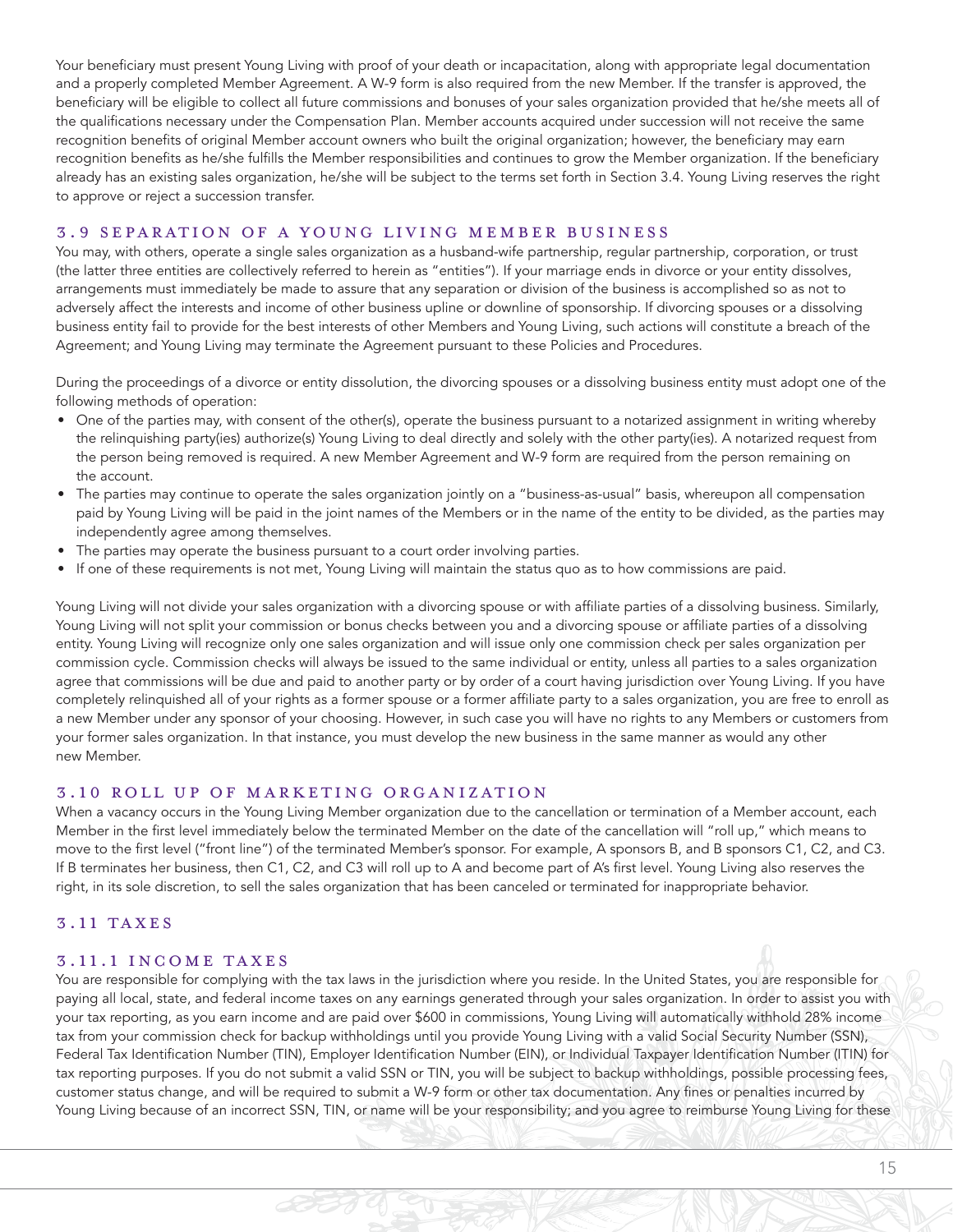Your beneficiary must present Young Living with proof of your death or incapacitation, along with appropriate legal documentation and a properly completed Member Agreement. A W-9 form is also required from the new Member. If the transfer is approved, the beneficiary will be eligible to collect all future commissions and bonuses of your sales organization provided that he/she meets all of the qualifications necessary under the Compensation Plan. Member accounts acquired under succession will not receive the same recognition benefits of original Member account owners who built the original organization; however, the beneficiary may earn recognition benefits as he/she fulfills the Member responsibilities and continues to grow the Member organization. If the beneficiary already has an existing sales organization, he/she will be subject to the terms set forth in Section 3.4. Young Living reserves the right to approve or reject a succession transfer.

#### 3.9 SEPARATION OF A YOUNG LIVING MEMBER BUSINESS

You may, with others, operate a single sales organization as a husband-wife partnership, regular partnership, corporation, or trust (the latter three entities are collectively referred to herein as "entities"). If your marriage ends in divorce or your entity dissolves, arrangements must immediately be made to assure that any separation or division of the business is accomplished so as not to adversely affect the interests and income of other business upline or downline of sponsorship. If divorcing spouses or a dissolving business entity fail to provide for the best interests of other Members and Young Living, such actions will constitute a breach of the Agreement; and Young Living may terminate the Agreement pursuant to these Policies and Procedures.

During the proceedings of a divorce or entity dissolution, the divorcing spouses or a dissolving business entity must adopt one of the following methods of operation:

- One of the parties may, with consent of the other(s), operate the business pursuant to a notarized assignment in writing whereby the relinquishing party(ies) authorize(s) Young Living to deal directly and solely with the other party(ies). A notarized request from the person being removed is required. A new Member Agreement and W-9 form are required from the person remaining on the account.
- The parties may continue to operate the sales organization jointly on a "business-as-usual" basis, whereupon all compensation paid by Young Living will be paid in the joint names of the Members or in the name of the entity to be divided, as the parties may independently agree among themselves.
- The parties may operate the business pursuant to a court order involving parties.
- If one of these requirements is not met, Young Living will maintain the status quo as to how commissions are paid.

Young Living will not divide your sales organization with a divorcing spouse or with affiliate parties of a dissolving business. Similarly, Young Living will not split your commission or bonus checks between you and a divorcing spouse or affiliate parties of a dissolving entity. Young Living will recognize only one sales organization and will issue only one commission check per sales organization per commission cycle. Commission checks will always be issued to the same individual or entity, unless all parties to a sales organization agree that commissions will be due and paid to another party or by order of a court having jurisdiction over Young Living. If you have completely relinquished all of your rights as a former spouse or a former affiliate party to a sales organization, you are free to enroll as a new Member under any sponsor of your choosing. However, in such case you will have no rights to any Members or customers from your former sales organization. In that instance, you must develop the new business in the same manner as would any other new Member.

#### 3.10 ROLL UP OF MARKETING ORGANIZATION

When a vacancy occurs in the Young Living Member organization due to the cancellation or termination of a Member account, each Member in the first level immediately below the terminated Member on the date of the cancellation will "roll up," which means to move to the first level ("front line") of the terminated Member's sponsor. For example, A sponsors B, and B sponsors C1, C2, and C3. If B terminates her business, then C1, C2, and C3 will roll up to A and become part of A's first level. Young Living also reserves the right, in its sole discretion, to sell the sales organization that has been canceled or terminated for inappropriate behavior.

#### 3.11 TAXES

#### 3.11.1 INCOME TAXES

You are responsible for complying with the tax laws in the jurisdiction where you reside. In the United States, you are responsible for paying all local, state, and federal income taxes on any earnings generated through your sales organization. In order to assist you with your tax reporting, as you earn income and are paid over \$600 in commissions, Young Living will automatically withhold 28% income tax from your commission check for backup withholdings until you provide Young Living with a valid Social Security Number (SSN), Federal Tax Identification Number (TIN), Employer Identification Number (EIN), or Individual Taxpayer Identification Number (ITIN) for tax reporting purposes. If you do not submit a valid SSN or TIN, you will be subject to backup withholdings, possible processing fees, customer status change, and will be required to submit a W-9 form or other tax documentation. Any fines or penalties incurred by Young Living because of an incorrect SSN, TIN, or name will be your responsibility; and you agree to reimburse Young Living for these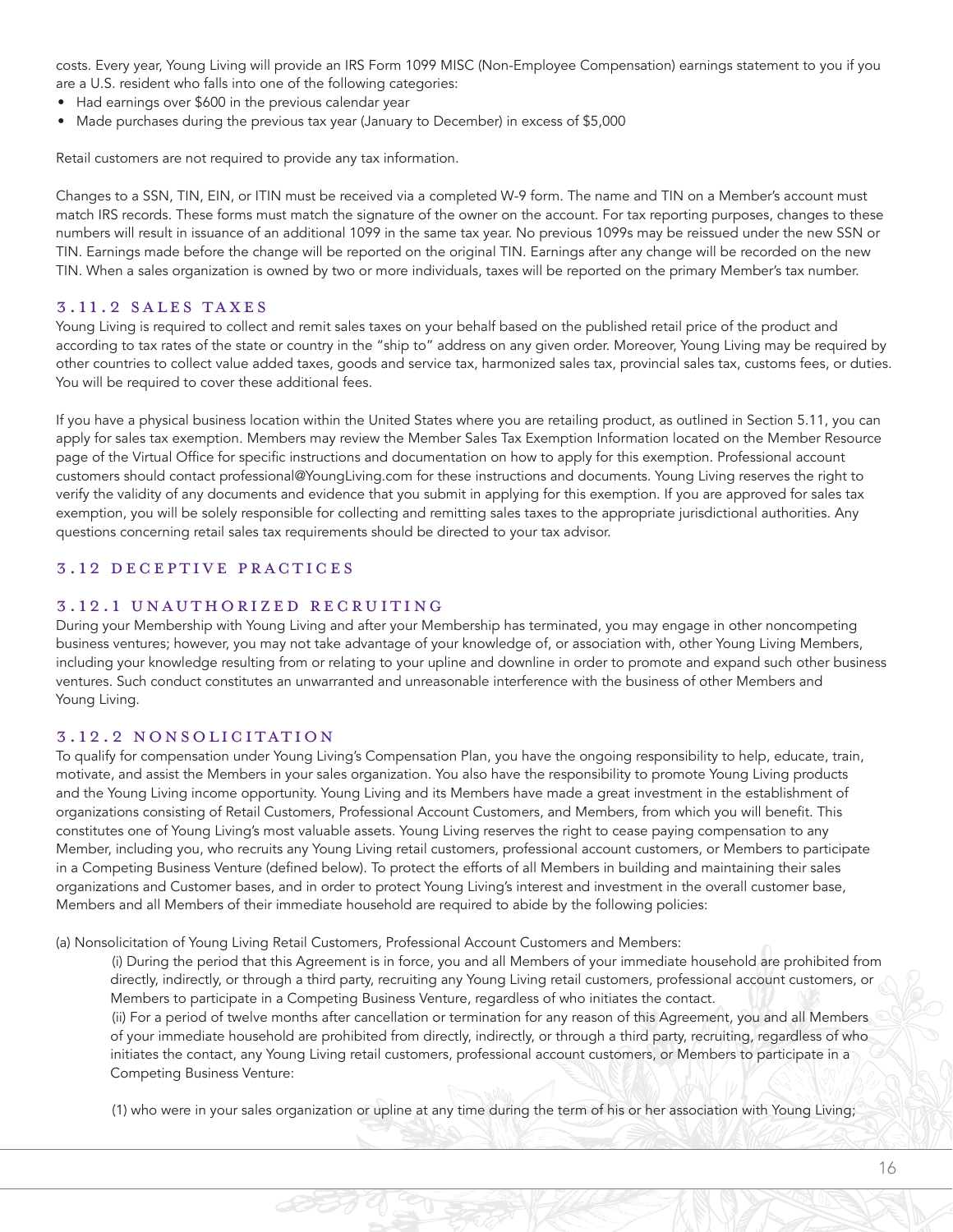costs. Every year, Young Living will provide an IRS Form 1099 MISC (Non-Employee Compensation) earnings statement to you if you are a U.S. resident who falls into one of the following categories:

- Had earnings over \$600 in the previous calendar year
- Made purchases during the previous tax year (January to December) in excess of \$5,000

Retail customers are not required to provide any tax information.

Changes to a SSN, TIN, EIN, or ITIN must be received via a completed W-9 form. The name and TIN on a Member's account must match IRS records. These forms must match the signature of the owner on the account. For tax reporting purposes, changes to these numbers will result in issuance of an additional 1099 in the same tax year. No previous 1099s may be reissued under the new SSN or TIN. Earnings made before the change will be reported on the original TIN. Earnings after any change will be recorded on the new TIN. When a sales organization is owned by two or more individuals, taxes will be reported on the primary Member's tax number.

#### 3.11.2 SALES TAXES

Young Living is required to collect and remit sales taxes on your behalf based on the published retail price of the product and according to tax rates of the state or country in the "ship to" address on any given order. Moreover, Young Living may be required by other countries to collect value added taxes, goods and service tax, harmonized sales tax, provincial sales tax, customs fees, or duties. You will be required to cover these additional fees.

If you have a physical business location within the United States where you are retailing product, as outlined in Section 5.11, you can apply for sales tax exemption. Members may review the Member Sales Tax Exemption Information located on the Member Resource page of the Virtual Office for specific instructions and documentation on how to apply for this exemption. Professional account customers should contact professional@YoungLiving.com for these instructions and documents. Young Living reserves the right to verify the validity of any documents and evidence that you submit in applying for this exemption. If you are approved for sales tax exemption, you will be solely responsible for collecting and remitting sales taxes to the appropriate jurisdictional authorities. Any questions concerning retail sales tax requirements should be directed to your tax advisor.

#### 3.12 DECEPTIVE PRACTICES

#### 3.12.1 UNAUTHORIZED RECRUITING

During your Membership with Young Living and after your Membership has terminated, you may engage in other noncompeting business ventures; however, you may not take advantage of your knowledge of, or association with, other Young Living Members, including your knowledge resulting from or relating to your upline and downline in order to promote and expand such other business ventures. Such conduct constitutes an unwarranted and unreasonable interference with the business of other Members and Young Living.

#### 3.12.2 NONSOLICITATION

To qualify for compensation under Young Living's Compensation Plan, you have the ongoing responsibility to help, educate, train, motivate, and assist the Members in your sales organization. You also have the responsibility to promote Young Living products and the Young Living income opportunity. Young Living and its Members have made a great investment in the establishment of organizations consisting of Retail Customers, Professional Account Customers, and Members, from which you will benefit. This constitutes one of Young Living's most valuable assets. Young Living reserves the right to cease paying compensation to any Member, including you, who recruits any Young Living retail customers, professional account customers, or Members to participate in a Competing Business Venture (defined below). To protect the efforts of all Members in building and maintaining their sales organizations and Customer bases, and in order to protect Young Living's interest and investment in the overall customer base, Members and all Members of their immediate household are required to abide by the following policies:

(a) Nonsolicitation of Young Living Retail Customers, Professional Account Customers and Members:

(i) During the period that this Agreement is in force, you and all Members of your immediate household are prohibited from directly, indirectly, or through a third party, recruiting any Young Living retail customers, professional account customers, or Members to participate in a Competing Business Venture, regardless of who initiates the contact. (ii) For a period of twelve months after cancellation or termination for any reason of this Agreement, you and all Members of your immediate household are prohibited from directly, indirectly, or through a third party, recruiting, regardless of who initiates the contact, any Young Living retail customers, professional account customers, or Members to participate in a Competing Business Venture:

(1) who were in your sales organization or upline at any time during the term of his or her association with Young Living;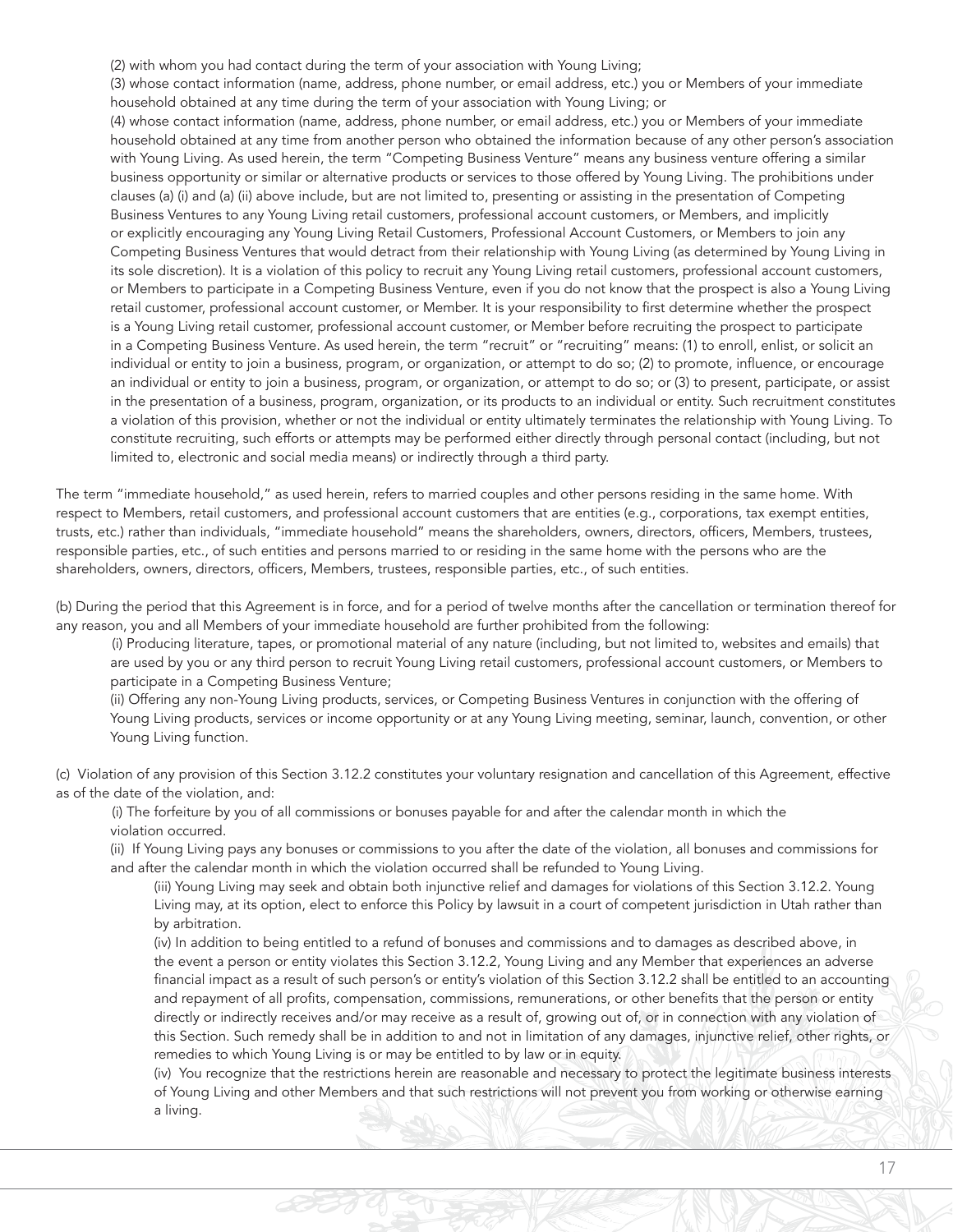(2) with whom you had contact during the term of your association with Young Living;

(3) whose contact information (name, address, phone number, or email address, etc.) you or Members of your immediate household obtained at any time during the term of your association with Young Living; or

(4) whose contact information (name, address, phone number, or email address, etc.) you or Members of your immediate household obtained at any time from another person who obtained the information because of any other person's association with Young Living. As used herein, the term "Competing Business Venture" means any business venture offering a similar business opportunity or similar or alternative products or services to those offered by Young Living. The prohibitions under clauses (a) (i) and (a) (ii) above include, but are not limited to, presenting or assisting in the presentation of Competing Business Ventures to any Young Living retail customers, professional account customers, or Members, and implicitly or explicitly encouraging any Young Living Retail Customers, Professional Account Customers, or Members to join any Competing Business Ventures that would detract from their relationship with Young Living (as determined by Young Living in its sole discretion). It is a violation of this policy to recruit any Young Living retail customers, professional account customers, or Members to participate in a Competing Business Venture, even if you do not know that the prospect is also a Young Living retail customer, professional account customer, or Member. It is your responsibility to first determine whether the prospect is a Young Living retail customer, professional account customer, or Member before recruiting the prospect to participate in a Competing Business Venture. As used herein, the term "recruit" or "recruiting" means: (1) to enroll, enlist, or solicit an individual or entity to join a business, program, or organization, or attempt to do so; (2) to promote, influence, or encourage an individual or entity to join a business, program, or organization, or attempt to do so; or (3) to present, participate, or assist in the presentation of a business, program, organization, or its products to an individual or entity. Such recruitment constitutes a violation of this provision, whether or not the individual or entity ultimately terminates the relationship with Young Living. To constitute recruiting, such efforts or attempts may be performed either directly through personal contact (including, but not limited to, electronic and social media means) or indirectly through a third party.

The term "immediate household," as used herein, refers to married couples and other persons residing in the same home. With respect to Members, retail customers, and professional account customers that are entities (e.g., corporations, tax exempt entities, trusts, etc.) rather than individuals, "immediate household" means the shareholders, owners, directors, officers, Members, trustees, responsible parties, etc., of such entities and persons married to or residing in the same home with the persons who are the shareholders, owners, directors, officers, Members, trustees, responsible parties, etc., of such entities.

(b) During the period that this Agreement is in force, and for a period of twelve months after the cancellation or termination thereof for any reason, you and all Members of your immediate household are further prohibited from the following:

(i) Producing literature, tapes, or promotional material of any nature (including, but not limited to, websites and emails) that are used by you or any third person to recruit Young Living retail customers, professional account customers, or Members to participate in a Competing Business Venture;

(ii) Offering any non-Young Living products, services, or Competing Business Ventures in conjunction with the offering of Young Living products, services or income opportunity or at any Young Living meeting, seminar, launch, convention, or other Young Living function.

(c) Violation of any provision of this Section 3.12.2 constitutes your voluntary resignation and cancellation of this Agreement, effective as of the date of the violation, and:

(i) The forfeiture by you of all commissions or bonuses payable for and after the calendar month in which the violation occurred.

(ii) If Young Living pays any bonuses or commissions to you after the date of the violation, all bonuses and commissions for and after the calendar month in which the violation occurred shall be refunded to Young Living.

(iii) Young Living may seek and obtain both injunctive relief and damages for violations of this Section 3.12.2. Young Living may, at its option, elect to enforce this Policy by lawsuit in a court of competent jurisdiction in Utah rather than by arbitration.

(iv) In addition to being entitled to a refund of bonuses and commissions and to damages as described above, in the event a person or entity violates this Section 3.12.2, Young Living and any Member that experiences an adverse financial impact as a result of such person's or entity's violation of this Section 3.12.2 shall be entitled to an accounting and repayment of all profits, compensation, commissions, remunerations, or other benefits that the person or entity directly or indirectly receives and/or may receive as a result of, growing out of, or in connection with any violation of this Section. Such remedy shall be in addition to and not in limitation of any damages, injunctive relief, other rights, or remedies to which Young Living is or may be entitled to by law or in equity.

(iv) You recognize that the restrictions herein are reasonable and necessary to protect the legitimate business interests of Young Living and other Members and that such restrictions will not prevent you from working or otherwise earning a living.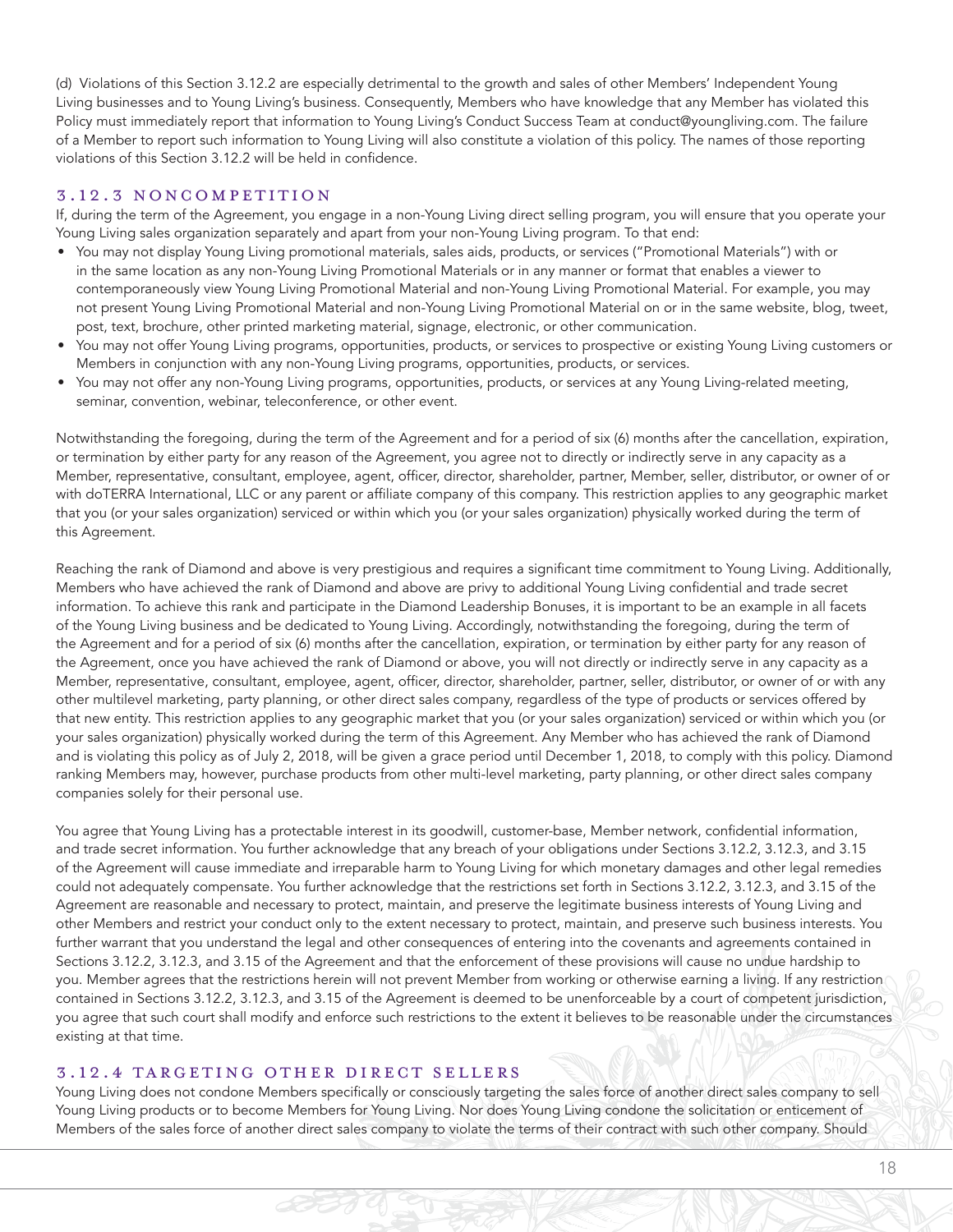(d) Violations of this Section 3.12.2 are especially detrimental to the growth and sales of other Members' Independent Young Living businesses and to Young Living's business. Consequently, Members who have knowledge that any Member has violated this Policy must immediately report that information to Young Living's Conduct Success Team at conduct@youngliving.com. The failure of a Member to report such information to Young Living will also constitute a violation of this policy. The names of those reporting violations of this Section 3.12.2 will be held in confidence.

#### 3.12.3 NONCOMPETITION

If, during the term of the Agreement, you engage in a non-Young Living direct selling program, you will ensure that you operate your Young Living sales organization separately and apart from your non-Young Living program. To that end:

- You may not display Young Living promotional materials, sales aids, products, or services ("Promotional Materials") with or in the same location as any non-Young Living Promotional Materials or in any manner or format that enables a viewer to contemporaneously view Young Living Promotional Material and non-Young Living Promotional Material. For example, you may not present Young Living Promotional Material and non-Young Living Promotional Material on or in the same website, blog, tweet, post, text, brochure, other printed marketing material, signage, electronic, or other communication.
- You may not offer Young Living programs, opportunities, products, or services to prospective or existing Young Living customers or Members in conjunction with any non-Young Living programs, opportunities, products, or services.
- You may not offer any non-Young Living programs, opportunities, products, or services at any Young Living-related meeting, seminar, convention, webinar, teleconference, or other event.

Notwithstanding the foregoing, during the term of the Agreement and for a period of six (6) months after the cancellation, expiration, or termination by either party for any reason of the Agreement, you agree not to directly or indirectly serve in any capacity as a Member, representative, consultant, employee, agent, officer, director, shareholder, partner, Member, seller, distributor, or owner of or with doTERRA International, LLC or any parent or affiliate company of this company. This restriction applies to any geographic market that you (or your sales organization) serviced or within which you (or your sales organization) physically worked during the term of this Agreement.

Reaching the rank of Diamond and above is very prestigious and requires a significant time commitment to Young Living. Additionally, Members who have achieved the rank of Diamond and above are privy to additional Young Living confidential and trade secret information. To achieve this rank and participate in the Diamond Leadership Bonuses, it is important to be an example in all facets of the Young Living business and be dedicated to Young Living. Accordingly, notwithstanding the foregoing, during the term of the Agreement and for a period of six (6) months after the cancellation, expiration, or termination by either party for any reason of the Agreement, once you have achieved the rank of Diamond or above, you will not directly or indirectly serve in any capacity as a Member, representative, consultant, employee, agent, officer, director, shareholder, partner, seller, distributor, or owner of or with any other multilevel marketing, party planning, or other direct sales company, regardless of the type of products or services offered by that new entity. This restriction applies to any geographic market that you (or your sales organization) serviced or within which you (or your sales organization) physically worked during the term of this Agreement. Any Member who has achieved the rank of Diamond and is violating this policy as of July 2, 2018, will be given a grace period until December 1, 2018, to comply with this policy. Diamond ranking Members may, however, purchase products from other multi-level marketing, party planning, or other direct sales company companies solely for their personal use.

You agree that Young Living has a protectable interest in its goodwill, customer-base, Member network, confidential information, and trade secret information. You further acknowledge that any breach of your obligations under Sections 3.12.2, 3.12.3, and 3.15 of the Agreement will cause immediate and irreparable harm to Young Living for which monetary damages and other legal remedies could not adequately compensate. You further acknowledge that the restrictions set forth in Sections 3.12.2, 3.12.3, and 3.15 of the Agreement are reasonable and necessary to protect, maintain, and preserve the legitimate business interests of Young Living and other Members and restrict your conduct only to the extent necessary to protect, maintain, and preserve such business interests. You further warrant that you understand the legal and other consequences of entering into the covenants and agreements contained in Sections 3.12.2, 3.12.3, and 3.15 of the Agreement and that the enforcement of these provisions will cause no undue hardship to you. Member agrees that the restrictions herein will not prevent Member from working or otherwise earning a living. If any restriction contained in Sections 3.12.2, 3.12.3, and 3.15 of the Agreement is deemed to be unenforceable by a court of competent jurisdiction, you agree that such court shall modify and enforce such restrictions to the extent it believes to be reasonable under the circumstances existing at that time.

#### 3.12.4 TARGETING OTHER DIRECT SELLERS

Young Living does not condone Members specifically or consciously targeting the sales force of another direct sales company to sell Young Living products or to become Members for Young Living. Nor does Young Living condone the solicitation or enticement of Members of the sales force of another direct sales company to violate the terms of their contract with such other company. Should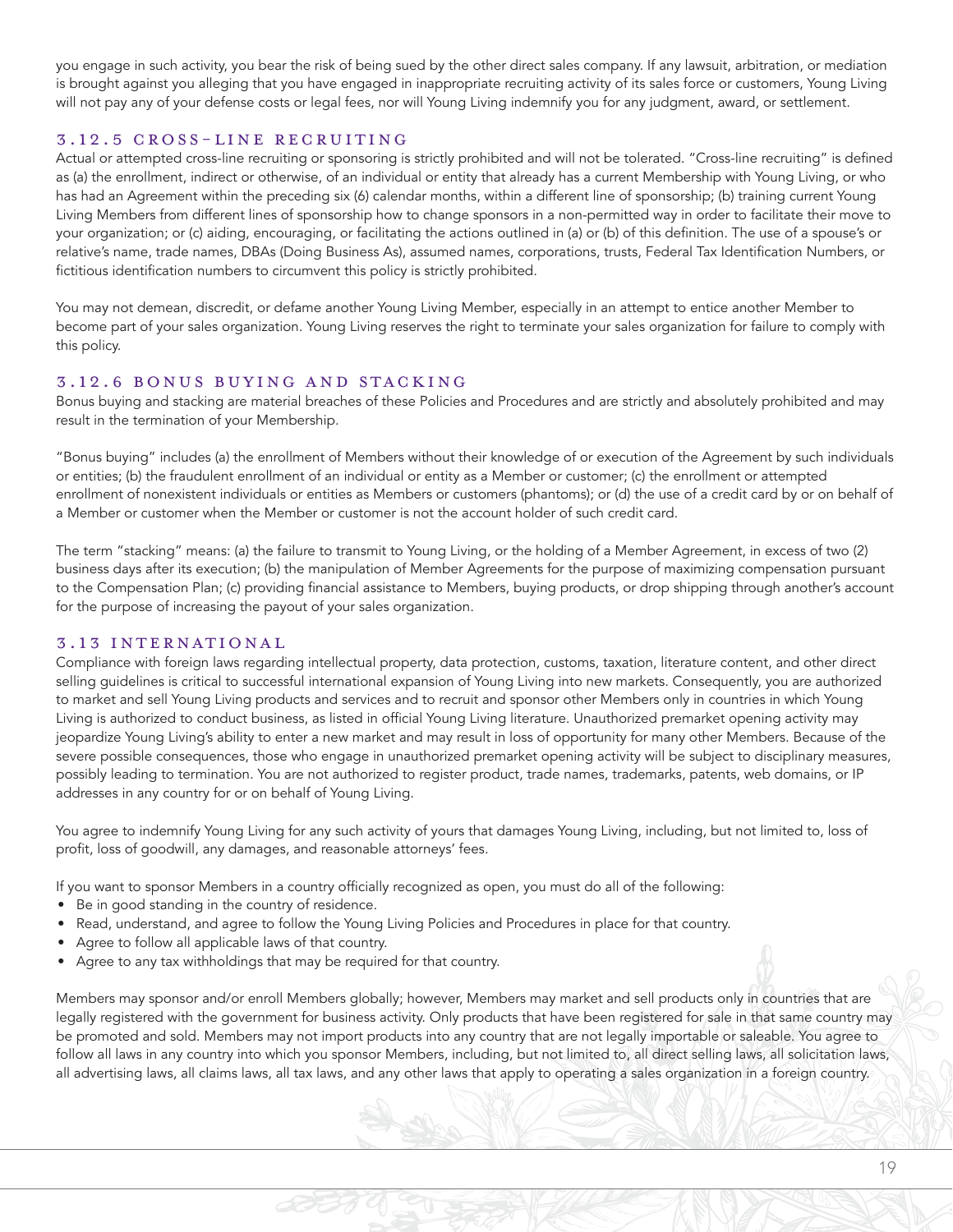you engage in such activity, you bear the risk of being sued by the other direct sales company. If any lawsuit, arbitration, or mediation is brought against you alleging that you have engaged in inappropriate recruiting activity of its sales force or customers, Young Living will not pay any of your defense costs or legal fees, nor will Young Living indemnify you for any judgment, award, or settlement.

#### 3.12.5 CROSS-LINE RECRUITING

Actual or attempted cross-line recruiting or sponsoring is strictly prohibited and will not be tolerated. "Cross-line recruiting" is defined as (a) the enrollment, indirect or otherwise, of an individual or entity that already has a current Membership with Young Living, or who has had an Agreement within the preceding six (6) calendar months, within a different line of sponsorship; (b) training current Young Living Members from different lines of sponsorship how to change sponsors in a non-permitted way in order to facilitate their move to your organization; or (c) aiding, encouraging, or facilitating the actions outlined in (a) or (b) of this definition. The use of a spouse's or relative's name, trade names, DBAs (Doing Business As), assumed names, corporations, trusts, Federal Tax Identification Numbers, or fictitious identification numbers to circumvent this policy is strictly prohibited.

You may not demean, discredit, or defame another Young Living Member, especially in an attempt to entice another Member to become part of your sales organization. Young Living reserves the right to terminate your sales organization for failure to comply with this policy.

#### 3.12.6 BONUS BUYING AND STACKING

Bonus buying and stacking are material breaches of these Policies and Procedures and are strictly and absolutely prohibited and may result in the termination of your Membership.

"Bonus buying" includes (a) the enrollment of Members without their knowledge of or execution of the Agreement by such individuals or entities; (b) the fraudulent enrollment of an individual or entity as a Member or customer; (c) the enrollment or attempted enrollment of nonexistent individuals or entities as Members or customers (phantoms); or (d) the use of a credit card by or on behalf of a Member or customer when the Member or customer is not the account holder of such credit card.

The term "stacking" means: (a) the failure to transmit to Young Living, or the holding of a Member Agreement, in excess of two (2) business days after its execution; (b) the manipulation of Member Agreements for the purpose of maximizing compensation pursuant to the Compensation Plan; (c) providing financial assistance to Members, buying products, or drop shipping through another's account for the purpose of increasing the payout of your sales organization.

#### 3.13 INTERNATIONAL

Compliance with foreign laws regarding intellectual property, data protection, customs, taxation, literature content, and other direct selling guidelines is critical to successful international expansion of Young Living into new markets. Consequently, you are authorized to market and sell Young Living products and services and to recruit and sponsor other Members only in countries in which Young Living is authorized to conduct business, as listed in official Young Living literature. Unauthorized premarket opening activity may jeopardize Young Living's ability to enter a new market and may result in loss of opportunity for many other Members. Because of the severe possible consequences, those who engage in unauthorized premarket opening activity will be subject to disciplinary measures, possibly leading to termination. You are not authorized to register product, trade names, trademarks, patents, web domains, or IP addresses in any country for or on behalf of Young Living.

You agree to indemnify Young Living for any such activity of yours that damages Young Living, including, but not limited to, loss of profit, loss of goodwill, any damages, and reasonable attorneys' fees.

If you want to sponsor Members in a country officially recognized as open, you must do all of the following:

- Be in good standing in the country of residence.
- Read, understand, and agree to follow the Young Living Policies and Procedures in place for that country.
- Agree to follow all applicable laws of that country.
- Agree to any tax withholdings that may be required for that country.

Members may sponsor and/or enroll Members globally; however, Members may market and sell products only in countries that are legally registered with the government for business activity. Only products that have been registered for sale in that same country may be promoted and sold. Members may not import products into any country that are not legally importable or saleable. You agree to follow all laws in any country into which you sponsor Members, including, but not limited to, all direct selling laws, all solicitation laws, all advertising laws, all claims laws, all tax laws, and any other laws that apply to operating a sales organization in a foreign country.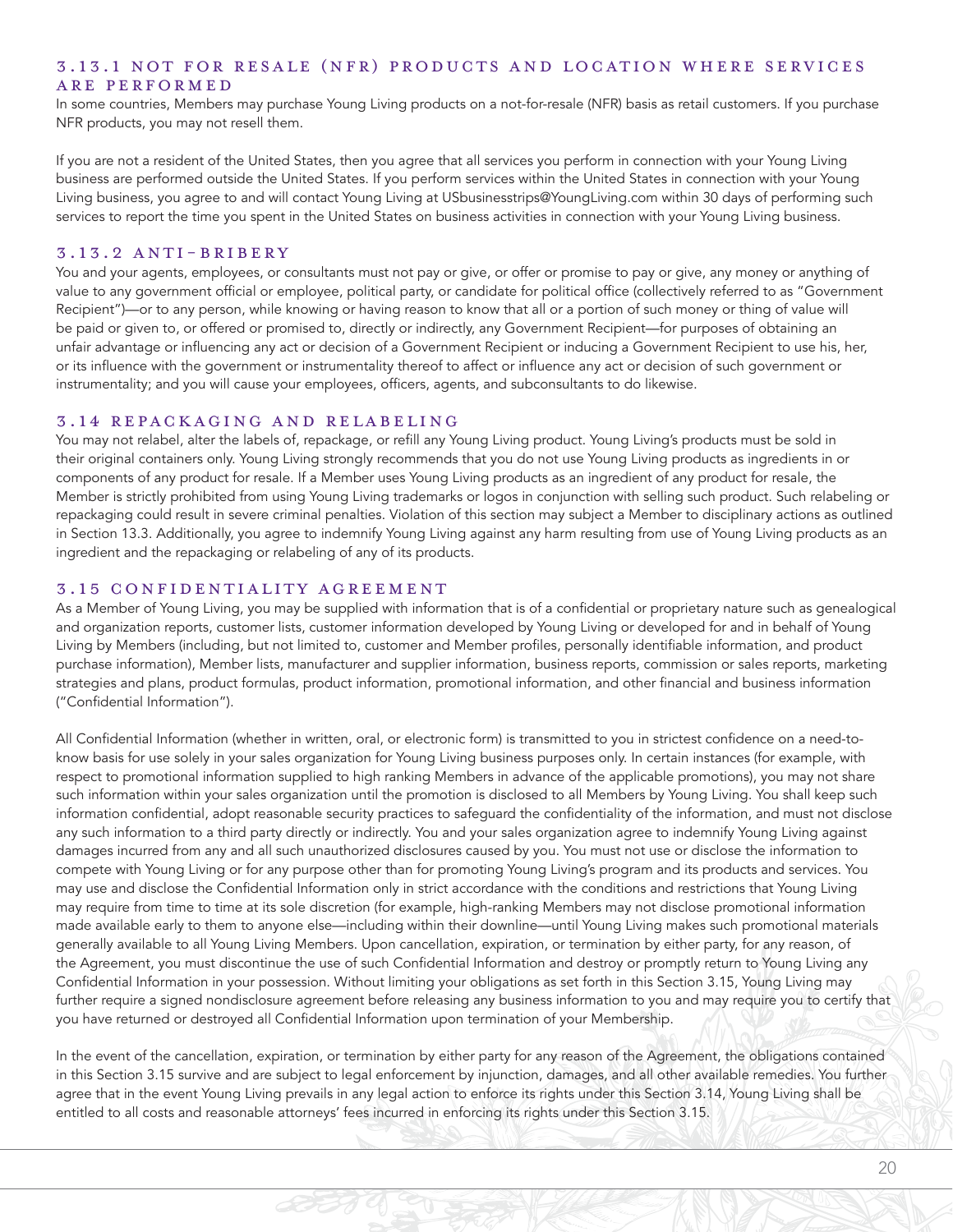#### 3.13.1 NOT FOR RESALE (NFR) PRODUCTS AND LOCATION WHERE SERVICES ARE PERFORMED

In some countries, Members may purchase Young Living products on a not-for-resale (NFR) basis as retail customers. If you purchase NFR products, you may not resell them.

If you are not a resident of the United States, then you agree that all services you perform in connection with your Young Living business are performed outside the United States. If you perform services within the United States in connection with your Young Living business, you agree to and will contact Young Living at USbusinesstrips@YoungLiving.com within 30 days of performing such services to report the time you spent in the United States on business activities in connection with your Young Living business.

#### 3.13.2 ANTI-BRIBERY

You and your agents, employees, or consultants must not pay or give, or offer or promise to pay or give, any money or anything of value to any government official or employee, political party, or candidate for political office (collectively referred to as "Government Recipient")—or to any person, while knowing or having reason to know that all or a portion of such money or thing of value will be paid or given to, or offered or promised to, directly or indirectly, any Government Recipient—for purposes of obtaining an unfair advantage or influencing any act or decision of a Government Recipient or inducing a Government Recipient to use his, her, or its influence with the government or instrumentality thereof to affect or influence any act or decision of such government or instrumentality; and you will cause your employees, officers, agents, and subconsultants to do likewise.

#### 3.14 REPACKAGING AND RELABELING

You may not relabel, alter the labels of, repackage, or refill any Young Living product. Young Living's products must be sold in their original containers only. Young Living strongly recommends that you do not use Young Living products as ingredients in or components of any product for resale. If a Member uses Young Living products as an ingredient of any product for resale, the Member is strictly prohibited from using Young Living trademarks or logos in conjunction with selling such product. Such relabeling or repackaging could result in severe criminal penalties. Violation of this section may subject a Member to disciplinary actions as outlined in Section 13.3. Additionally, you agree to indemnify Young Living against any harm resulting from use of Young Living products as an ingredient and the repackaging or relabeling of any of its products.

#### 3.15 CONFIDENTIALITY AGREEMENT

As a Member of Young Living, you may be supplied with information that is of a confidential or proprietary nature such as genealogical and organization reports, customer lists, customer information developed by Young Living or developed for and in behalf of Young Living by Members (including, but not limited to, customer and Member profiles, personally identifiable information, and product purchase information), Member lists, manufacturer and supplier information, business reports, commission or sales reports, marketing strategies and plans, product formulas, product information, promotional information, and other financial and business information ("Confidential Information").

All Confidential Information (whether in written, oral, or electronic form) is transmitted to you in strictest confidence on a need-toknow basis for use solely in your sales organization for Young Living business purposes only. In certain instances (for example, with respect to promotional information supplied to high ranking Members in advance of the applicable promotions), you may not share such information within your sales organization until the promotion is disclosed to all Members by Young Living. You shall keep such information confidential, adopt reasonable security practices to safeguard the confidentiality of the information, and must not disclose any such information to a third party directly or indirectly. You and your sales organization agree to indemnify Young Living against damages incurred from any and all such unauthorized disclosures caused by you. You must not use or disclose the information to compete with Young Living or for any purpose other than for promoting Young Living's program and its products and services. You may use and disclose the Confidential Information only in strict accordance with the conditions and restrictions that Young Living may require from time to time at its sole discretion (for example, high-ranking Members may not disclose promotional information made available early to them to anyone else—including within their downline—until Young Living makes such promotional materials generally available to all Young Living Members. Upon cancellation, expiration, or termination by either party, for any reason, of the Agreement, you must discontinue the use of such Confidential Information and destroy or promptly return to Young Living any Confidential Information in your possession. Without limiting your obligations as set forth in this Section 3.15, Young Living may further require a signed nondisclosure agreement before releasing any business information to you and may require you to certify that you have returned or destroyed all Confidential Information upon termination of your Membership.

In the event of the cancellation, expiration, or termination by either party for any reason of the Agreement, the obligations contained in this Section 3.15 survive and are subject to legal enforcement by injunction, damages, and all other available remedies. You further agree that in the event Young Living prevails in any legal action to enforce its rights under this Section 3.14, Young Living shall be entitled to all costs and reasonable attorneys' fees incurred in enforcing its rights under this Section 3.15.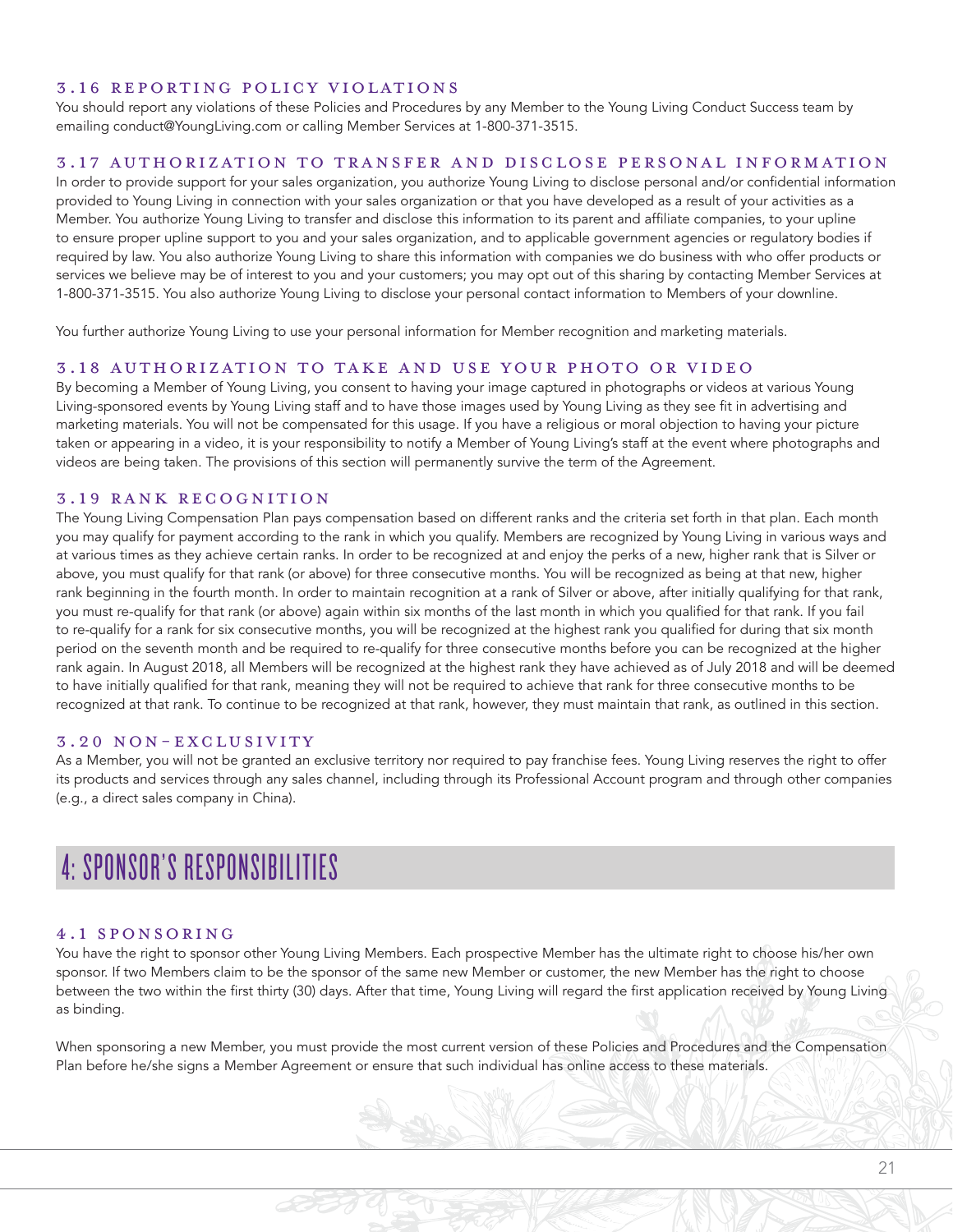#### 3.16 REPORTING POLICY VIOLATIONS

You should report any violations of these Policies and Procedures by any Member to the Young Living Conduct Success team by emailing conduct@YoungLiving.com or calling Member Services at 1-800-371-3515.

#### 3.17 AUTHORIZATION TO TRANSFER AND DISCLOSE PERSONAL INFORMATION

In order to provide support for your sales organization, you authorize Young Living to disclose personal and/or confidential information provided to Young Living in connection with your sales organization or that you have developed as a result of your activities as a Member. You authorize Young Living to transfer and disclose this information to its parent and affiliate companies, to your upline to ensure proper upline support to you and your sales organization, and to applicable government agencies or regulatory bodies if required by law. You also authorize Young Living to share this information with companies we do business with who offer products or services we believe may be of interest to you and your customers; you may opt out of this sharing by contacting Member Services at 1-800-371-3515. You also authorize Young Living to disclose your personal contact information to Members of your downline.

You further authorize Young Living to use your personal information for Member recognition and marketing materials.

#### 3.18 AUTHORIZATION TO TAKE AND USE YOUR PHOTO OR VIDEO

By becoming a Member of Young Living, you consent to having your image captured in photographs or videos at various Young Living-sponsored events by Young Living staff and to have those images used by Young Living as they see fit in advertising and marketing materials. You will not be compensated for this usage. If you have a religious or moral objection to having your picture taken or appearing in a video, it is your responsibility to notify a Member of Young Living's staff at the event where photographs and videos are being taken. The provisions of this section will permanently survive the term of the Agreement.

#### 3.19 RANK RECOGNITION

The Young Living Compensation Plan pays compensation based on different ranks and the criteria set forth in that plan. Each month you may qualify for payment according to the rank in which you qualify. Members are recognized by Young Living in various ways and at various times as they achieve certain ranks. In order to be recognized at and enjoy the perks of a new, higher rank that is Silver or above, you must qualify for that rank (or above) for three consecutive months. You will be recognized as being at that new, higher rank beginning in the fourth month. In order to maintain recognition at a rank of Silver or above, after initially qualifying for that rank, you must re-qualify for that rank (or above) again within six months of the last month in which you qualified for that rank. If you fail to re-qualify for a rank for six consecutive months, you will be recognized at the highest rank you qualified for during that six month period on the seventh month and be required to re-qualify for three consecutive months before you can be recognized at the higher rank again. In August 2018, all Members will be recognized at the highest rank they have achieved as of July 2018 and will be deemed to have initially qualified for that rank, meaning they will not be required to achieve that rank for three consecutive months to be recognized at that rank. To continue to be recognized at that rank, however, they must maintain that rank, as outlined in this section.

#### 3.20 NON-EXCLUSIVITY

As a Member, you will not be granted an exclusive territory nor required to pay franchise fees. Young Living reserves the right to offer its products and services through any sales channel, including through its Professional Account program and through other companies (e.g., a direct sales company in China).

# 4: SPONSOR'S RESPONSIBILITIES

#### 4.1 SPONSORING

You have the right to sponsor other Young Living Members. Each prospective Member has the ultimate right to choose his/her own sponsor. If two Members claim to be the sponsor of the same new Member or customer, the new Member has the right to choose between the two within the first thirty (30) days. After that time, Young Living will regard the first application received by Young Living as binding.

When sponsoring a new Member, you must provide the most current version of these Policies and Procedures and the Compensation Plan before he/she signs a Member Agreement or ensure that such individual has online access to these materials.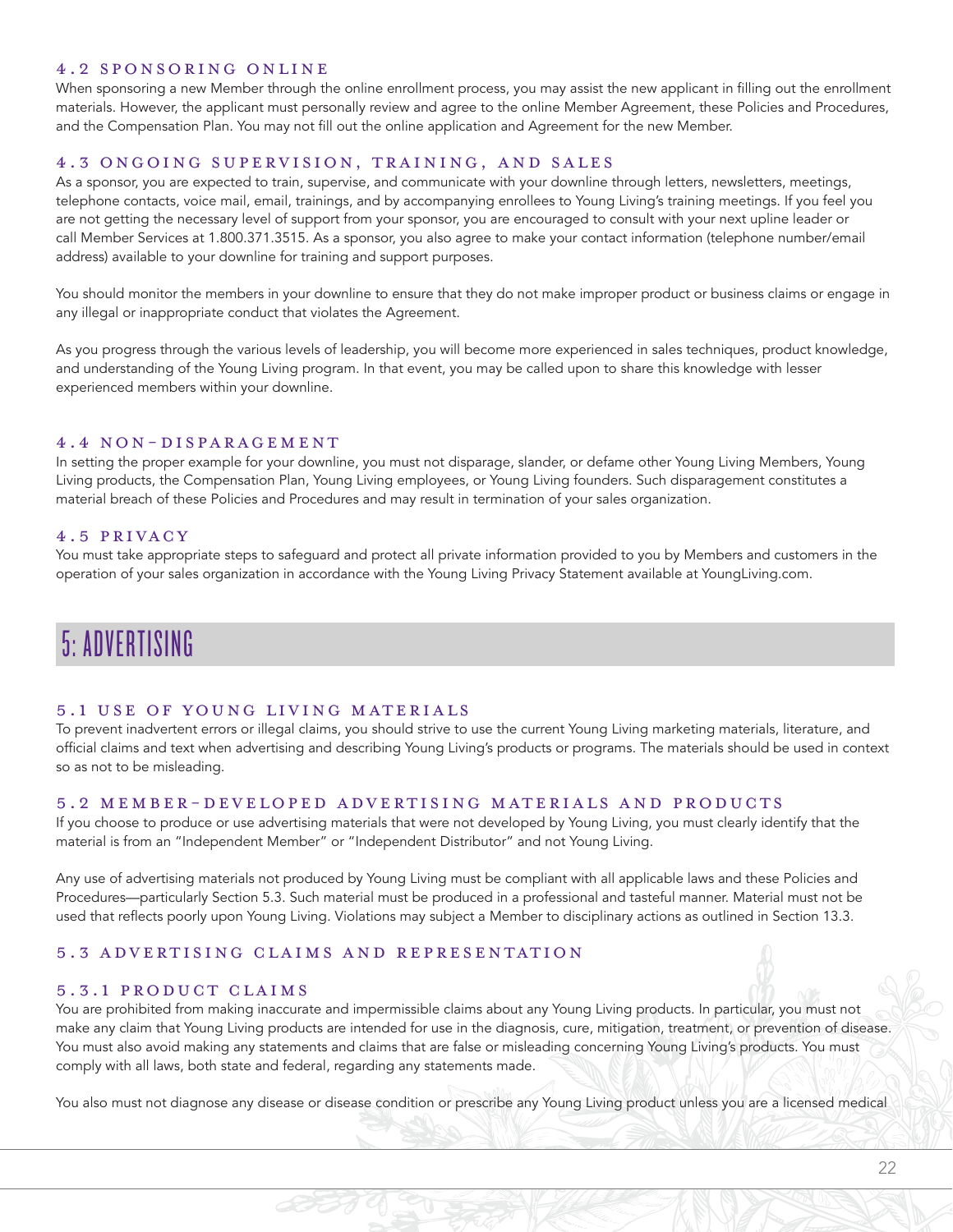#### 4.2 SPONSORING ONLINE

When sponsoring a new Member through the online enrollment process, you may assist the new applicant in filling out the enrollment materials. However, the applicant must personally review and agree to the online Member Agreement, these Policies and Procedures, and the Compensation Plan. You may not fill out the online application and Agreement for the new Member.

#### 4.3 ONGOING SUPERVISION, TRAINING, AND SALES

As a sponsor, you are expected to train, supervise, and communicate with your downline through letters, newsletters, meetings, telephone contacts, voice mail, email, trainings, and by accompanying enrollees to Young Living's training meetings. If you feel you are not getting the necessary level of support from your sponsor, you are encouraged to consult with your next upline leader or call Member Services at 1.800.371.3515. As a sponsor, you also agree to make your contact information (telephone number/email address) available to your downline for training and support purposes.

You should monitor the members in your downline to ensure that they do not make improper product or business claims or engage in any illegal or inappropriate conduct that violates the Agreement.

As you progress through the various levels of leadership, you will become more experienced in sales techniques, product knowledge, and understanding of the Young Living program. In that event, you may be called upon to share this knowledge with lesser experienced members within your downline.

#### 4.4 NON-DISPARAGEMENT

In setting the proper example for your downline, you must not disparage, slander, or defame other Young Living Members, Young Living products, the Compensation Plan, Young Living employees, or Young Living founders. Such disparagement constitutes a material breach of these Policies and Procedures and may result in termination of your sales organization.

#### 4.5 PRIVACY

You must take appropriate steps to safeguard and protect all private information provided to you by Members and customers in the operation of your sales organization in accordance with the Young Living Privacy Statement available at YoungLiving.com.

# 5: ADVERTISING

#### 5.1 USE OF YOUNG LIVING MATERIALS

To prevent inadvertent errors or illegal claims, you should strive to use the current Young Living marketing materials, literature, and official claims and text when advertising and describing Young Living's products or programs. The materials should be used in context so as not to be misleading.

#### 5.2 MEMBER-DEVELOPED ADVERTISING MATERIALS AND PRODUCTS

If you choose to produce or use advertising materials that were not developed by Young Living, you must clearly identify that the material is from an "Independent Member" or "Independent Distributor" and not Young Living.

Any use of advertising materials not produced by Young Living must be compliant with all applicable laws and these Policies and Procedures—particularly Section 5.3. Such material must be produced in a professional and tasteful manner. Material must not be used that reflects poorly upon Young Living. Violations may subject a Member to disciplinary actions as outlined in Section 13.3.

#### 5.3 ADVERTISING CLAIMS AND REPRESENTATION

#### 5.3.1 PRODUCT CLAIMS

You are prohibited from making inaccurate and impermissible claims about any Young Living products. In particular, you must not make any claim that Young Living products are intended for use in the diagnosis, cure, mitigation, treatment, or prevention of disease. You must also avoid making any statements and claims that are false or misleading concerning Young Living's products. You must comply with all laws, both state and federal, regarding any statements made.

You also must not diagnose any disease or disease condition or prescribe any Young Living product unless you are a licensed medical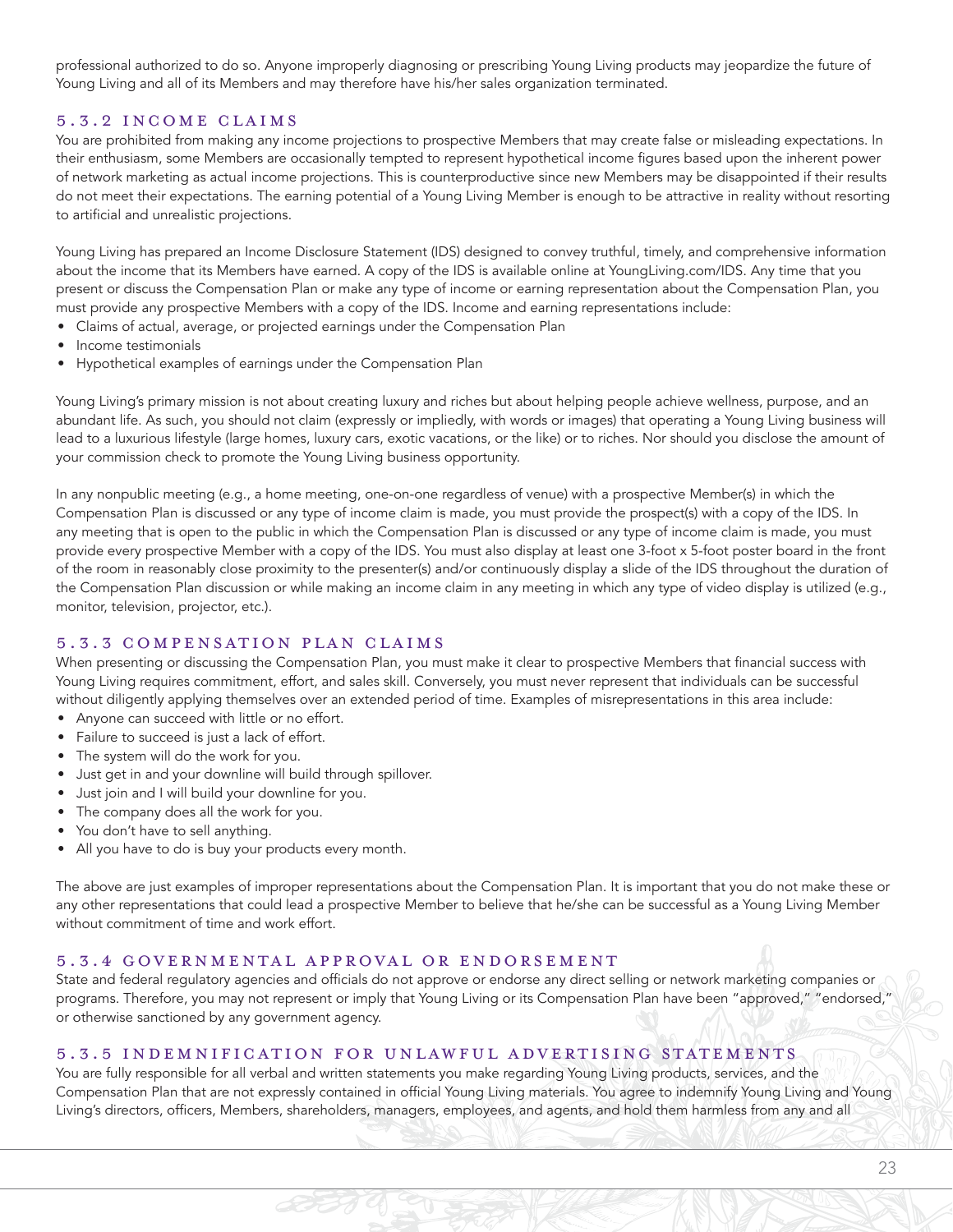professional authorized to do so. Anyone improperly diagnosing or prescribing Young Living products may jeopardize the future of Young Living and all of its Members and may therefore have his/her sales organization terminated.

#### 5.3.2 INCOME CLAIMS

You are prohibited from making any income projections to prospective Members that may create false or misleading expectations. In their enthusiasm, some Members are occasionally tempted to represent hypothetical income figures based upon the inherent power of network marketing as actual income projections. This is counterproductive since new Members may be disappointed if their results do not meet their expectations. The earning potential of a Young Living Member is enough to be attractive in reality without resorting to artificial and unrealistic projections.

Young Living has prepared an Income Disclosure Statement (IDS) designed to convey truthful, timely, and comprehensive information about the income that its Members have earned. A copy of the IDS is available online at YoungLiving.com/IDS. Any time that you present or discuss the Compensation Plan or make any type of income or earning representation about the Compensation Plan, you must provide any prospective Members with a copy of the IDS. Income and earning representations include:

- Claims of actual, average, or projected earnings under the Compensation Plan
- Income testimonials
- Hypothetical examples of earnings under the Compensation Plan

Young Living's primary mission is not about creating luxury and riches but about helping people achieve wellness, purpose, and an abundant life. As such, you should not claim (expressly or impliedly, with words or images) that operating a Young Living business will lead to a luxurious lifestyle (large homes, luxury cars, exotic vacations, or the like) or to riches. Nor should you disclose the amount of your commission check to promote the Young Living business opportunity.

In any nonpublic meeting (e.g., a home meeting, one-on-one regardless of venue) with a prospective Member(s) in which the Compensation Plan is discussed or any type of income claim is made, you must provide the prospect(s) with a copy of the IDS. In any meeting that is open to the public in which the Compensation Plan is discussed or any type of income claim is made, you must provide every prospective Member with a copy of the IDS. You must also display at least one 3-foot x 5-foot poster board in the front of the room in reasonably close proximity to the presenter(s) and/or continuously display a slide of the IDS throughout the duration of the Compensation Plan discussion or while making an income claim in any meeting in which any type of video display is utilized (e.g., monitor, television, projector, etc.).

#### 5.3.3 COMPENSATION PLAN CLAIMS

When presenting or discussing the Compensation Plan, you must make it clear to prospective Members that financial success with Young Living requires commitment, effort, and sales skill. Conversely, you must never represent that individuals can be successful without diligently applying themselves over an extended period of time. Examples of misrepresentations in this area include:

- Anyone can succeed with little or no effort.
- Failure to succeed is just a lack of effort.
- The system will do the work for you.
- Just get in and your downline will build through spillover.
- Just join and I will build your downline for you.
- The company does all the work for you.
- You don't have to sell anything.
- All you have to do is buy your products every month.

The above are just examples of improper representations about the Compensation Plan. It is important that you do not make these or any other representations that could lead a prospective Member to believe that he/she can be successful as a Young Living Member without commitment of time and work effort.

#### 5.3.4 GOVERNMENTAL APPROVAL OR ENDORSEMENT

State and federal regulatory agencies and officials do not approve or endorse any direct selling or network marketing companies or programs. Therefore, you may not represent or imply that Young Living or its Compensation Plan have been "approved," "endorsed," or otherwise sanctioned by any government agency.

#### 5.3.5 INDEMNIFICATION FOR UNLAWFUL ADVERTISING STATEMENTS

You are fully responsible for all verbal and written statements you make regarding Young Living products, services, and the Compensation Plan that are not expressly contained in official Young Living materials. You agree to indemnify Young Living and Young Living's directors, officers, Members, shareholders, managers, employees, and agents, and hold them harmless from any and all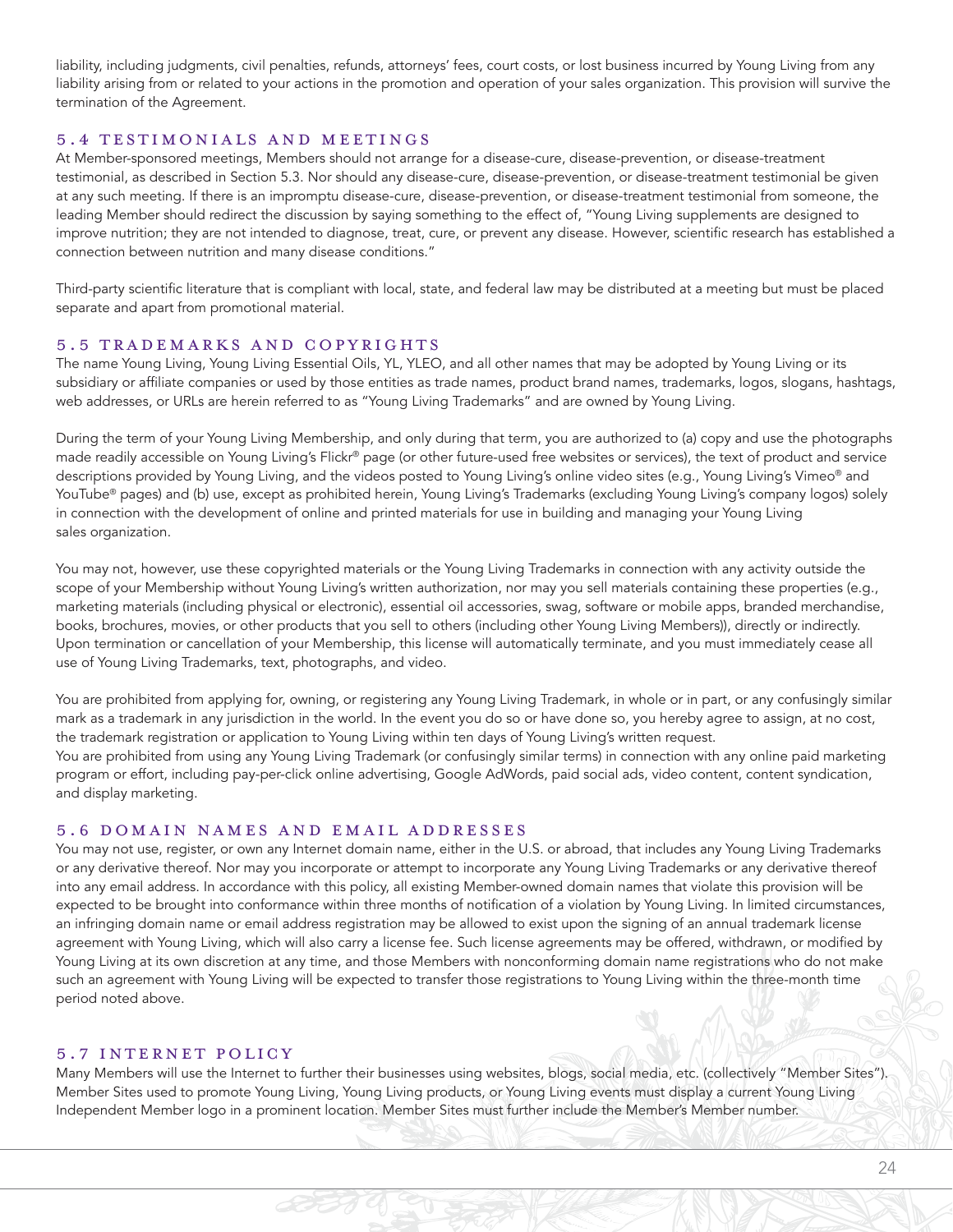liability, including judgments, civil penalties, refunds, attorneys' fees, court costs, or lost business incurred by Young Living from any liability arising from or related to your actions in the promotion and operation of your sales organization. This provision will survive the termination of the Agreement.

#### 5.4 TESTIMONIALS AND MEETINGS

At Member-sponsored meetings, Members should not arrange for a disease-cure, disease-prevention, or disease-treatment testimonial, as described in Section 5.3. Nor should any disease-cure, disease-prevention, or disease-treatment testimonial be given at any such meeting. If there is an impromptu disease-cure, disease-prevention, or disease-treatment testimonial from someone, the leading Member should redirect the discussion by saying something to the effect of, "Young Living supplements are designed to improve nutrition; they are not intended to diagnose, treat, cure, or prevent any disease. However, scientific research has established a connection between nutrition and many disease conditions."

Third-party scientific literature that is compliant with local, state, and federal law may be distributed at a meeting but must be placed separate and apart from promotional material.

#### 5.5 TRADEMARKS AND COPYRIGHTS

The name Young Living, Young Living Essential Oils, YL, YLEO, and all other names that may be adopted by Young Living or its subsidiary or affiliate companies or used by those entities as trade names, product brand names, trademarks, logos, slogans, hashtags, web addresses, or URLs are herein referred to as "Young Living Trademarks" and are owned by Young Living.

During the term of your Young Living Membership, and only during that term, you are authorized to (a) copy and use the photographs made readily accessible on Young Living's Flickr® page (or other future-used free websites or services), the text of product and service descriptions provided by Young Living, and the videos posted to Young Living's online video sites (e.g., Young Living's Vimeo<sup>®</sup> and YouTube® pages) and (b) use, except as prohibited herein, Young Living's Trademarks (excluding Young Living's company logos) solely in connection with the development of online and printed materials for use in building and managing your Young Living sales organization.

You may not, however, use these copyrighted materials or the Young Living Trademarks in connection with any activity outside the scope of your Membership without Young Living's written authorization, nor may you sell materials containing these properties (e.g., marketing materials (including physical or electronic), essential oil accessories, swag, software or mobile apps, branded merchandise, books, brochures, movies, or other products that you sell to others (including other Young Living Members)), directly or indirectly. Upon termination or cancellation of your Membership, this license will automatically terminate, and you must immediately cease all use of Young Living Trademarks, text, photographs, and video.

You are prohibited from applying for, owning, or registering any Young Living Trademark, in whole or in part, or any confusingly similar mark as a trademark in any jurisdiction in the world. In the event you do so or have done so, you hereby agree to assign, at no cost, the trademark registration or application to Young Living within ten days of Young Living's written request. You are prohibited from using any Young Living Trademark (or confusingly similar terms) in connection with any online paid marketing program or effort, including pay-per-click online advertising, Google AdWords, paid social ads, video content, content syndication, and display marketing.

#### 5.6 DOMAIN NAMES AND EMAIL ADDRESSES

You may not use, register, or own any Internet domain name, either in the U.S. or abroad, that includes any Young Living Trademarks or any derivative thereof. Nor may you incorporate or attempt to incorporate any Young Living Trademarks or any derivative thereof into any email address. In accordance with this policy, all existing Member-owned domain names that violate this provision will be expected to be brought into conformance within three months of notification of a violation by Young Living. In limited circumstances, an infringing domain name or email address registration may be allowed to exist upon the signing of an annual trademark license agreement with Young Living, which will also carry a license fee. Such license agreements may be offered, withdrawn, or modified by Young Living at its own discretion at any time, and those Members with nonconforming domain name registrations who do not make such an agreement with Young Living will be expected to transfer those registrations to Young Living within the three-month time period noted above.

#### 5.7 INTERNET POLICY

Many Members will use the Internet to further their businesses using websites, blogs, social media, etc. (collectively "Member Sites"). Member Sites used to promote Young Living, Young Living products, or Young Living events must display a current Young Living Independent Member logo in a prominent location. Member Sites must further include the Member's Member number.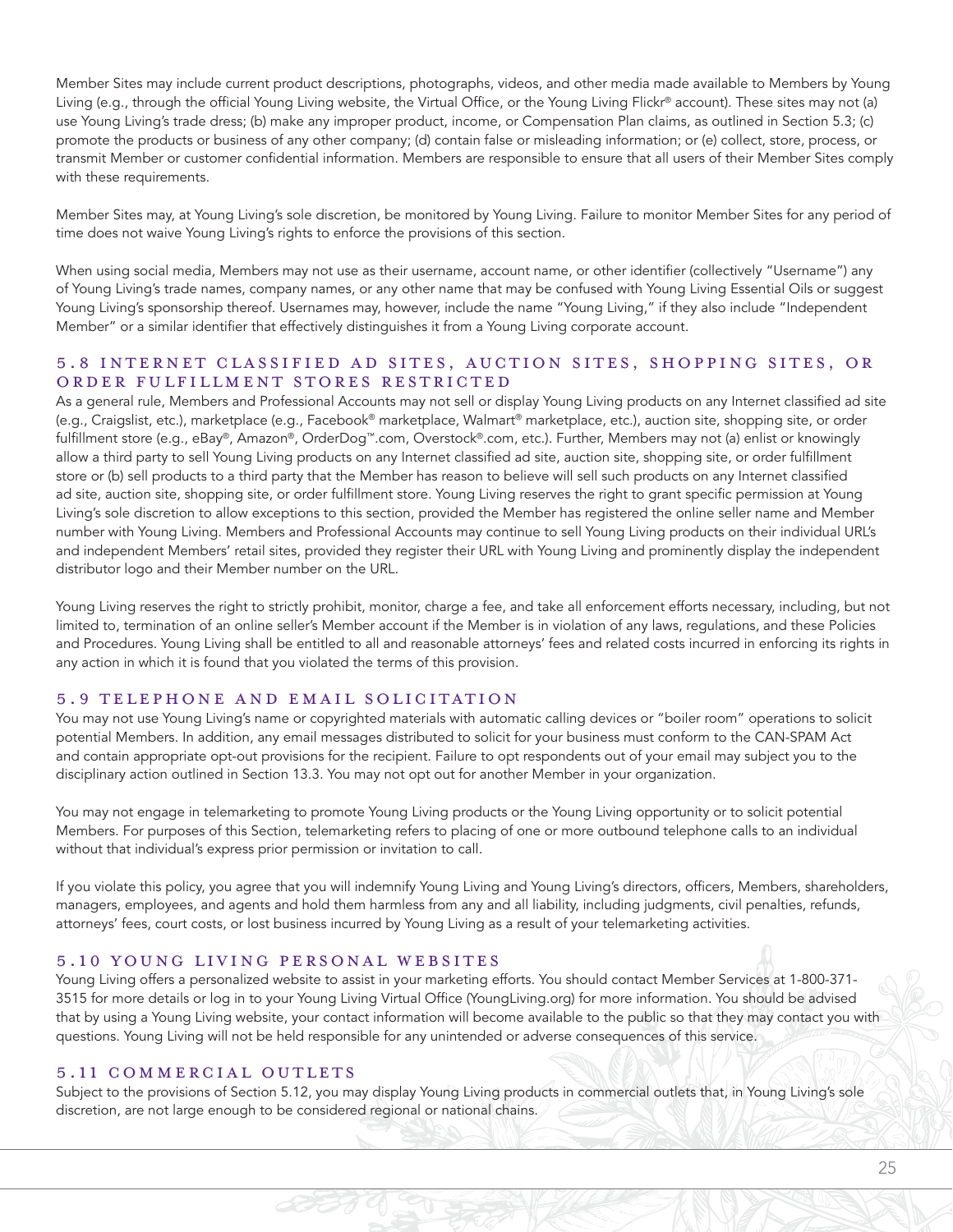Member Sites may include current product descriptions, photographs, videos, and other media made available to Members by Young Living (e.g., through the official Young Living website, the Virtual Office, or the Young Living Flickr® account). These sites may not (a) use Young Living's trade dress; (b) make any improper product, income, or Compensation Plan claims, as outlined in Section 5.3; (c) promote the products or business of any other company; (d) contain false or misleading information; or (e) collect, store, process, or transmit Member or customer confidential information. Members are responsible to ensure that all users of their Member Sites comply with these requirements.

Member Sites may, at Young Living's sole discretion, be monitored by Young Living. Failure to monitor Member Sites for any period of time does not waive Young Living's rights to enforce the provisions of this section.

When using social media, Members may not use as their username, account name, or other identifier (collectively "Username") any of Young Living's trade names, company names, or any other name that may be confused with Young Living Essential Oils or suggest Young Living's sponsorship thereof. Usernames may, however, include the name "Young Living," if they also include "Independent Member" or a similar identifier that effectively distinguishes it from a Young Living corporate account.

#### 5.8 INTERNET CLASSIFIED AD SITES, AUCTION SITES, SHOPPING SITES, OR ORDER FULFILLMENT STORES RESTRICTED

As a general rule, Members and Professional Accounts may not sell or display Young Living products on any Internet classified ad site (e.g., Craigslist, etc.), marketplace (e.g., Facebook® marketplace, Walmart® marketplace, etc.), auction site, shopping site, or order fulfillment store (e.g., eBay®, Amazon®, OrderDog™.com, Overstock®.com, etc.). Further, Members may not (a) enlist or knowingly allow a third party to sell Young Living products on any Internet classified ad site, auction site, shopping site, or order fulfillment store or (b) sell products to a third party that the Member has reason to believe will sell such products on any Internet classified ad site, auction site, shopping site, or order fulfillment store. Young Living reserves the right to grant specific permission at Young Living's sole discretion to allow exceptions to this section, provided the Member has registered the online seller name and Member number with Young Living. Members and Professional Accounts may continue to sell Young Living products on their individual URL's and independent Members' retail sites, provided they register their URL with Young Living and prominently display the independent distributor logo and their Member number on the URL.

Young Living reserves the right to strictly prohibit, monitor, charge a fee, and take all enforcement efforts necessary, including, but not limited to, termination of an online seller's Member account if the Member is in violation of any laws, regulations, and these Policies and Procedures. Young Living shall be entitled to all and reasonable attorneys' fees and related costs incurred in enforcing its rights in any action in which it is found that you violated the terms of this provision.

#### 5.9 TELEPHONE AND EMAIL SOLICITATION

You may not use Young Living's name or copyrighted materials with automatic calling devices or "boiler room" operations to solicit potential Members. In addition, any email messages distributed to solicit for your business must conform to the CAN-SPAM Act and contain appropriate opt-out provisions for the recipient. Failure to opt respondents out of your email may subject you to the disciplinary action outlined in Section 13.3. You may not opt out for another Member in your organization.

You may not engage in telemarketing to promote Young Living products or the Young Living opportunity or to solicit potential Members. For purposes of this Section, telemarketing refers to placing of one or more outbound telephone calls to an individual without that individual's express prior permission or invitation to call.

If you violate this policy, you agree that you will indemnify Young Living and Young Living's directors, officers, Members, shareholders, managers, employees, and agents and hold them harmless from any and all liability, including judgments, civil penalties, refunds, attorneys' fees, court costs, or lost business incurred by Young Living as a result of your telemarketing activities.

#### 5.10 YOUNG LIVING PERSONAL WEBSITES

Young Living offers a personalized website to assist in your marketing efforts. You should contact Member Services at 1-800-371- 3515 for more details or log in to your Young Living Virtual Office (YoungLiving.org) for more information. You should be advised that by using a Young Living website, your contact information will become available to the public so that they may contact you with questions. Young Living will not be held responsible for any unintended or adverse consequences of this service.

#### 5.11 COMMERCIAL OUTLETS

Subject to the provisions of Section 5.12, you may display Young Living products in commercial outlets that, in Young Living's sole discretion, are not large enough to be considered regional or national chains.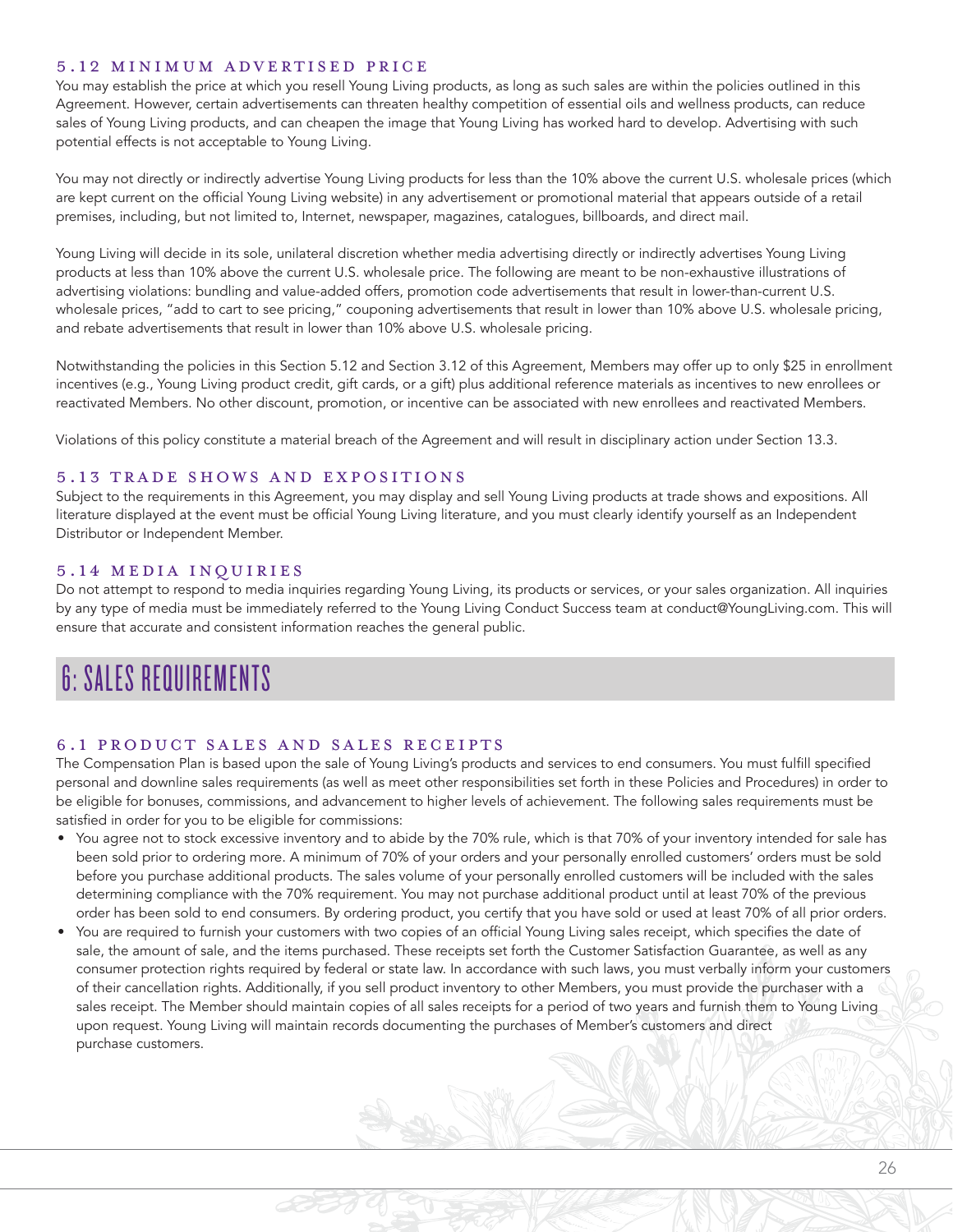#### 5.12 MINIMUM ADVERTISED PRICE

You may establish the price at which you resell Young Living products, as long as such sales are within the policies outlined in this Agreement. However, certain advertisements can threaten healthy competition of essential oils and wellness products, can reduce sales of Young Living products, and can cheapen the image that Young Living has worked hard to develop. Advertising with such potential effects is not acceptable to Young Living.

You may not directly or indirectly advertise Young Living products for less than the 10% above the current U.S. wholesale prices (which are kept current on the official Young Living website) in any advertisement or promotional material that appears outside of a retail premises, including, but not limited to, Internet, newspaper, magazines, catalogues, billboards, and direct mail.

Young Living will decide in its sole, unilateral discretion whether media advertising directly or indirectly advertises Young Living products at less than 10% above the current U.S. wholesale price. The following are meant to be non-exhaustive illustrations of advertising violations: bundling and value-added offers, promotion code advertisements that result in lower-than-current U.S. wholesale prices, "add to cart to see pricing," couponing advertisements that result in lower than 10% above U.S. wholesale pricing, and rebate advertisements that result in lower than 10% above U.S. wholesale pricing.

Notwithstanding the policies in this Section 5.12 and Section 3.12 of this Agreement, Members may offer up to only \$25 in enrollment incentives (e.g., Young Living product credit, gift cards, or a gift) plus additional reference materials as incentives to new enrollees or reactivated Members. No other discount, promotion, or incentive can be associated with new enrollees and reactivated Members.

Violations of this policy constitute a material breach of the Agreement and will result in disciplinary action under Section 13.3.

#### 5.13 TRADE SHOWS AND EXPOSITIONS

Subject to the requirements in this Agreement, you may display and sell Young Living products at trade shows and expositions. All literature displayed at the event must be official Young Living literature, and you must clearly identify yourself as an Independent Distributor or Independent Member.

#### 5.14 MEDIA INQUIRIES

Do not attempt to respond to media inquiries regarding Young Living, its products or services, or your sales organization. All inquiries by any type of media must be immediately referred to the Young Living Conduct Success team at conduct@YoungLiving.com. This will ensure that accurate and consistent information reaches the general public.

# 6: SALES REQUIREMENTS

#### 6.1 PRODUCT SALES AND SALES RECEIPTS

The Compensation Plan is based upon the sale of Young Living's products and services to end consumers. You must fulfill specified personal and downline sales requirements (as well as meet other responsibilities set forth in these Policies and Procedures) in order to be eligible for bonuses, commissions, and advancement to higher levels of achievement. The following sales requirements must be satisfied in order for you to be eligible for commissions:

- You agree not to stock excessive inventory and to abide by the 70% rule, which is that 70% of your inventory intended for sale has been sold prior to ordering more. A minimum of 70% of your orders and your personally enrolled customers' orders must be sold before you purchase additional products. The sales volume of your personally enrolled customers will be included with the sales determining compliance with the 70% requirement. You may not purchase additional product until at least 70% of the previous order has been sold to end consumers. By ordering product, you certify that you have sold or used at least 70% of all prior orders.
- You are required to furnish your customers with two copies of an official Young Living sales receipt, which specifies the date of sale, the amount of sale, and the items purchased. These receipts set forth the Customer Satisfaction Guarantee, as well as any consumer protection rights required by federal or state law. In accordance with such laws, you must verbally inform your customers of their cancellation rights. Additionally, if you sell product inventory to other Members, you must provide the purchaser with a sales receipt. The Member should maintain copies of all sales receipts for a period of two years and furnish them to Young Living upon request. Young Living will maintain records documenting the purchases of Member's customers and direct purchase customers.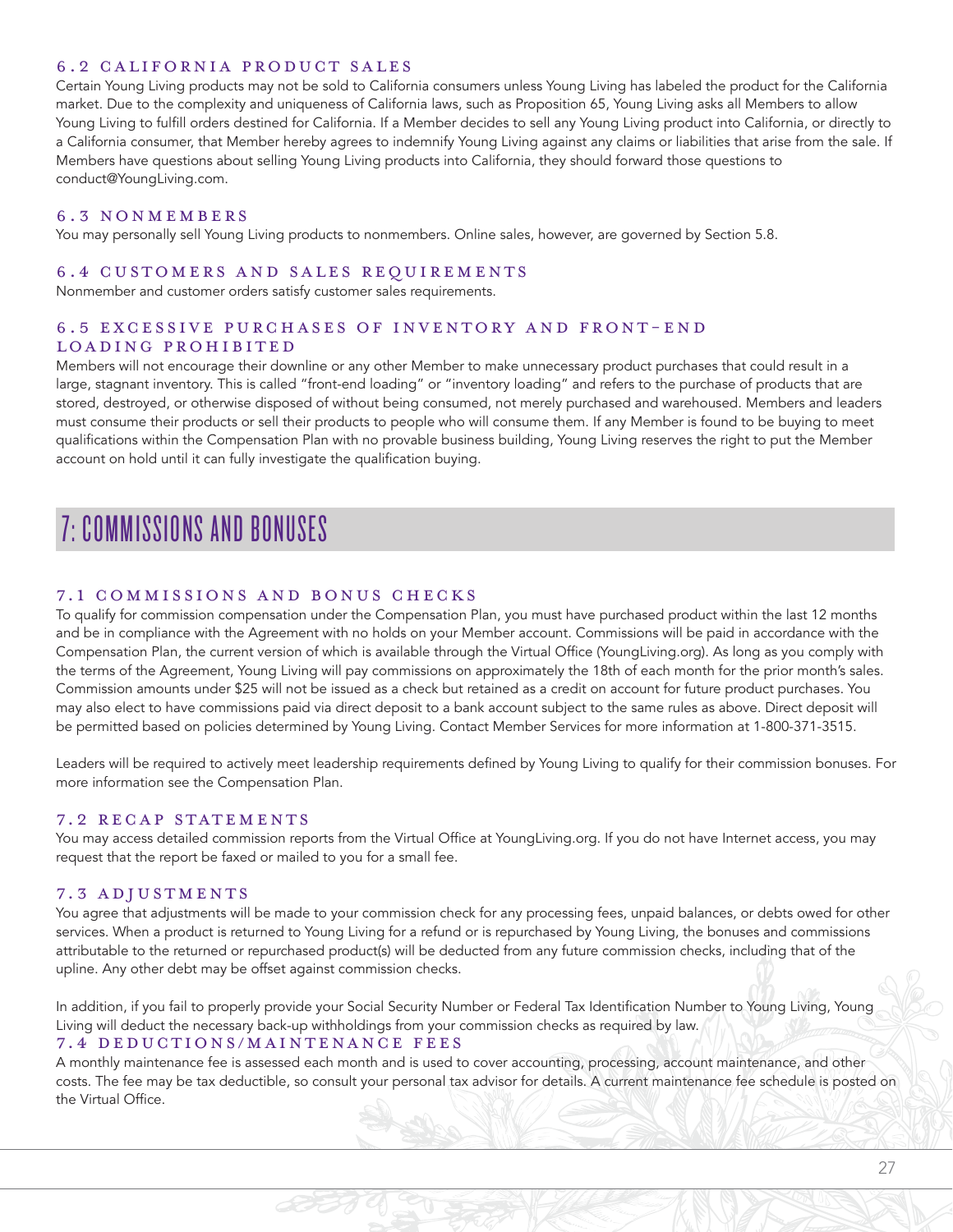#### 6.2 CALIFORNIA PRODUCT SALES

Certain Young Living products may not be sold to California consumers unless Young Living has labeled the product for the California market. Due to the complexity and uniqueness of California laws, such as Proposition 65, Young Living asks all Members to allow Young Living to fulfill orders destined for California. If a Member decides to sell any Young Living product into California, or directly to a California consumer, that Member hereby agrees to indemnify Young Living against any claims or liabilities that arise from the sale. If Members have questions about selling Young Living products into California, they should forward those questions to conduct@YoungLiving.com.

#### 6.3 NONMEMBERS

You may personally sell Young Living products to nonmembers. Online sales, however, are governed by Section 5.8.

#### 6.4 CUSTOMERS AND SALES REQUIREMENTS

Nonmember and customer orders satisfy customer sales requirements.

# 6.5 EXCESSIVE PURCHASES OF INVENTORY AND FRONT-END LOADING PROHIBITED

Members will not encourage their downline or any other Member to make unnecessary product purchases that could result in a large, stagnant inventory. This is called "front-end loading" or "inventory loading" and refers to the purchase of products that are stored, destroyed, or otherwise disposed of without being consumed, not merely purchased and warehoused. Members and leaders must consume their products or sell their products to people who will consume them. If any Member is found to be buying to meet qualifications within the Compensation Plan with no provable business building, Young Living reserves the right to put the Member account on hold until it can fully investigate the qualification buying.

# 7: COMMISSIONS AND BONUSES

#### 7.1 COMMISSIONS AND BONUS CHECKS

To qualify for commission compensation under the Compensation Plan, you must have purchased product within the last 12 months and be in compliance with the Agreement with no holds on your Member account. Commissions will be paid in accordance with the Compensation Plan, the current version of which is available through the Virtual Office (YoungLiving.org). As long as you comply with the terms of the Agreement, Young Living will pay commissions on approximately the 18th of each month for the prior month's sales. Commission amounts under \$25 will not be issued as a check but retained as a credit on account for future product purchases. You may also elect to have commissions paid via direct deposit to a bank account subject to the same rules as above. Direct deposit will be permitted based on policies determined by Young Living. Contact Member Services for more information at 1-800-371-3515.

Leaders will be required to actively meet leadership requirements defined by Young Living to qualify for their commission bonuses. For more information see the Compensation Plan.

#### 7.2 RECAP STATEMENTS

You may access detailed commission reports from the Virtual Office at YoungLiving.org. If you do not have Internet access, you may request that the report be faxed or mailed to you for a small fee.

#### 7.3 ADJUSTMENTS

You agree that adjustments will be made to your commission check for any processing fees, unpaid balances, or debts owed for other services. When a product is returned to Young Living for a refund or is repurchased by Young Living, the bonuses and commissions attributable to the returned or repurchased product(s) will be deducted from any future commission checks, including that of the upline. Any other debt may be offset against commission checks.

In addition, if you fail to properly provide your Social Security Number or Federal Tax Identification Number to Young Living, Young Living will deduct the necessary back-up withholdings from your commission checks as required by law. 7.4 DEDUCTIONS/MAINTENANCE FEES

A monthly maintenance fee is assessed each month and is used to cover accounting, processing, account maintenance, and other costs. The fee may be tax deductible, so consult your personal tax advisor for details. A current maintenance fee schedule is posted on the Virtual Office.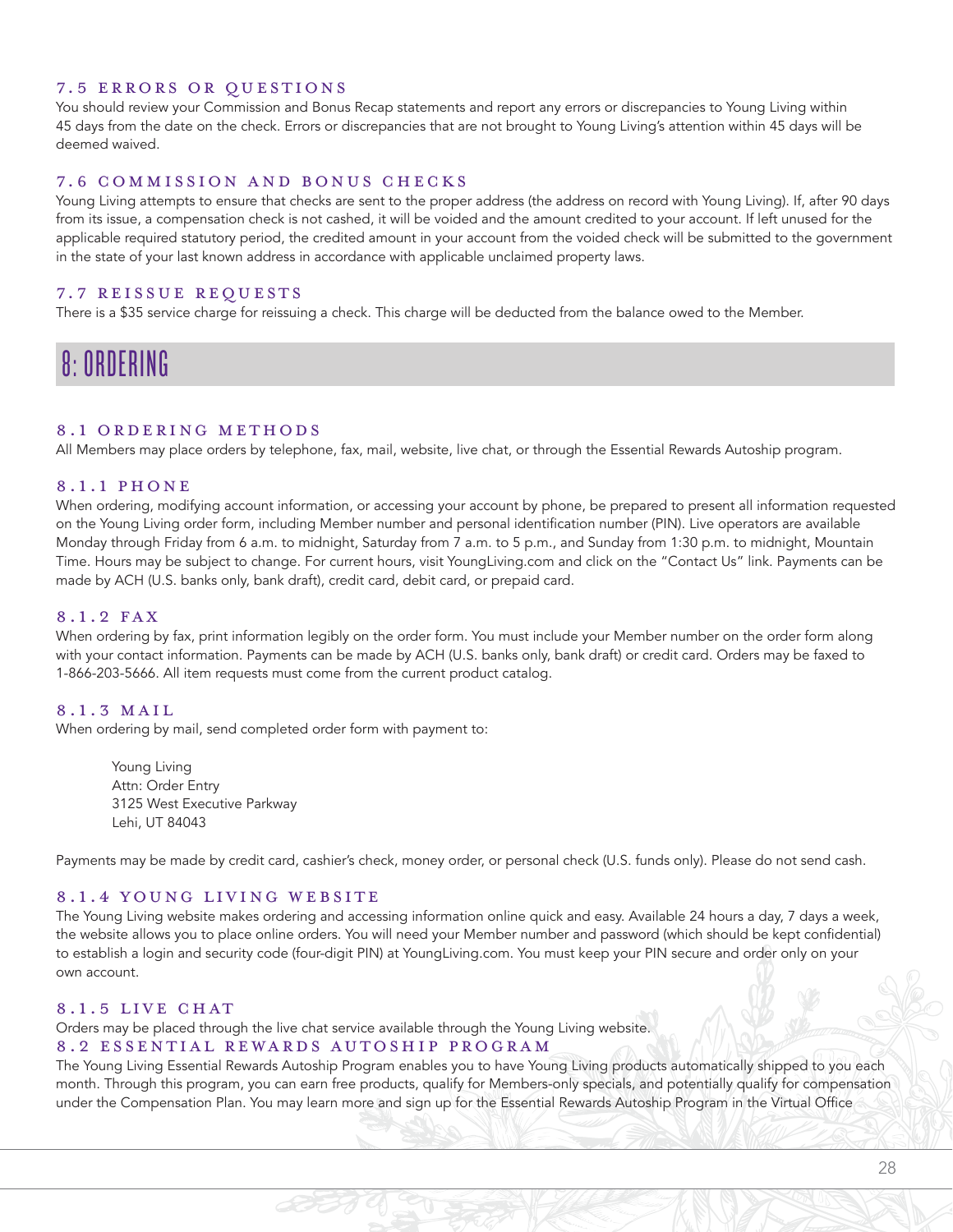#### 7.5 ERRORS OR QUESTIONS

You should review your Commission and Bonus Recap statements and report any errors or discrepancies to Young Living within 45 days from the date on the check. Errors or discrepancies that are not brought to Young Living's attention within 45 days will be deemed waived.

#### 7.6 COMMISSION AND BONUS CHECKS

Young Living attempts to ensure that checks are sent to the proper address (the address on record with Young Living). If, after 90 days from its issue, a compensation check is not cashed, it will be voided and the amount credited to your account. If left unused for the applicable required statutory period, the credited amount in your account from the voided check will be submitted to the government in the state of your last known address in accordance with applicable unclaimed property laws.

#### 7.7 REISSUE REQUESTS

There is a \$35 service charge for reissuing a check. This charge will be deducted from the balance owed to the Member.

### 8: ORDERING

#### 8.1 ORDERING METHODS

All Members may place orders by telephone, fax, mail, website, live chat, or through the Essential Rewards Autoship program.

#### 8.1.1 PHONE

When ordering, modifying account information, or accessing your account by phone, be prepared to present all information requested on the Young Living order form, including Member number and personal identification number (PIN). Live operators are available Monday through Friday from 6 a.m. to midnight, Saturday from 7 a.m. to 5 p.m., and Sunday from 1:30 p.m. to midnight, Mountain Time. Hours may be subject to change. For current hours, visit YoungLiving.com and click on the "Contact Us" link. Payments can be made by ACH (U.S. banks only, bank draft), credit card, debit card, or prepaid card.

#### 8.1.2 FAX

When ordering by fax, print information legibly on the order form. You must include your Member number on the order form along with your contact information. Payments can be made by ACH (U.S. banks only, bank draft) or credit card. Orders may be faxed to 1-866-203-5666. All item requests must come from the current product catalog.

#### 8.1.3 MAIL

When ordering by mail, send completed order form with payment to:

Young Living Attn: Order Entry 3125 West Executive Parkway Lehi, UT 84043

Payments may be made by credit card, cashier's check, money order, or personal check (U.S. funds only). Please do not send cash.

#### 8.1.4 YOUNG LIVING WEBSITE

The Young Living website makes ordering and accessing information online quick and easy. Available 24 hours a day, 7 days a week, the website allows you to place online orders. You will need your Member number and password (which should be kept confidential) to establish a login and security code (four-digit PIN) at YoungLiving.com. You must keep your PIN secure and order only on your own account.

#### 8.1.5 LIVE CHAT

Orders may be placed through the live chat service available through the Young Living website.

#### 8.2 ESSENTIAL REWARDS AUTOSHIP PROGRAM

The Young Living Essential Rewards Autoship Program enables you to have Young Living products automatically shipped to you each month. Through this program, you can earn free products, qualify for Members-only specials, and potentially qualify for compensation under the Compensation Plan. You may learn more and sign up for the Essential Rewards Autoship Program in the Virtual Office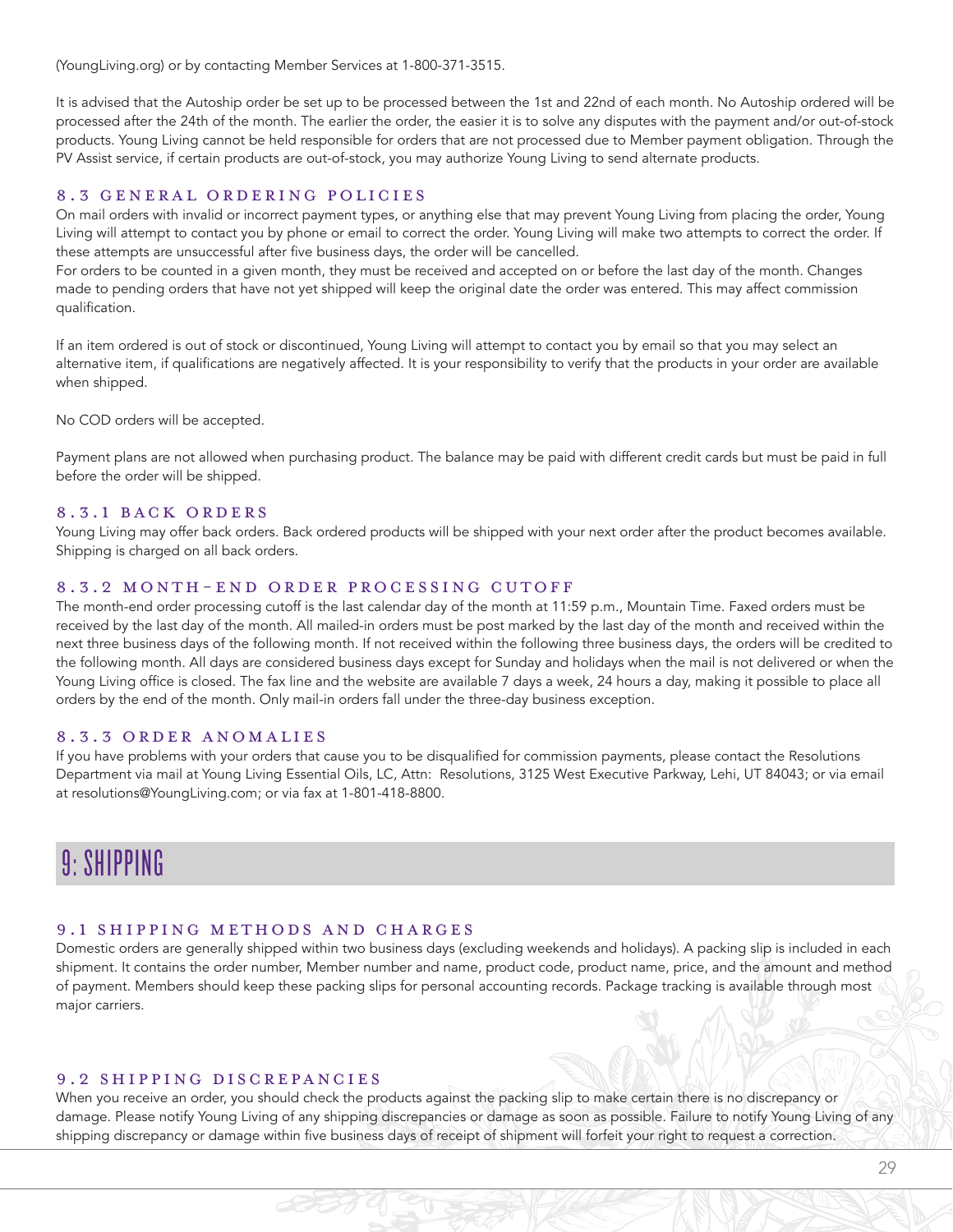(YoungLiving.org) or by contacting Member Services at 1-800-371-3515.

It is advised that the Autoship order be set up to be processed between the 1st and 22nd of each month. No Autoship ordered will be processed after the 24th of the month. The earlier the order, the easier it is to solve any disputes with the payment and/or out-of-stock products. Young Living cannot be held responsible for orders that are not processed due to Member payment obligation. Through the PV Assist service, if certain products are out-of-stock, you may authorize Young Living to send alternate products.

#### 8.3 GENERAL ORDERING POLICIES

On mail orders with invalid or incorrect payment types, or anything else that may prevent Young Living from placing the order, Young Living will attempt to contact you by phone or email to correct the order. Young Living will make two attempts to correct the order. If these attempts are unsuccessful after five business days, the order will be cancelled.

For orders to be counted in a given month, they must be received and accepted on or before the last day of the month. Changes made to pending orders that have not yet shipped will keep the original date the order was entered. This may affect commission qualification.

If an item ordered is out of stock or discontinued, Young Living will attempt to contact you by email so that you may select an alternative item, if qualifications are negatively affected. It is your responsibility to verify that the products in your order are available when shipped.

No COD orders will be accepted.

Payment plans are not allowed when purchasing product. The balance may be paid with different credit cards but must be paid in full before the order will be shipped.

#### 8.3.1 BACK ORDERS

Young Living may offer back orders. Back ordered products will be shipped with your next order after the product becomes available. Shipping is charged on all back orders.

#### 8.3.2 MONTH-END ORDER PROCESSING CUTOFF

The month-end order processing cutoff is the last calendar day of the month at 11:59 p.m., Mountain Time. Faxed orders must be received by the last day of the month. All mailed-in orders must be post marked by the last day of the month and received within the next three business days of the following month. If not received within the following three business days, the orders will be credited to the following month. All days are considered business days except for Sunday and holidays when the mail is not delivered or when the Young Living office is closed. The fax line and the website are available 7 days a week, 24 hours a day, making it possible to place all orders by the end of the month. Only mail-in orders fall under the three-day business exception.

#### 8.3.3 ORDER ANOMALIES

If you have problems with your orders that cause you to be disqualified for commission payments, please contact the Resolutions Department via mail at Young Living Essential Oils, LC, Attn: Resolutions, 3125 West Executive Parkway, Lehi, UT 84043; or via email at resolutions@YoungLiving.com; or via fax at 1-801-418-8800.

## 9: SHIPPING

#### 9.1 SHIPPING METHODS AND CHARGES

Domestic orders are generally shipped within two business days (excluding weekends and holidays). A packing slip is included in each shipment. It contains the order number, Member number and name, product code, product name, price, and the amount and method of payment. Members should keep these packing slips for personal accounting records. Package tracking is available through most major carriers.

#### 9.2 SHIPPING DISCREPANCIES

When you receive an order, you should check the products against the packing slip to make certain there is no discrepancy or damage. Please notify Young Living of any shipping discrepancies or damage as soon as possible. Failure to notify Young Living of any shipping discrepancy or damage within five business days of receipt of shipment will forfeit your right to request a correction.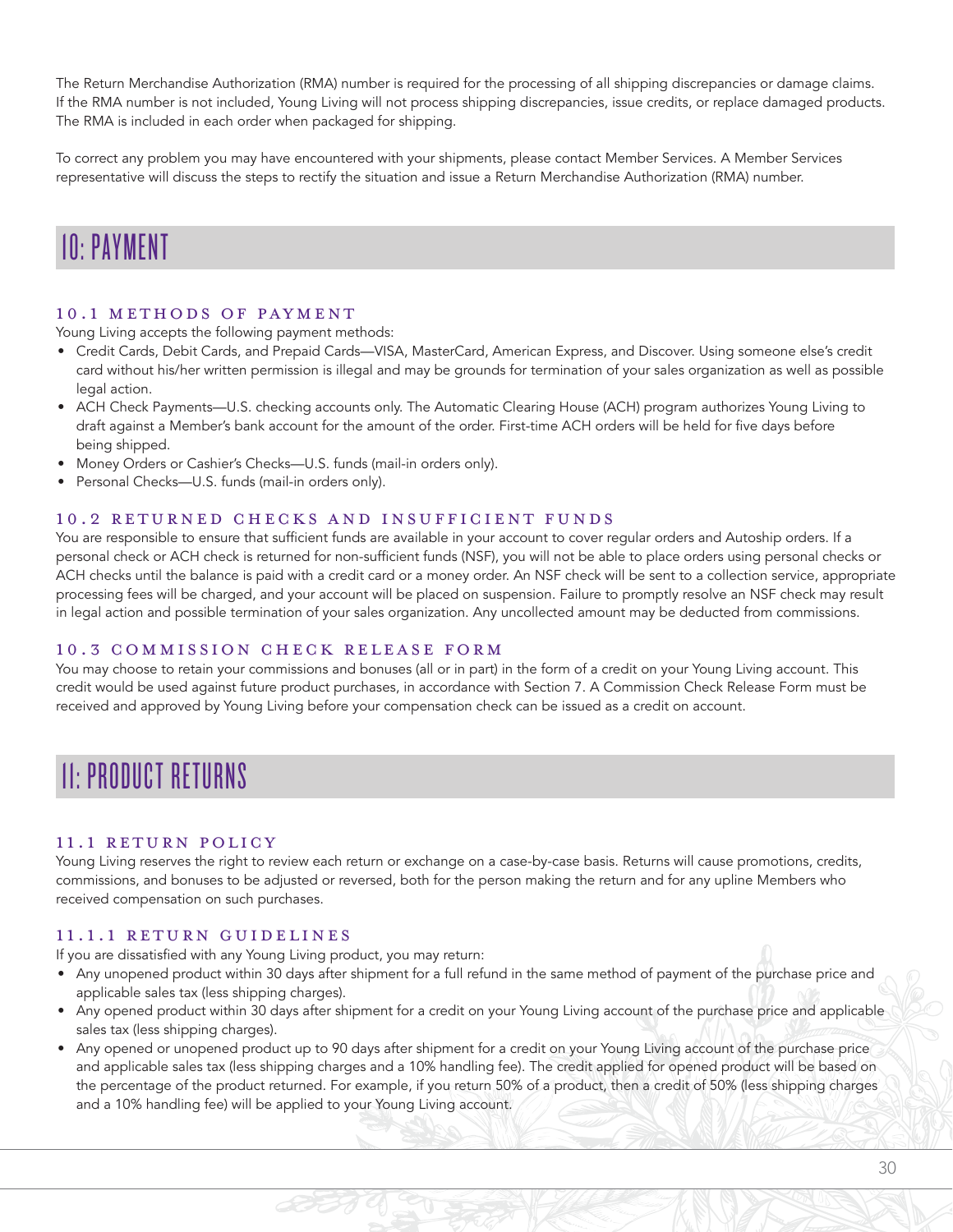The Return Merchandise Authorization (RMA) number is required for the processing of all shipping discrepancies or damage claims. If the RMA number is not included, Young Living will not process shipping discrepancies, issue credits, or replace damaged products. The RMA is included in each order when packaged for shipping.

To correct any problem you may have encountered with your shipments, please contact Member Services. A Member Services representative will discuss the steps to rectify the situation and issue a Return Merchandise Authorization (RMA) number.

### 10: PAYMENT

#### 10.1 METHODS OF PAYMENT

Young Living accepts the following payment methods:

- Credit Cards, Debit Cards, and Prepaid Cards—VISA, MasterCard, American Express, and Discover. Using someone else's credit card without his/her written permission is illegal and may be grounds for termination of your sales organization as well as possible legal action.
- ACH Check Payments—U.S. checking accounts only. The Automatic Clearing House (ACH) program authorizes Young Living to draft against a Member's bank account for the amount of the order. First-time ACH orders will be held for five days before being shipped.
- Money Orders or Cashier's Checks—U.S. funds (mail-in orders only).
- Personal Checks—U.S. funds (mail-in orders only).

#### 10.2 RETURNED CHECKS AND INSUFFICIENT FUNDS

You are responsible to ensure that sufficient funds are available in your account to cover regular orders and Autoship orders. If a personal check or ACH check is returned for non-sufficient funds (NSF), you will not be able to place orders using personal checks or ACH checks until the balance is paid with a credit card or a money order. An NSF check will be sent to a collection service, appropriate processing fees will be charged, and your account will be placed on suspension. Failure to promptly resolve an NSF check may result in legal action and possible termination of your sales organization. Any uncollected amount may be deducted from commissions.

#### 10.3 COMMISSION CHECK RELEASE FORM

You may choose to retain your commissions and bonuses (all or in part) in the form of a credit on your Young Living account. This credit would be used against future product purchases, in accordance with Section 7. A Commission Check Release Form must be received and approved by Young Living before your compensation check can be issued as a credit on account.

## 11: PRODUCT RETURNS

#### 11.1 RETURN POLICY

Young Living reserves the right to review each return or exchange on a case-by-case basis. Returns will cause promotions, credits, commissions, and bonuses to be adjusted or reversed, both for the person making the return and for any upline Members who received compensation on such purchases.

#### 11.1.1 RETURN GUIDELINES

If you are dissatisfied with any Young Living product, you may return:

- Any unopened product within 30 days after shipment for a full refund in the same method of payment of the purchase price and applicable sales tax (less shipping charges).
- Any opened product within 30 days after shipment for a credit on your Young Living account of the purchase price and applicable sales tax (less shipping charges).
- Any opened or unopened product up to 90 days after shipment for a credit on your Young Living account of the purchase price and applicable sales tax (less shipping charges and a 10% handling fee). The credit applied for opened product will be based on the percentage of the product returned. For example, if you return 50% of a product, then a credit of 50% (less shipping charges and a 10% handling fee) will be applied to your Young Living account.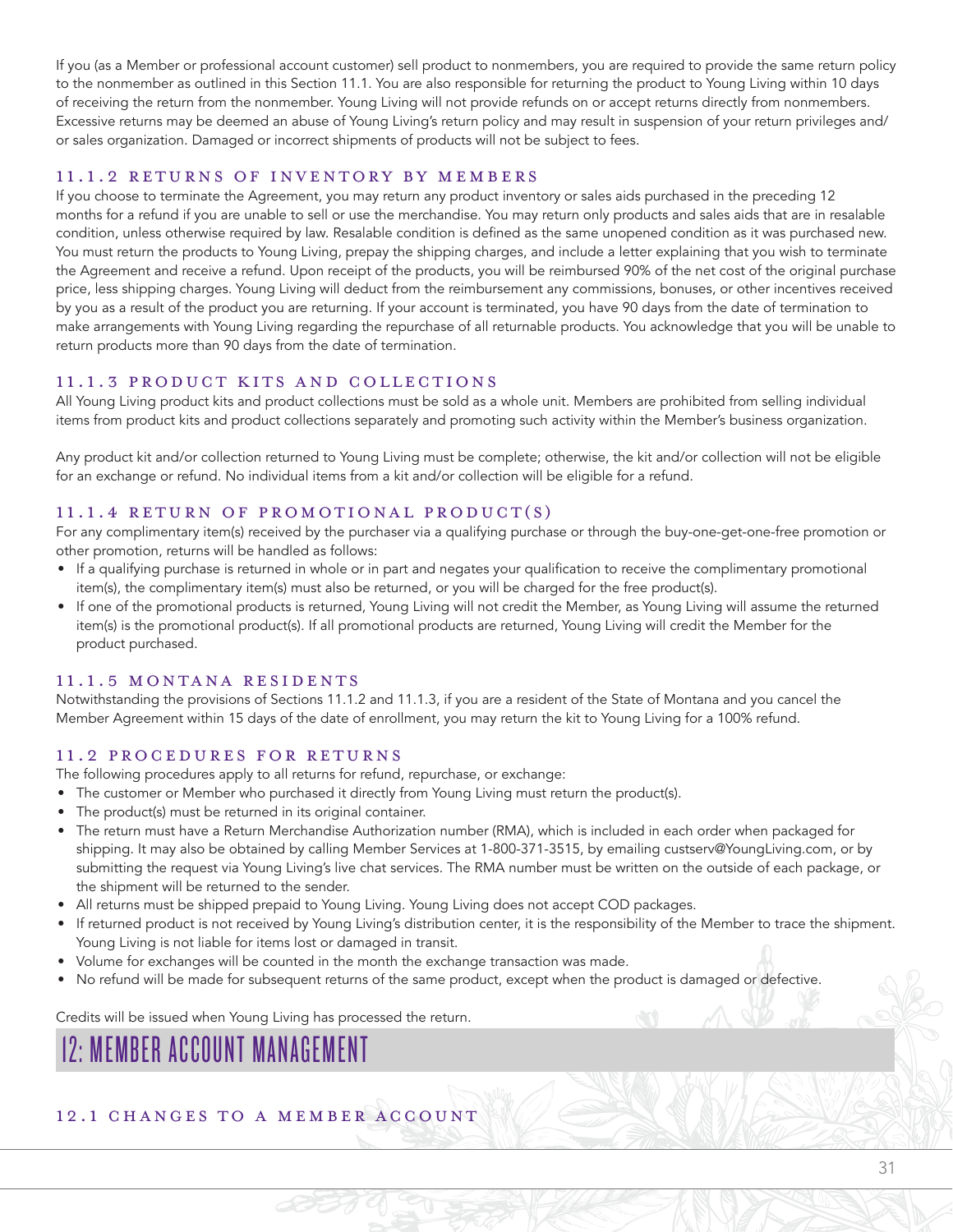If you (as a Member or professional account customer) sell product to nonmembers, you are required to provide the same return policy to the nonmember as outlined in this Section 11.1. You are also responsible for returning the product to Young Living within 10 days of receiving the return from the nonmember. Young Living will not provide refunds on or accept returns directly from nonmembers. Excessive returns may be deemed an abuse of Young Living's return policy and may result in suspension of your return privileges and/ or sales organization. Damaged or incorrect shipments of products will not be subject to fees.

#### 11.1.2 RETURNS OF INVENTORY BY MEMBERS

If you choose to terminate the Agreement, you may return any product inventory or sales aids purchased in the preceding 12 months for a refund if you are unable to sell or use the merchandise. You may return only products and sales aids that are in resalable condition, unless otherwise required by law. Resalable condition is defined as the same unopened condition as it was purchased new. You must return the products to Young Living, prepay the shipping charges, and include a letter explaining that you wish to terminate the Agreement and receive a refund. Upon receipt of the products, you will be reimbursed 90% of the net cost of the original purchase price, less shipping charges. Young Living will deduct from the reimbursement any commissions, bonuses, or other incentives received by you as a result of the product you are returning. If your account is terminated, you have 90 days from the date of termination to make arrangements with Young Living regarding the repurchase of all returnable products. You acknowledge that you will be unable to return products more than 90 days from the date of termination.

#### 11.1.3 PRODUCT KITS AND COLLECTIONS

All Young Living product kits and product collections must be sold as a whole unit. Members are prohibited from selling individual items from product kits and product collections separately and promoting such activity within the Member's business organization.

Any product kit and/or collection returned to Young Living must be complete; otherwise, the kit and/or collection will not be eligible for an exchange or refund. No individual items from a kit and/or collection will be eligible for a refund.

#### 11.1.4 RETURN OF PROMOTIONAL PRODUCT(S)

For any complimentary item(s) received by the purchaser via a qualifying purchase or through the buy-one-get-one-free promotion or other promotion, returns will be handled as follows:

- If a qualifying purchase is returned in whole or in part and negates your qualification to receive the complimentary promotional item(s), the complimentary item(s) must also be returned, or you will be charged for the free product(s).
- If one of the promotional products is returned, Young Living will not credit the Member, as Young Living will assume the returned item(s) is the promotional product(s). If all promotional products are returned, Young Living will credit the Member for the product purchased.

#### 11.1.5 MONTANA RESIDENTS

Notwithstanding the provisions of Sections 11.1.2 and 11.1.3, if you are a resident of the State of Montana and you cancel the Member Agreement within 15 days of the date of enrollment, you may return the kit to Young Living for a 100% refund.

#### 11.2 PROCEDURES FOR RETURNS

The following procedures apply to all returns for refund, repurchase, or exchange:

- The customer or Member who purchased it directly from Young Living must return the product(s).
- The product(s) must be returned in its original container.
- The return must have a Return Merchandise Authorization number (RMA), which is included in each order when packaged for shipping. It may also be obtained by calling Member Services at 1-800-371-3515, by emailing custserv@YoungLiving.com, or by submitting the request via Young Living's live chat services. The RMA number must be written on the outside of each package, or the shipment will be returned to the sender.
- All returns must be shipped prepaid to Young Living. Young Living does not accept COD packages.
- If returned product is not received by Young Living's distribution center, it is the responsibility of the Member to trace the shipment. Young Living is not liable for items lost or damaged in transit.
- Volume for exchanges will be counted in the month the exchange transaction was made.
- No refund will be made for subsequent returns of the same product, except when the product is damaged or defective.

Credits will be issued when Young Living has processed the return.

# 12: MEMBER ACCOUNT MANAGEMENT

#### 12.1 CHANGES TO A MEMBER ACCOUNT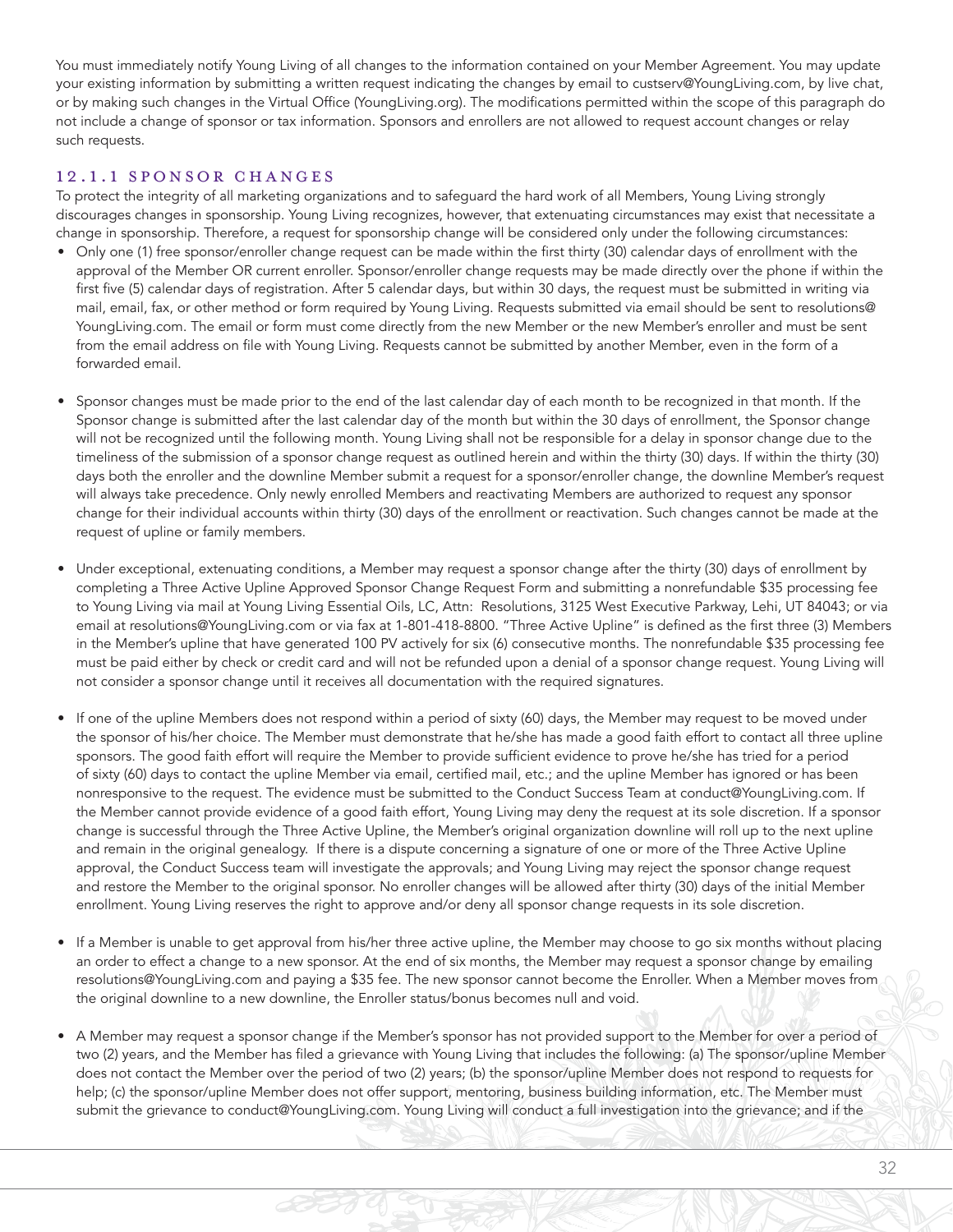You must immediately notify Young Living of all changes to the information contained on your Member Agreement. You may update your existing information by submitting a written request indicating the changes by email to custserv@YoungLiving.com, by live chat, or by making such changes in the Virtual Office (YoungLiving.org). The modifications permitted within the scope of this paragraph do not include a change of sponsor or tax information. Sponsors and enrollers are not allowed to request account changes or relay such requests.

#### 12.1.1 SPONSOR CHANGES

To protect the integrity of all marketing organizations and to safeguard the hard work of all Members, Young Living strongly discourages changes in sponsorship. Young Living recognizes, however, that extenuating circumstances may exist that necessitate a change in sponsorship. Therefore, a request for sponsorship change will be considered only under the following circumstances:

- Only one (1) free sponsor/enroller change request can be made within the first thirty (30) calendar days of enrollment with the approval of the Member OR current enroller. Sponsor/enroller change requests may be made directly over the phone if within the first five (5) calendar days of registration. After 5 calendar days, but within 30 days, the request must be submitted in writing via mail, email, fax, or other method or form required by Young Living. Requests submitted via email should be sent to resolutions@ YoungLiving.com. The email or form must come directly from the new Member or the new Member's enroller and must be sent from the email address on file with Young Living. Requests cannot be submitted by another Member, even in the form of a forwarded email.
- Sponsor changes must be made prior to the end of the last calendar day of each month to be recognized in that month. If the Sponsor change is submitted after the last calendar day of the month but within the 30 days of enrollment, the Sponsor change will not be recognized until the following month. Young Living shall not be responsible for a delay in sponsor change due to the timeliness of the submission of a sponsor change request as outlined herein and within the thirty (30) days. If within the thirty (30) days both the enroller and the downline Member submit a request for a sponsor/enroller change, the downline Member's request will always take precedence. Only newly enrolled Members and reactivating Members are authorized to request any sponsor change for their individual accounts within thirty (30) days of the enrollment or reactivation. Such changes cannot be made at the request of upline or family members.
- Under exceptional, extenuating conditions, a Member may request a sponsor change after the thirty (30) days of enrollment by completing a Three Active Upline Approved Sponsor Change Request Form and submitting a nonrefundable \$35 processing fee to Young Living via mail at Young Living Essential Oils, LC, Attn: Resolutions, 3125 West Executive Parkway, Lehi, UT 84043; or via email at resolutions@YoungLiving.com or via fax at 1-801-418-8800. "Three Active Upline" is defined as the first three (3) Members in the Member's upline that have generated 100 PV actively for six (6) consecutive months. The nonrefundable \$35 processing fee must be paid either by check or credit card and will not be refunded upon a denial of a sponsor change request. Young Living will not consider a sponsor change until it receives all documentation with the required signatures.
- If one of the upline Members does not respond within a period of sixty (60) days, the Member may request to be moved under the sponsor of his/her choice. The Member must demonstrate that he/she has made a good faith effort to contact all three upline sponsors. The good faith effort will require the Member to provide sufficient evidence to prove he/she has tried for a period of sixty (60) days to contact the upline Member via email, certified mail, etc.; and the upline Member has ignored or has been nonresponsive to the request. The evidence must be submitted to the Conduct Success Team at conduct@YoungLiving.com. If the Member cannot provide evidence of a good faith effort, Young Living may deny the request at its sole discretion. If a sponsor change is successful through the Three Active Upline, the Member's original organization downline will roll up to the next upline and remain in the original genealogy. If there is a dispute concerning a signature of one or more of the Three Active Upline approval, the Conduct Success team will investigate the approvals; and Young Living may reject the sponsor change request and restore the Member to the original sponsor. No enroller changes will be allowed after thirty (30) days of the initial Member enrollment. Young Living reserves the right to approve and/or deny all sponsor change requests in its sole discretion.
- If a Member is unable to get approval from his/her three active upline, the Member may choose to go six months without placing an order to effect a change to a new sponsor. At the end of six months, the Member may request a sponsor change by emailing resolutions@YoungLiving.com and paying a \$35 fee. The new sponsor cannot become the Enroller. When a Member moves from the original downline to a new downline, the Enroller status/bonus becomes null and void.
- A Member may request a sponsor change if the Member's sponsor has not provided support to the Member for over a period of two (2) years, and the Member has filed a grievance with Young Living that includes the following: (a) The sponsor/upline Member does not contact the Member over the period of two (2) years; (b) the sponsor/upline Member does not respond to requests for help; (c) the sponsor/upline Member does not offer support, mentoring, business building information, etc. The Member must submit the grievance to conduct@YoungLiving.com. Young Living will conduct a full investigation into the grievance; and if the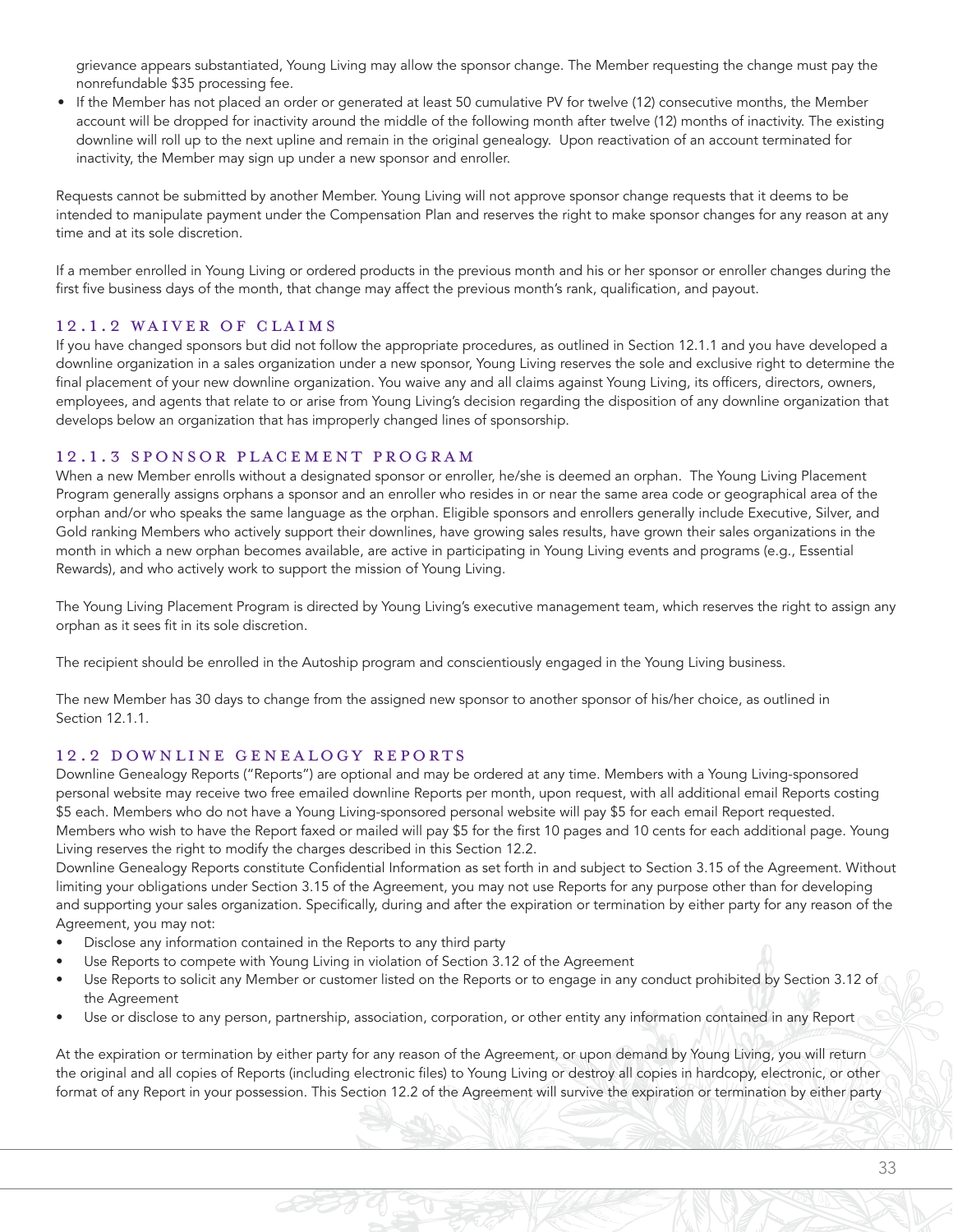grievance appears substantiated, Young Living may allow the sponsor change. The Member requesting the change must pay the nonrefundable \$35 processing fee.

• If the Member has not placed an order or generated at least 50 cumulative PV for twelve (12) consecutive months, the Member account will be dropped for inactivity around the middle of the following month after twelve (12) months of inactivity. The existing downline will roll up to the next upline and remain in the original genealogy. Upon reactivation of an account terminated for inactivity, the Member may sign up under a new sponsor and enroller.

Requests cannot be submitted by another Member. Young Living will not approve sponsor change requests that it deems to be intended to manipulate payment under the Compensation Plan and reserves the right to make sponsor changes for any reason at any time and at its sole discretion.

If a member enrolled in Young Living or ordered products in the previous month and his or her sponsor or enroller changes during the first five business days of the month, that change may affect the previous month's rank, qualification, and payout.

#### 12.1.2 WAIVER OF CLAIMS

If you have changed sponsors but did not follow the appropriate procedures, as outlined in Section 12.1.1 and you have developed a downline organization in a sales organization under a new sponsor, Young Living reserves the sole and exclusive right to determine the final placement of your new downline organization. You waive any and all claims against Young Living, its officers, directors, owners, employees, and agents that relate to or arise from Young Living's decision regarding the disposition of any downline organization that develops below an organization that has improperly changed lines of sponsorship.

#### 12.1.3 SPONSOR PLACEMENT PROGRAM

When a new Member enrolls without a designated sponsor or enroller, he/she is deemed an orphan. The Young Living Placement Program generally assigns orphans a sponsor and an enroller who resides in or near the same area code or geographical area of the orphan and/or who speaks the same language as the orphan. Eligible sponsors and enrollers generally include Executive, Silver, and Gold ranking Members who actively support their downlines, have growing sales results, have grown their sales organizations in the month in which a new orphan becomes available, are active in participating in Young Living events and programs (e.g., Essential Rewards), and who actively work to support the mission of Young Living.

The Young Living Placement Program is directed by Young Living's executive management team, which reserves the right to assign any orphan as it sees fit in its sole discretion.

The recipient should be enrolled in the Autoship program and conscientiously engaged in the Young Living business.

The new Member has 30 days to change from the assigned new sponsor to another sponsor of his/her choice, as outlined in Section 12.1.1.

#### 12.2 DOWNLINE GENEALOGY REPORTS

Downline Genealogy Reports ("Reports") are optional and may be ordered at any time. Members with a Young Living-sponsored personal website may receive two free emailed downline Reports per month, upon request, with all additional email Reports costing \$5 each. Members who do not have a Young Living-sponsored personal website will pay \$5 for each email Report requested. Members who wish to have the Report faxed or mailed will pay \$5 for the first 10 pages and 10 cents for each additional page. Young Living reserves the right to modify the charges described in this Section 12.2.

Downline Genealogy Reports constitute Confidential Information as set forth in and subject to Section 3.15 of the Agreement. Without limiting your obligations under Section 3.15 of the Agreement, you may not use Reports for any purpose other than for developing and supporting your sales organization. Specifically, during and after the expiration or termination by either party for any reason of the Agreement, you may not:

- Disclose any information contained in the Reports to any third party
- Use Reports to compete with Young Living in violation of Section 3.12 of the Agreement
- Use Reports to solicit any Member or customer listed on the Reports or to engage in any conduct prohibited by Section 3.12 of the Agreement
- Use or disclose to any person, partnership, association, corporation, or other entity any information contained in any Report

At the expiration or termination by either party for any reason of the Agreement, or upon demand by Young Living, you will return the original and all copies of Reports (including electronic files) to Young Living or destroy all copies in hardcopy, electronic, or other format of any Report in your possession. This Section 12.2 of the Agreement will survive the expiration or termination by either party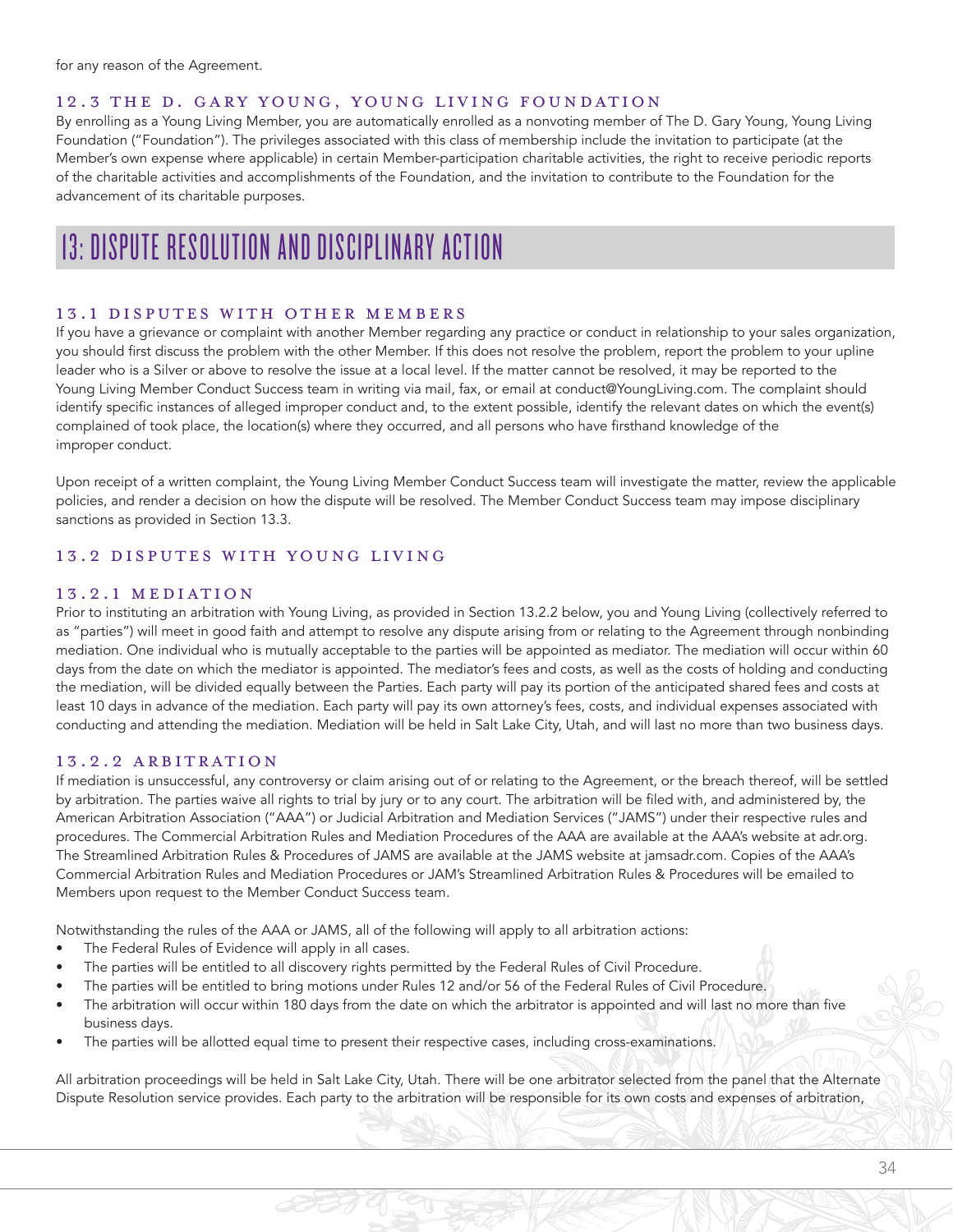for any reason of the Agreement.

#### 12.3 THE D. GARY YOUNG, YOUNG LIVING FOUNDATION

By enrolling as a Young Living Member, you are automatically enrolled as a nonvoting member of The D. Gary Young, Young Living Foundation ("Foundation"). The privileges associated with this class of membership include the invitation to participate (at the Member's own expense where applicable) in certain Member-participation charitable activities, the right to receive periodic reports of the charitable activities and accomplishments of the Foundation, and the invitation to contribute to the Foundation for the advancement of its charitable purposes.

# 13: DISPUTE RESOLUTION AND DISCIPLINARY ACTION

#### 13.1 DISPUTES WITH OTHER MEMBERS

If you have a grievance or complaint with another Member regarding any practice or conduct in relationship to your sales organization, you should first discuss the problem with the other Member. If this does not resolve the problem, report the problem to your upline leader who is a Silver or above to resolve the issue at a local level. If the matter cannot be resolved, it may be reported to the Young Living Member Conduct Success team in writing via mail, fax, or email at conduct@YoungLiving.com. The complaint should identify specific instances of alleged improper conduct and, to the extent possible, identify the relevant dates on which the event(s) complained of took place, the location(s) where they occurred, and all persons who have firsthand knowledge of the improper conduct.

Upon receipt of a written complaint, the Young Living Member Conduct Success team will investigate the matter, review the applicable policies, and render a decision on how the dispute will be resolved. The Member Conduct Success team may impose disciplinary sanctions as provided in Section 13.3.

#### 13.2 DISPUTES WITH YOUNG LIVING

#### 13.2.1 MEDIATION

Prior to instituting an arbitration with Young Living, as provided in Section 13.2.2 below, you and Young Living (collectively referred to as "parties") will meet in good faith and attempt to resolve any dispute arising from or relating to the Agreement through nonbinding mediation. One individual who is mutually acceptable to the parties will be appointed as mediator. The mediation will occur within 60 days from the date on which the mediator is appointed. The mediator's fees and costs, as well as the costs of holding and conducting the mediation, will be divided equally between the Parties. Each party will pay its portion of the anticipated shared fees and costs at least 10 days in advance of the mediation. Each party will pay its own attorney's fees, costs, and individual expenses associated with conducting and attending the mediation. Mediation will be held in Salt Lake City, Utah, and will last no more than two business days.

#### 13.2.2 ARBITRATION

If mediation is unsuccessful, any controversy or claim arising out of or relating to the Agreement, or the breach thereof, will be settled by arbitration. The parties waive all rights to trial by jury or to any court. The arbitration will be filed with, and administered by, the American Arbitration Association ("AAA") or Judicial Arbitration and Mediation Services ("JAMS") under their respective rules and procedures. The Commercial Arbitration Rules and Mediation Procedures of the AAA are available at the AAA's website at adr.org. The Streamlined Arbitration Rules & Procedures of JAMS are available at the JAMS website at jamsadr.com. Copies of the AAA's Commercial Arbitration Rules and Mediation Procedures or JAM's Streamlined Arbitration Rules & Procedures will be emailed to Members upon request to the Member Conduct Success team.

Notwithstanding the rules of the AAA or JAMS, all of the following will apply to all arbitration actions:

- The Federal Rules of Evidence will apply in all cases.
- The parties will be entitled to all discovery rights permitted by the Federal Rules of Civil Procedure.
- The parties will be entitled to bring motions under Rules 12 and/or 56 of the Federal Rules of Civil Procedure.
- The arbitration will occur within 180 days from the date on which the arbitrator is appointed and will last no more than five business days.
- The parties will be allotted equal time to present their respective cases, including cross-examinations.

All arbitration proceedings will be held in Salt Lake City, Utah. There will be one arbitrator selected from the panel that the Alternate Dispute Resolution service provides. Each party to the arbitration will be responsible for its own costs and expenses of arbitration,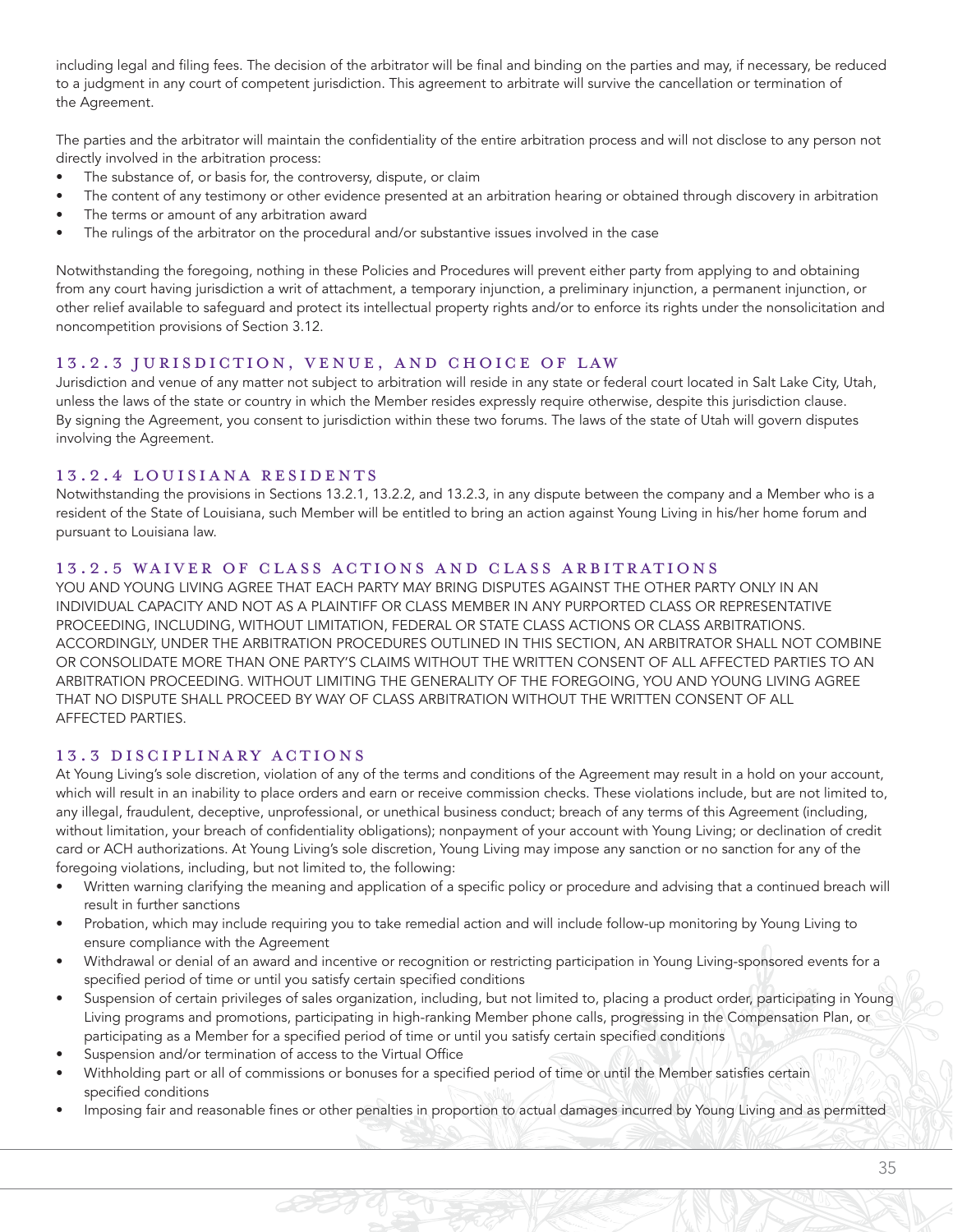including legal and filing fees. The decision of the arbitrator will be final and binding on the parties and may, if necessary, be reduced to a judgment in any court of competent jurisdiction. This agreement to arbitrate will survive the cancellation or termination of the Agreement.

The parties and the arbitrator will maintain the confidentiality of the entire arbitration process and will not disclose to any person not directly involved in the arbitration process:

- The substance of, or basis for, the controversy, dispute, or claim
- The content of any testimony or other evidence presented at an arbitration hearing or obtained through discovery in arbitration
- The terms or amount of any arbitration award
- The rulings of the arbitrator on the procedural and/or substantive issues involved in the case

Notwithstanding the foregoing, nothing in these Policies and Procedures will prevent either party from applying to and obtaining from any court having jurisdiction a writ of attachment, a temporary injunction, a preliminary injunction, a permanent injunction, or other relief available to safeguard and protect its intellectual property rights and/or to enforce its rights under the nonsolicitation and noncompetition provisions of Section 3.12.

#### 13.2.3 JURISDICTION, VENUE, AND CHOICE OF LAW

Jurisdiction and venue of any matter not subject to arbitration will reside in any state or federal court located in Salt Lake City, Utah, unless the laws of the state or country in which the Member resides expressly require otherwise, despite this jurisdiction clause. By signing the Agreement, you consent to jurisdiction within these two forums. The laws of the state of Utah will govern disputes involving the Agreement.

#### 13.2.4 LOUISIANA RESIDENTS

Notwithstanding the provisions in Sections 13.2.1, 13.2.2, and 13.2.3, in any dispute between the company and a Member who is a resident of the State of Louisiana, such Member will be entitled to bring an action against Young Living in his/her home forum and pursuant to Louisiana law.

#### 13.2.5 WAIVER OF CLASS ACTIONS AND CLASS ARBITRATIONS

YOU AND YOUNG LIVING AGREE THAT EACH PARTY MAY BRING DISPUTES AGAINST THE OTHER PARTY ONLY IN AN INDIVIDUAL CAPACITY AND NOT AS A PLAINTIFF OR CLASS MEMBER IN ANY PURPORTED CLASS OR REPRESENTATIVE PROCEEDING, INCLUDING, WITHOUT LIMITATION, FEDERAL OR STATE CLASS ACTIONS OR CLASS ARBITRATIONS. ACCORDINGLY, UNDER THE ARBITRATION PROCEDURES OUTLINED IN THIS SECTION, AN ARBITRATOR SHALL NOT COMBINE OR CONSOLIDATE MORE THAN ONE PARTY'S CLAIMS WITHOUT THE WRITTEN CONSENT OF ALL AFFECTED PARTIES TO AN ARBITRATION PROCEEDING. WITHOUT LIMITING THE GENERALITY OF THE FOREGOING, YOU AND YOUNG LIVING AGREE THAT NO DISPUTE SHALL PROCEED BY WAY OF CLASS ARBITRATION WITHOUT THE WRITTEN CONSENT OF ALL AFFECTED PARTIES.

#### 13.3 DISCIPLINARY ACTIONS

At Young Living's sole discretion, violation of any of the terms and conditions of the Agreement may result in a hold on your account, which will result in an inability to place orders and earn or receive commission checks. These violations include, but are not limited to, any illegal, fraudulent, deceptive, unprofessional, or unethical business conduct; breach of any terms of this Agreement (including, without limitation, your breach of confidentiality obligations); nonpayment of your account with Young Living; or declination of credit card or ACH authorizations. At Young Living's sole discretion, Young Living may impose any sanction or no sanction for any of the foregoing violations, including, but not limited to, the following:

- Written warning clarifying the meaning and application of a specific policy or procedure and advising that a continued breach will result in further sanctions
- Probation, which may include requiring you to take remedial action and will include follow-up monitoring by Young Living to ensure compliance with the Agreement
- Withdrawal or denial of an award and incentive or recognition or restricting participation in Young Living-sponsored events for a specified period of time or until you satisfy certain specified conditions
- Suspension of certain privileges of sales organization, including, but not limited to, placing a product order, participating in Young Living programs and promotions, participating in high-ranking Member phone calls, progressing in the Compensation Plan, or participating as a Member for a specified period of time or until you satisfy certain specified conditions
- Suspension and/or termination of access to the Virtual Office
- Withholding part or all of commissions or bonuses for a specified period of time or until the Member satisfies certain specified conditions
- Imposing fair and reasonable fines or other penalties in proportion to actual damages incurred by Young Living and as permitted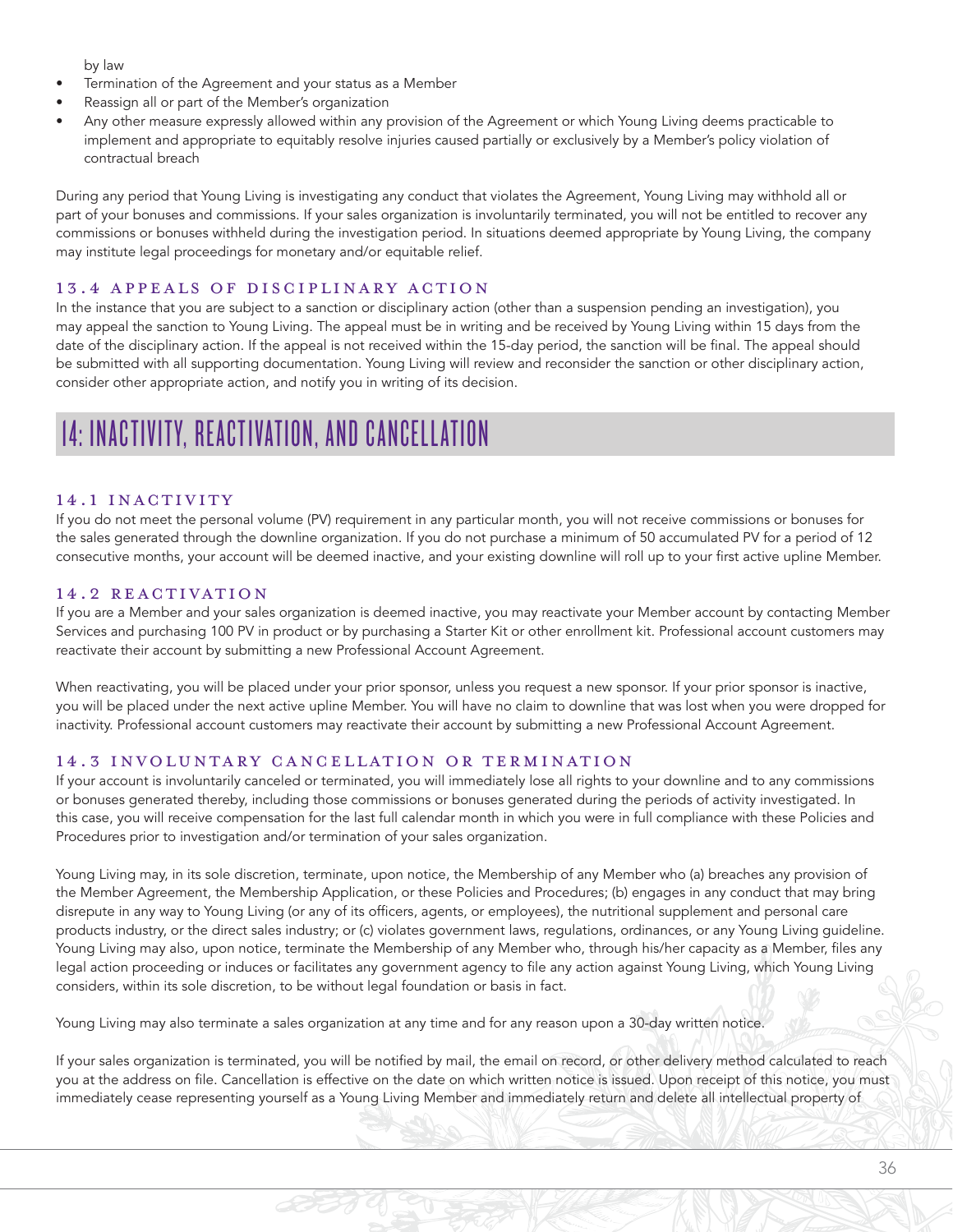by law

- Termination of the Agreement and your status as a Member
- Reassign all or part of the Member's organization
- Any other measure expressly allowed within any provision of the Agreement or which Young Living deems practicable to implement and appropriate to equitably resolve injuries caused partially or exclusively by a Member's policy violation of contractual breach

During any period that Young Living is investigating any conduct that violates the Agreement, Young Living may withhold all or part of your bonuses and commissions. If your sales organization is involuntarily terminated, you will not be entitled to recover any commissions or bonuses withheld during the investigation period. In situations deemed appropriate by Young Living, the company may institute legal proceedings for monetary and/or equitable relief.

#### 13.4 APPEALS OF DISCIPLINARY ACTION

In the instance that you are subject to a sanction or disciplinary action (other than a suspension pending an investigation), you may appeal the sanction to Young Living. The appeal must be in writing and be received by Young Living within 15 days from the date of the disciplinary action. If the appeal is not received within the 15-day period, the sanction will be final. The appeal should be submitted with all supporting documentation. Young Living will review and reconsider the sanction or other disciplinary action, consider other appropriate action, and notify you in writing of its decision.

# 14: INACTIVITY, REACTIVATION, AND CANCELLATION

#### 14.1 INACTIVITY

If you do not meet the personal volume (PV) requirement in any particular month, you will not receive commissions or bonuses for the sales generated through the downline organization. If you do not purchase a minimum of 50 accumulated PV for a period of 12 consecutive months, your account will be deemed inactive, and your existing downline will roll up to your first active upline Member.

#### 14.2 REACTIVATION

If you are a Member and your sales organization is deemed inactive, you may reactivate your Member account by contacting Member Services and purchasing 100 PV in product or by purchasing a Starter Kit or other enrollment kit. Professional account customers may reactivate their account by submitting a new Professional Account Agreement.

When reactivating, you will be placed under your prior sponsor, unless you request a new sponsor. If your prior sponsor is inactive, you will be placed under the next active upline Member. You will have no claim to downline that was lost when you were dropped for inactivity. Professional account customers may reactivate their account by submitting a new Professional Account Agreement.

#### 14.3 INVOLUNTARY CANCELLATION OR TERMINATION

If your account is involuntarily canceled or terminated, you will immediately lose all rights to your downline and to any commissions or bonuses generated thereby, including those commissions or bonuses generated during the periods of activity investigated. In this case, you will receive compensation for the last full calendar month in which you were in full compliance with these Policies and Procedures prior to investigation and/or termination of your sales organization.

Young Living may, in its sole discretion, terminate, upon notice, the Membership of any Member who (a) breaches any provision of the Member Agreement, the Membership Application, or these Policies and Procedures; (b) engages in any conduct that may bring disrepute in any way to Young Living (or any of its officers, agents, or employees), the nutritional supplement and personal care products industry, or the direct sales industry; or (c) violates government laws, regulations, ordinances, or any Young Living guideline. Young Living may also, upon notice, terminate the Membership of any Member who, through his/her capacity as a Member, files any legal action proceeding or induces or facilitates any government agency to file any action against Young Living, which Young Living considers, within its sole discretion, to be without legal foundation or basis in fact.

Young Living may also terminate a sales organization at any time and for any reason upon a 30-day written notice.

If your sales organization is terminated, you will be notified by mail, the email on record, or other delivery method calculated to reach you at the address on file. Cancellation is effective on the date on which written notice is issued. Upon receipt of this notice, you must immediately cease representing yourself as a Young Living Member and immediately return and delete all intellectual property of